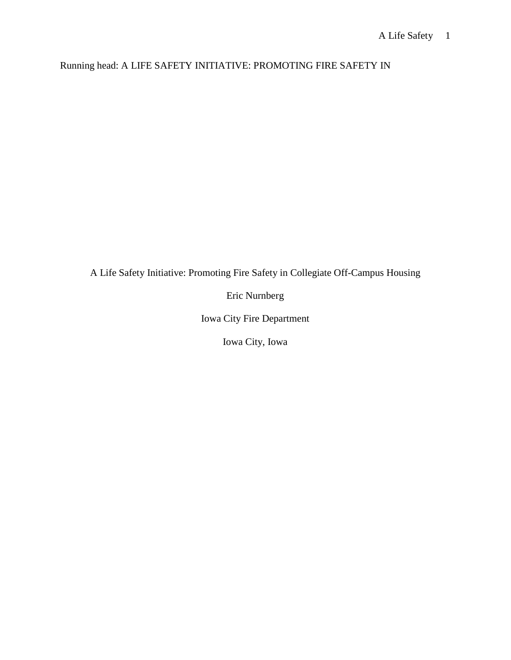Running head: A LIFE SAFETY INITIATIVE: PROMOTING FIRE SAFETY IN

A Life Safety Initiative: Promoting Fire Safety in Collegiate Off-Campus Housing

Eric Nurnberg

Iowa City Fire Department

Iowa City, Iowa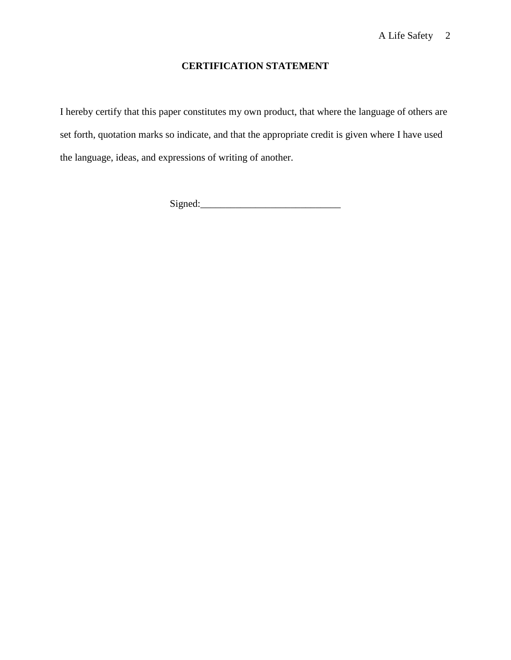# **CERTIFICATION STATEMENT**

I hereby certify that this paper constitutes my own product, that where the language of others are set forth, quotation marks so indicate, and that the appropriate credit is given where I have used the language, ideas, and expressions of writing of another.

Signed:\_\_\_\_\_\_\_\_\_\_\_\_\_\_\_\_\_\_\_\_\_\_\_\_\_\_\_\_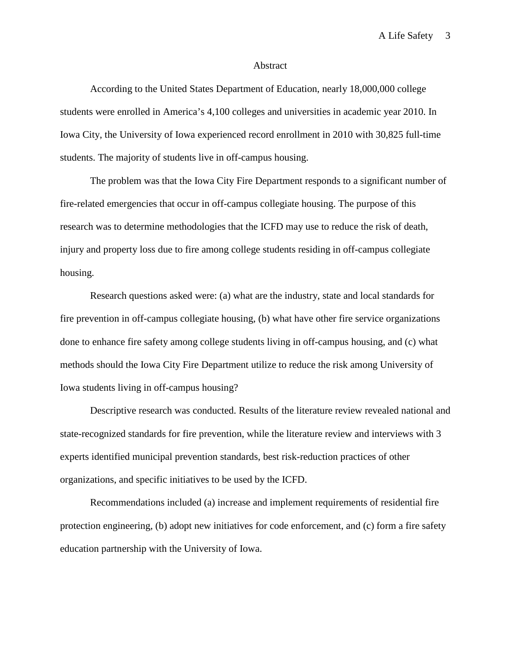#### Abstract

According to the United States Department of Education, nearly 18,000,000 college students were enrolled in America's 4,100 colleges and universities in academic year 2010. In Iowa City, the University of Iowa experienced record enrollment in 2010 with 30,825 full-time students. The majority of students live in off-campus housing.

The problem was that the Iowa City Fire Department responds to a significant number of fire-related emergencies that occur in off-campus collegiate housing. The purpose of this research was to determine methodologies that the ICFD may use to reduce the risk of death, injury and property loss due to fire among college students residing in off-campus collegiate housing.

Research questions asked were: (a) what are the industry, state and local standards for fire prevention in off-campus collegiate housing, (b) what have other fire service organizations done to enhance fire safety among college students living in off-campus housing, and (c) what methods should the Iowa City Fire Department utilize to reduce the risk among University of Iowa students living in off-campus housing?

Descriptive research was conducted. Results of the literature review revealed national and state-recognized standards for fire prevention, while the literature review and interviews with 3 experts identified municipal prevention standards, best risk-reduction practices of other organizations, and specific initiatives to be used by the ICFD.

Recommendations included (a) increase and implement requirements of residential fire protection engineering, (b) adopt new initiatives for code enforcement, and (c) form a fire safety education partnership with the University of Iowa.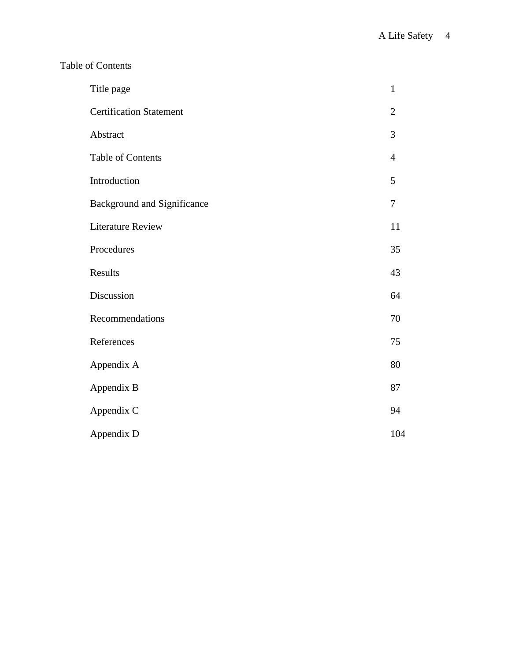# Table of Contents

| Title page                         | $\mathbf{1}$   |
|------------------------------------|----------------|
| <b>Certification Statement</b>     | $\overline{2}$ |
| Abstract                           | 3              |
| <b>Table of Contents</b>           | $\overline{4}$ |
| Introduction                       | 5              |
| <b>Background and Significance</b> | 7              |
| <b>Literature Review</b>           | 11             |
| Procedures                         | 35             |
| Results                            | 43             |
| Discussion                         | 64             |
| Recommendations                    | 70             |
| References                         | 75             |
| Appendix A                         | 80             |
| Appendix B                         | 87             |
| Appendix C                         | 94             |
| Appendix D                         | 104            |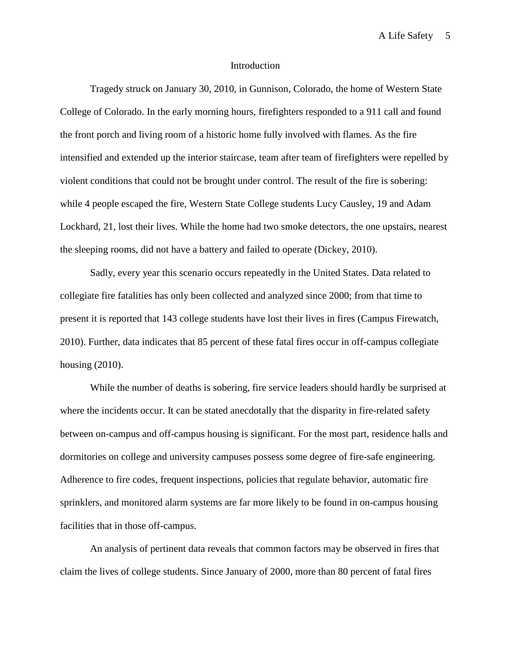#### Introduction

Tragedy struck on January 30, 2010, in Gunnison, Colorado, the home of Western State College of Colorado. In the early morning hours, firefighters responded to a 911 call and found the front porch and living room of a historic home fully involved with flames. As the fire intensified and extended up the interior staircase, team after team of firefighters were repelled by violent conditions that could not be brought under control. The result of the fire is sobering: while 4 people escaped the fire, Western State College students Lucy Causley, 19 and Adam Lockhard, 21, lost their lives. While the home had two smoke detectors, the one upstairs, nearest the sleeping rooms, did not have a battery and failed to operate (Dickey, 2010).

Sadly, every year this scenario occurs repeatedly in the United States. Data related to collegiate fire fatalities has only been collected and analyzed since 2000; from that time to present it is reported that 143 college students have lost their lives in fires (Campus Firewatch, 2010). Further, data indicates that 85 percent of these fatal fires occur in off-campus collegiate housing (2010).

While the number of deaths is sobering, fire service leaders should hardly be surprised at where the incidents occur. It can be stated anecdotally that the disparity in fire-related safety between on-campus and off-campus housing is significant. For the most part, residence halls and dormitories on college and university campuses possess some degree of fire-safe engineering. Adherence to fire codes, frequent inspections, policies that regulate behavior, automatic fire sprinklers, and monitored alarm systems are far more likely to be found in on-campus housing facilities that in those off-campus.

An analysis of pertinent data reveals that common factors may be observed in fires that claim the lives of college students. Since January of 2000, more than 80 percent of fatal fires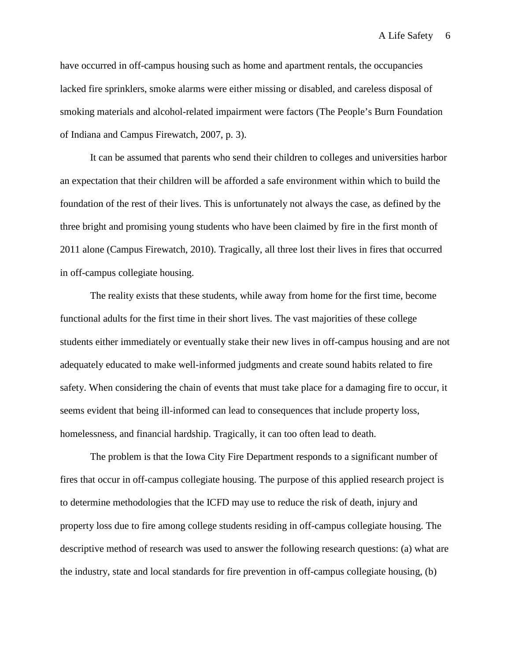have occurred in off-campus housing such as home and apartment rentals, the occupancies lacked fire sprinklers, smoke alarms were either missing or disabled, and careless disposal of smoking materials and alcohol-related impairment were factors (The People's Burn Foundation of Indiana and Campus Firewatch, 2007, p. 3).

It can be assumed that parents who send their children to colleges and universities harbor an expectation that their children will be afforded a safe environment within which to build the foundation of the rest of their lives. This is unfortunately not always the case, as defined by the three bright and promising young students who have been claimed by fire in the first month of 2011 alone (Campus Firewatch, 2010). Tragically, all three lost their lives in fires that occurred in off-campus collegiate housing.

The reality exists that these students, while away from home for the first time, become functional adults for the first time in their short lives. The vast majorities of these college students either immediately or eventually stake their new lives in off-campus housing and are not adequately educated to make well-informed judgments and create sound habits related to fire safety. When considering the chain of events that must take place for a damaging fire to occur, it seems evident that being ill-informed can lead to consequences that include property loss, homelessness, and financial hardship. Tragically, it can too often lead to death.

The problem is that the Iowa City Fire Department responds to a significant number of fires that occur in off-campus collegiate housing. The purpose of this applied research project is to determine methodologies that the ICFD may use to reduce the risk of death, injury and property loss due to fire among college students residing in off-campus collegiate housing. The descriptive method of research was used to answer the following research questions: (a) what are the industry, state and local standards for fire prevention in off-campus collegiate housing, (b)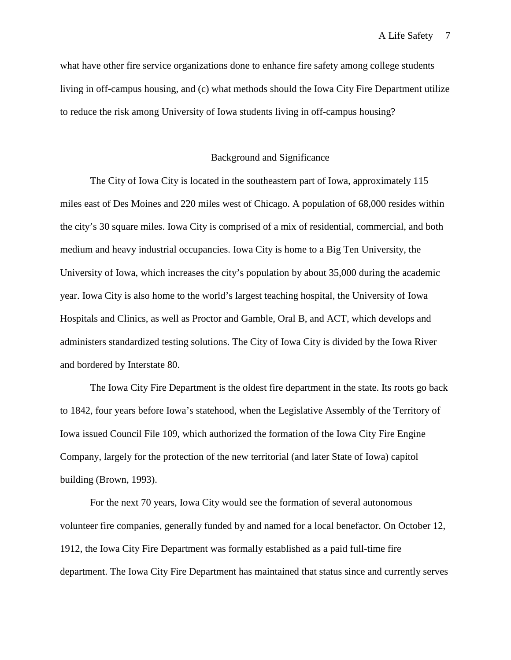what have other fire service organizations done to enhance fire safety among college students living in off-campus housing, and (c) what methods should the Iowa City Fire Department utilize to reduce the risk among University of Iowa students living in off-campus housing?

### Background and Significance

The City of Iowa City is located in the southeastern part of Iowa, approximately 115 miles east of Des Moines and 220 miles west of Chicago. A population of 68,000 resides within the city's 30 square miles. Iowa City is comprised of a mix of residential, commercial, and both medium and heavy industrial occupancies. Iowa City is home to a Big Ten University, the University of Iowa, which increases the city's population by about 35,000 during the academic year. Iowa City is also home to the world's largest teaching hospital, the University of Iowa Hospitals and Clinics, as well as Proctor and Gamble, Oral B, and ACT, which develops and administers standardized testing solutions. The City of Iowa City is divided by the Iowa River and bordered by Interstate 80.

The Iowa City Fire Department is the oldest fire department in the state. Its roots go back to 1842, four years before Iowa's statehood, when the Legislative Assembly of the Territory of Iowa issued Council File 109, which authorized the formation of the Iowa City Fire Engine Company, largely for the protection of the new territorial (and later State of Iowa) capitol building (Brown, 1993).

For the next 70 years, Iowa City would see the formation of several autonomous volunteer fire companies, generally funded by and named for a local benefactor. On October 12, 1912, the Iowa City Fire Department was formally established as a paid full-time fire department. The Iowa City Fire Department has maintained that status since and currently serves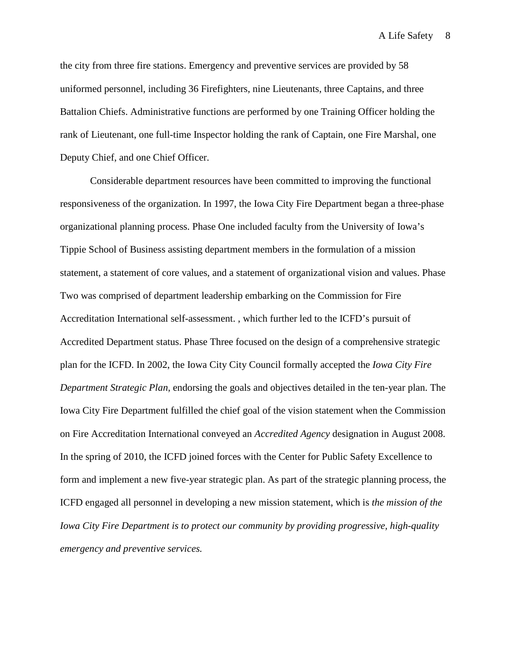the city from three fire stations. Emergency and preventive services are provided by 58 uniformed personnel, including 36 Firefighters, nine Lieutenants, three Captains, and three Battalion Chiefs. Administrative functions are performed by one Training Officer holding the rank of Lieutenant, one full-time Inspector holding the rank of Captain, one Fire Marshal, one Deputy Chief, and one Chief Officer.

Considerable department resources have been committed to improving the functional responsiveness of the organization. In 1997, the Iowa City Fire Department began a three-phase organizational planning process. Phase One included faculty from the University of Iowa's Tippie School of Business assisting department members in the formulation of a mission statement, a statement of core values, and a statement of organizational vision and values. Phase Two was comprised of department leadership embarking on the Commission for Fire Accreditation International self-assessment. , which further led to the ICFD's pursuit of Accredited Department status. Phase Three focused on the design of a comprehensive strategic plan for the ICFD. In 2002, the Iowa City City Council formally accepted the *Iowa City Fire Department Strategic Plan*, endorsing the goals and objectives detailed in the ten-year plan. The Iowa City Fire Department fulfilled the chief goal of the vision statement when the Commission on Fire Accreditation International conveyed an *Accredited Agency* designation in August 2008. In the spring of 2010, the ICFD joined forces with the Center for Public Safety Excellence to form and implement a new five-year strategic plan. As part of the strategic planning process, the ICFD engaged all personnel in developing a new mission statement, which is *the mission of the Iowa City Fire Department is to protect our community by providing progressive, high-quality emergency and preventive services.*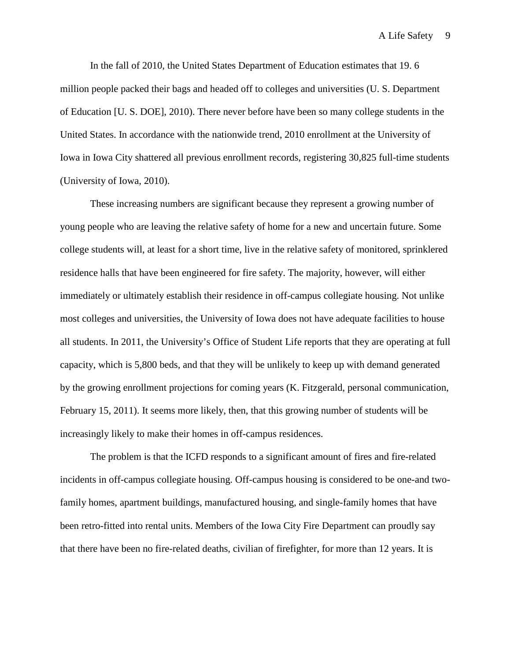In the fall of 2010, the United States Department of Education estimates that 19. 6 million people packed their bags and headed off to colleges and universities (U. S. Department of Education [U. S. DOE], 2010). There never before have been so many college students in the United States. In accordance with the nationwide trend, 2010 enrollment at the University of Iowa in Iowa City shattered all previous enrollment records, registering 30,825 full-time students (University of Iowa, 2010).

These increasing numbers are significant because they represent a growing number of young people who are leaving the relative safety of home for a new and uncertain future. Some college students will, at least for a short time, live in the relative safety of monitored, sprinklered residence halls that have been engineered for fire safety. The majority, however, will either immediately or ultimately establish their residence in off-campus collegiate housing. Not unlike most colleges and universities, the University of Iowa does not have adequate facilities to house all students. In 2011, the University's Office of Student Life reports that they are operating at full capacity, which is 5,800 beds, and that they will be unlikely to keep up with demand generated by the growing enrollment projections for coming years (K. Fitzgerald, personal communication, February 15, 2011). It seems more likely, then, that this growing number of students will be increasingly likely to make their homes in off-campus residences.

The problem is that the ICFD responds to a significant amount of fires and fire-related incidents in off-campus collegiate housing. Off-campus housing is considered to be one-and twofamily homes, apartment buildings, manufactured housing, and single-family homes that have been retro-fitted into rental units. Members of the Iowa City Fire Department can proudly say that there have been no fire-related deaths, civilian of firefighter, for more than 12 years. It is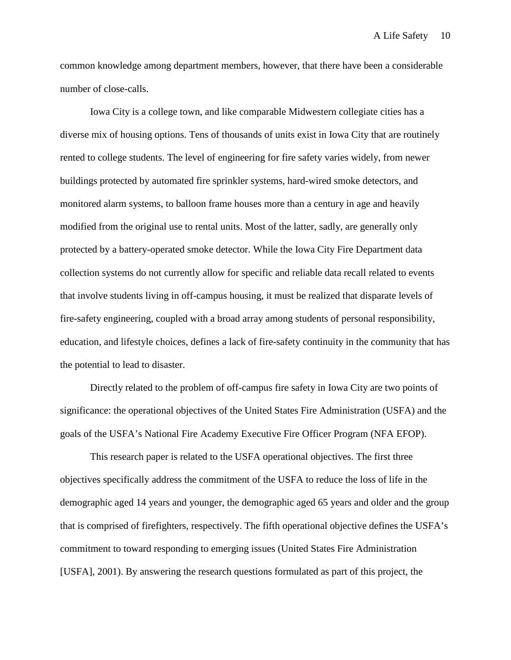common knowledge among department members, however, that there have been a considerable number of close-calls.

Iowa City is a college town, and like comparable Midwestern collegiate cities has a diverse mix of housing options. Tens of thousands of units exist in Iowa City that are routinely rented to college students. The level of engineering for fire safety varies widely, from newer buildings protected by automated fire sprinkler systems, hard-wired smoke detectors, and monitored alarm systems, to balloon frame houses more than a century in age and heavily modified from the original use to rental units. Most of the latter, sadly, are generally only protected by a battery-operated smoke detector. While the Iowa City Fire Department data collection systems do not currently allow for specific and reliable data recall related to events that involve students living in off-campus housing, it must be realized that disparate levels of fire-safety engineering, coupled with a broad array among students of personal responsibility, education, and lifestyle choices, defines a lack of fire-safety continuity in the community that has the potential to lead to disaster.

Directly related to the problem of off-campus fire safety in Iowa City are two points of significance: the operational objectives of the United States Fire Administration (USFA) and the goals of the USFA's National Fire Academy Executive Fire Officer Program (NFA EFOP).

This research paper is related to the USFA operational objectives. The first three objectives specifically address the commitment of the USFA to reduce the loss of life in the demographic aged 14 years and younger, the demographic aged 65 years and older and the group that is comprised of firefighters, respectively. The fifth operational objective defines the USFA's commitment to toward responding to emerging issues (United States Fire Administration [USFA], 2001). By answering the research questions formulated as part of this project, the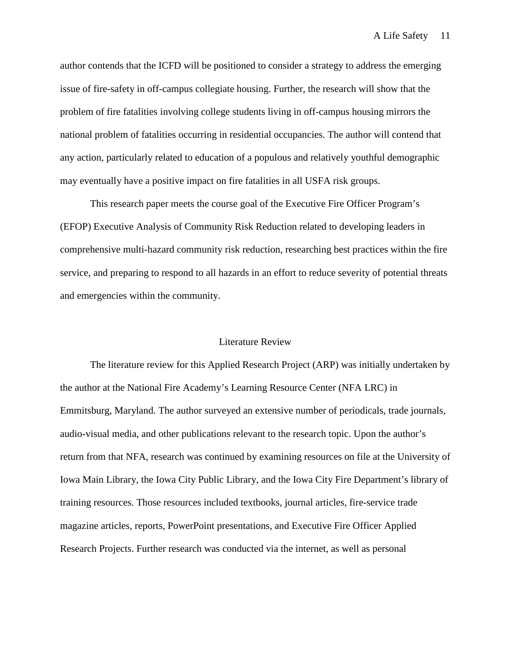author contends that the ICFD will be positioned to consider a strategy to address the emerging issue of fire-safety in off-campus collegiate housing. Further, the research will show that the problem of fire fatalities involving college students living in off-campus housing mirrors the national problem of fatalities occurring in residential occupancies. The author will contend that any action, particularly related to education of a populous and relatively youthful demographic may eventually have a positive impact on fire fatalities in all USFA risk groups.

This research paper meets the course goal of the Executive Fire Officer Program's (EFOP) Executive Analysis of Community Risk Reduction related to developing leaders in comprehensive multi-hazard community risk reduction, researching best practices within the fire service, and preparing to respond to all hazards in an effort to reduce severity of potential threats and emergencies within the community.

#### Literature Review

The literature review for this Applied Research Project (ARP) was initially undertaken by the author at the National Fire Academy's Learning Resource Center (NFA LRC) in Emmitsburg, Maryland. The author surveyed an extensive number of periodicals, trade journals, audio-visual media, and other publications relevant to the research topic. Upon the author's return from that NFA, research was continued by examining resources on file at the University of Iowa Main Library, the Iowa City Public Library, and the Iowa City Fire Department's library of training resources. Those resources included textbooks, journal articles, fire-service trade magazine articles, reports, PowerPoint presentations, and Executive Fire Officer Applied Research Projects. Further research was conducted via the internet, as well as personal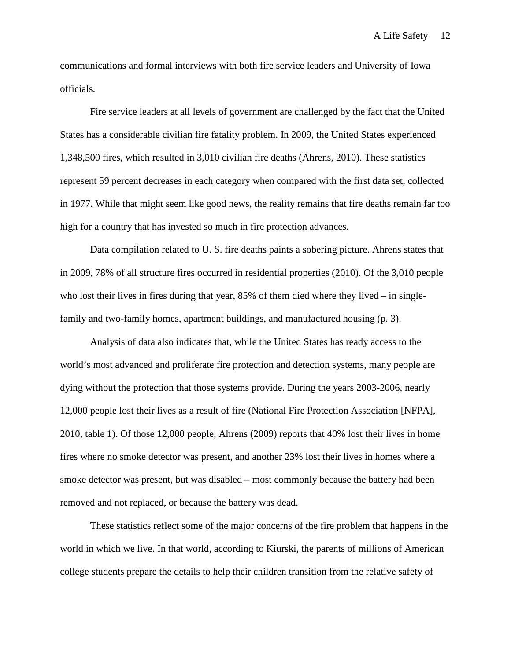communications and formal interviews with both fire service leaders and University of Iowa officials.

Fire service leaders at all levels of government are challenged by the fact that the United States has a considerable civilian fire fatality problem. In 2009, the United States experienced 1,348,500 fires, which resulted in 3,010 civilian fire deaths (Ahrens, 2010). These statistics represent 59 percent decreases in each category when compared with the first data set, collected in 1977. While that might seem like good news, the reality remains that fire deaths remain far too high for a country that has invested so much in fire protection advances.

Data compilation related to U. S. fire deaths paints a sobering picture. Ahrens states that in 2009, 78% of all structure fires occurred in residential properties (2010). Of the 3,010 people who lost their lives in fires during that year, 85% of them died where they lived – in singlefamily and two-family homes, apartment buildings, and manufactured housing (p. 3).

Analysis of data also indicates that, while the United States has ready access to the world's most advanced and proliferate fire protection and detection systems, many people are dying without the protection that those systems provide. During the years 2003-2006, nearly 12,000 people lost their lives as a result of fire (National Fire Protection Association [NFPA], 2010, table 1). Of those 12,000 people, Ahrens (2009) reports that 40% lost their lives in home fires where no smoke detector was present, and another 23% lost their lives in homes where a smoke detector was present, but was disabled – most commonly because the battery had been removed and not replaced, or because the battery was dead.

These statistics reflect some of the major concerns of the fire problem that happens in the world in which we live. In that world, according to Kiurski, the parents of millions of American college students prepare the details to help their children transition from the relative safety of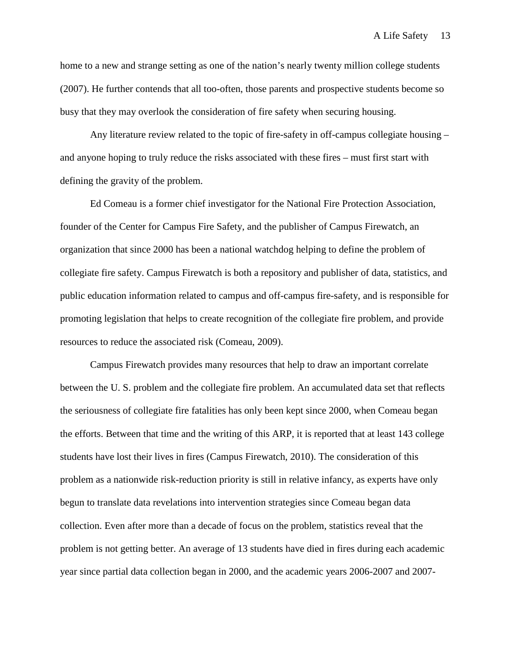home to a new and strange setting as one of the nation's nearly twenty million college students (2007). He further contends that all too-often, those parents and prospective students become so busy that they may overlook the consideration of fire safety when securing housing.

Any literature review related to the topic of fire-safety in off-campus collegiate housing – and anyone hoping to truly reduce the risks associated with these fires – must first start with defining the gravity of the problem.

Ed Comeau is a former chief investigator for the National Fire Protection Association, founder of the Center for Campus Fire Safety, and the publisher of Campus Firewatch, an organization that since 2000 has been a national watchdog helping to define the problem of collegiate fire safety. Campus Firewatch is both a repository and publisher of data, statistics, and public education information related to campus and off-campus fire-safety, and is responsible for promoting legislation that helps to create recognition of the collegiate fire problem, and provide resources to reduce the associated risk (Comeau, 2009).

Campus Firewatch provides many resources that help to draw an important correlate between the U. S. problem and the collegiate fire problem. An accumulated data set that reflects the seriousness of collegiate fire fatalities has only been kept since 2000, when Comeau began the efforts. Between that time and the writing of this ARP, it is reported that at least 143 college students have lost their lives in fires (Campus Firewatch, 2010). The consideration of this problem as a nationwide risk-reduction priority is still in relative infancy, as experts have only begun to translate data revelations into intervention strategies since Comeau began data collection. Even after more than a decade of focus on the problem, statistics reveal that the problem is not getting better. An average of 13 students have died in fires during each academic year since partial data collection began in 2000, and the academic years 2006-2007 and 2007-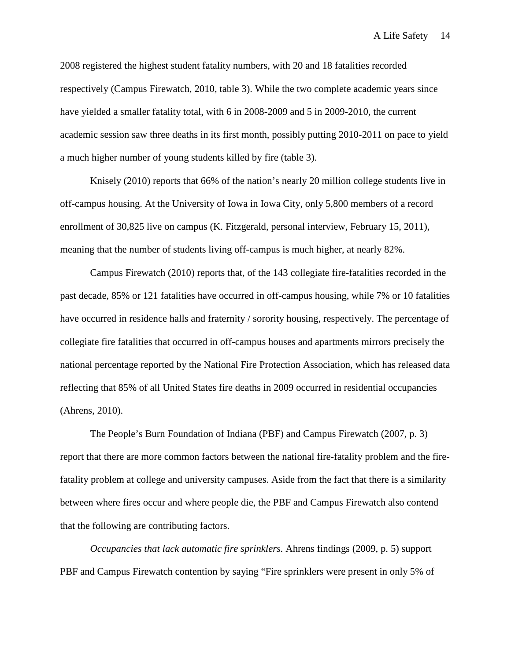2008 registered the highest student fatality numbers, with 20 and 18 fatalities recorded respectively (Campus Firewatch, 2010, table 3). While the two complete academic years since have yielded a smaller fatality total, with 6 in 2008-2009 and 5 in 2009-2010, the current academic session saw three deaths in its first month, possibly putting 2010-2011 on pace to yield a much higher number of young students killed by fire (table 3).

Knisely (2010) reports that 66% of the nation's nearly 20 million college students live in off-campus housing. At the University of Iowa in Iowa City, only 5,800 members of a record enrollment of 30,825 live on campus (K. Fitzgerald, personal interview, February 15, 2011), meaning that the number of students living off-campus is much higher, at nearly 82%.

Campus Firewatch (2010) reports that, of the 143 collegiate fire-fatalities recorded in the past decade, 85% or 121 fatalities have occurred in off-campus housing, while 7% or 10 fatalities have occurred in residence halls and fraternity / sorority housing, respectively. The percentage of collegiate fire fatalities that occurred in off-campus houses and apartments mirrors precisely the national percentage reported by the National Fire Protection Association, which has released data reflecting that 85% of all United States fire deaths in 2009 occurred in residential occupancies (Ahrens, 2010).

The People's Burn Foundation of Indiana (PBF) and Campus Firewatch (2007, p. 3) report that there are more common factors between the national fire-fatality problem and the firefatality problem at college and university campuses. Aside from the fact that there is a similarity between where fires occur and where people die, the PBF and Campus Firewatch also contend that the following are contributing factors.

*Occupancies that lack automatic fire sprinklers.* Ahrens findings (2009, p. 5) support PBF and Campus Firewatch contention by saying "Fire sprinklers were present in only 5% of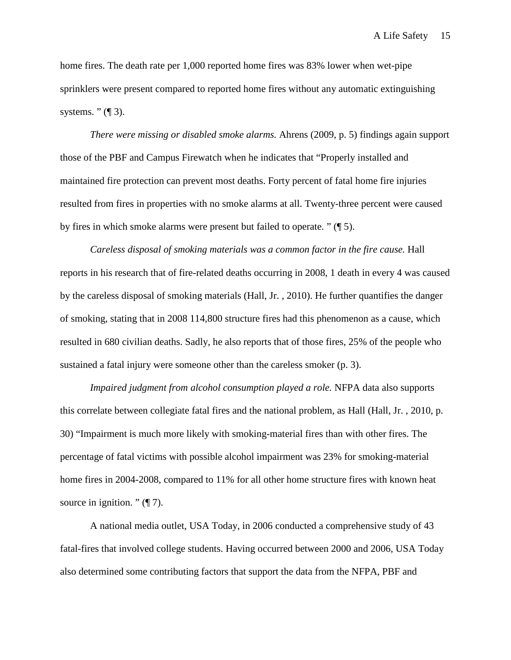home fires. The death rate per 1,000 reported home fires was 83% lower when wet-pipe sprinklers were present compared to reported home fires without any automatic extinguishing systems. " $(\P 3)$ .

*There were missing or disabled smoke alarms.* Ahrens (2009, p. 5) findings again support those of the PBF and Campus Firewatch when he indicates that "Properly installed and maintained fire protection can prevent most deaths. Forty percent of fatal home fire injuries resulted from fires in properties with no smoke alarms at all. Twenty-three percent were caused by fires in which smoke alarms were present but failed to operate. " (¶ 5).

*Careless disposal of smoking materials was a common factor in the fire cause.* Hall reports in his research that of fire-related deaths occurring in 2008, 1 death in every 4 was caused by the careless disposal of smoking materials (Hall, Jr. , 2010). He further quantifies the danger of smoking, stating that in 2008 114,800 structure fires had this phenomenon as a cause, which resulted in 680 civilian deaths. Sadly, he also reports that of those fires, 25% of the people who sustained a fatal injury were someone other than the careless smoker (p. 3).

*Impaired judgment from alcohol consumption played a role.* NFPA data also supports this correlate between collegiate fatal fires and the national problem, as Hall (Hall, Jr. , 2010, p. 30) "Impairment is much more likely with smoking-material fires than with other fires. The percentage of fatal victims with possible alcohol impairment was 23% for smoking-material home fires in 2004-2008, compared to 11% for all other home structure fires with known heat source in ignition. " $(\P 7)$ .

A national media outlet, USA Today, in 2006 conducted a comprehensive study of 43 fatal-fires that involved college students. Having occurred between 2000 and 2006, USA Today also determined some contributing factors that support the data from the NFPA, PBF and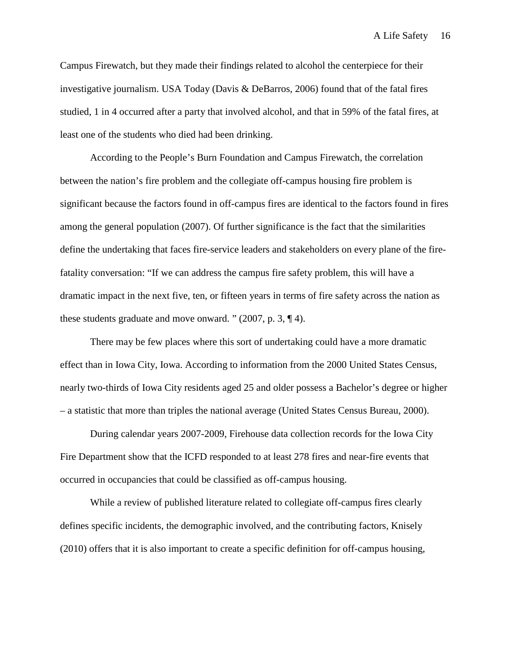Campus Firewatch, but they made their findings related to alcohol the centerpiece for their investigative journalism. USA Today (Davis & DeBarros, 2006) found that of the fatal fires studied, 1 in 4 occurred after a party that involved alcohol, and that in 59% of the fatal fires, at least one of the students who died had been drinking.

According to the People's Burn Foundation and Campus Firewatch, the correlation between the nation's fire problem and the collegiate off-campus housing fire problem is significant because the factors found in off-campus fires are identical to the factors found in fires among the general population (2007). Of further significance is the fact that the similarities define the undertaking that faces fire-service leaders and stakeholders on every plane of the firefatality conversation: "If we can address the campus fire safety problem, this will have a dramatic impact in the next five, ten, or fifteen years in terms of fire safety across the nation as these students graduate and move onward. " (2007, p. 3, ¶ 4).

There may be few places where this sort of undertaking could have a more dramatic effect than in Iowa City, Iowa. According to information from the 2000 United States Census, nearly two-thirds of Iowa City residents aged 25 and older possess a Bachelor's degree or higher – a statistic that more than triples the national average (United States Census Bureau, 2000).

During calendar years 2007-2009, Firehouse data collection records for the Iowa City Fire Department show that the ICFD responded to at least 278 fires and near-fire events that occurred in occupancies that could be classified as off-campus housing.

While a review of published literature related to collegiate off-campus fires clearly defines specific incidents, the demographic involved, and the contributing factors, Knisely (2010) offers that it is also important to create a specific definition for off-campus housing,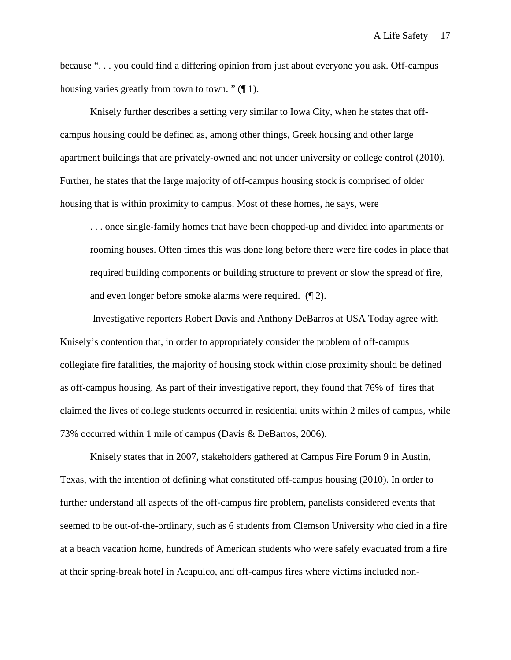because ". . . you could find a differing opinion from just about everyone you ask. Off-campus housing varies greatly from town to town." ( $\P$  1).

Knisely further describes a setting very similar to Iowa City, when he states that offcampus housing could be defined as, among other things, Greek housing and other large apartment buildings that are privately-owned and not under university or college control (2010). Further, he states that the large majority of off-campus housing stock is comprised of older housing that is within proximity to campus. Most of these homes, he says, were

. . . once single-family homes that have been chopped-up and divided into apartments or rooming houses. Often times this was done long before there were fire codes in place that required building components or building structure to prevent or slow the spread of fire, and even longer before smoke alarms were required. (¶ 2).

Investigative reporters Robert Davis and Anthony DeBarros at USA Today agree with Knisely's contention that, in order to appropriately consider the problem of off-campus collegiate fire fatalities, the majority of housing stock within close proximity should be defined as off-campus housing. As part of their investigative report, they found that 76% of fires that claimed the lives of college students occurred in residential units within 2 miles of campus, while 73% occurred within 1 mile of campus (Davis & DeBarros, 2006).

Knisely states that in 2007, stakeholders gathered at Campus Fire Forum 9 in Austin, Texas, with the intention of defining what constituted off-campus housing (2010). In order to further understand all aspects of the off-campus fire problem, panelists considered events that seemed to be out-of-the-ordinary, such as 6 students from Clemson University who died in a fire at a beach vacation home, hundreds of American students who were safely evacuated from a fire at their spring-break hotel in Acapulco, and off-campus fires where victims included non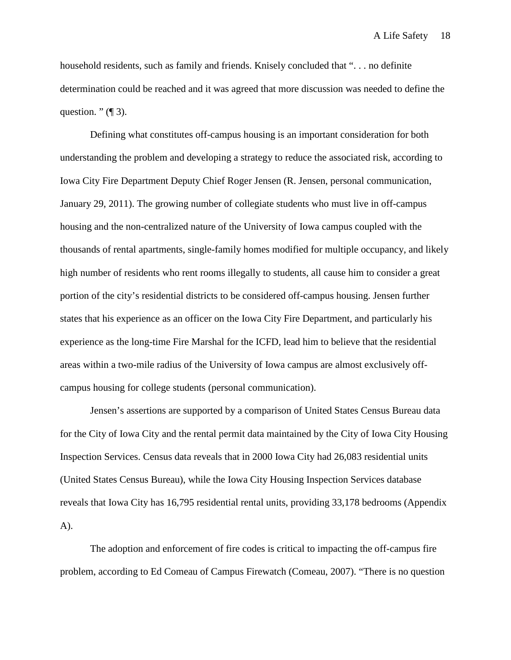household residents, such as family and friends. Knisely concluded that ". . . no definite determination could be reached and it was agreed that more discussion was needed to define the question. " $(\P 3)$ .

Defining what constitutes off-campus housing is an important consideration for both understanding the problem and developing a strategy to reduce the associated risk, according to Iowa City Fire Department Deputy Chief Roger Jensen (R. Jensen, personal communication, January 29, 2011). The growing number of collegiate students who must live in off-campus housing and the non-centralized nature of the University of Iowa campus coupled with the thousands of rental apartments, single-family homes modified for multiple occupancy, and likely high number of residents who rent rooms illegally to students, all cause him to consider a great portion of the city's residential districts to be considered off-campus housing. Jensen further states that his experience as an officer on the Iowa City Fire Department, and particularly his experience as the long-time Fire Marshal for the ICFD, lead him to believe that the residential areas within a two-mile radius of the University of Iowa campus are almost exclusively offcampus housing for college students (personal communication).

Jensen's assertions are supported by a comparison of United States Census Bureau data for the City of Iowa City and the rental permit data maintained by the City of Iowa City Housing Inspection Services. Census data reveals that in 2000 Iowa City had 26,083 residential units (United States Census Bureau), while the Iowa City Housing Inspection Services database reveals that Iowa City has 16,795 residential rental units, providing 33,178 bedrooms (Appendix A).

The adoption and enforcement of fire codes is critical to impacting the off-campus fire problem, according to Ed Comeau of Campus Firewatch (Comeau, 2007). "There is no question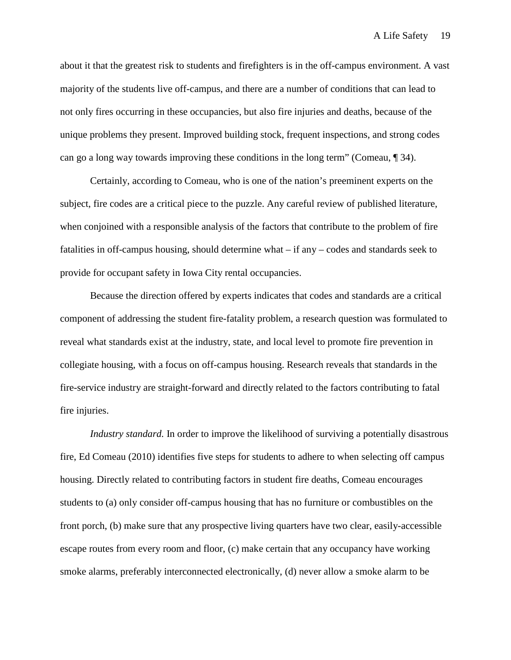about it that the greatest risk to students and firefighters is in the off-campus environment. A vast majority of the students live off-campus, and there are a number of conditions that can lead to not only fires occurring in these occupancies, but also fire injuries and deaths, because of the unique problems they present. Improved building stock, frequent inspections, and strong codes can go a long way towards improving these conditions in the long term" (Comeau, ¶ 34).

Certainly, according to Comeau, who is one of the nation's preeminent experts on the subject, fire codes are a critical piece to the puzzle. Any careful review of published literature, when conjoined with a responsible analysis of the factors that contribute to the problem of fire fatalities in off-campus housing, should determine what – if any – codes and standards seek to provide for occupant safety in Iowa City rental occupancies.

Because the direction offered by experts indicates that codes and standards are a critical component of addressing the student fire-fatality problem, a research question was formulated to reveal what standards exist at the industry, state, and local level to promote fire prevention in collegiate housing, with a focus on off-campus housing. Research reveals that standards in the fire-service industry are straight-forward and directly related to the factors contributing to fatal fire injuries.

*Industry standard.* In order to improve the likelihood of surviving a potentially disastrous fire, Ed Comeau (2010) identifies five steps for students to adhere to when selecting off campus housing. Directly related to contributing factors in student fire deaths, Comeau encourages students to (a) only consider off-campus housing that has no furniture or combustibles on the front porch, (b) make sure that any prospective living quarters have two clear, easily-accessible escape routes from every room and floor, (c) make certain that any occupancy have working smoke alarms, preferably interconnected electronically, (d) never allow a smoke alarm to be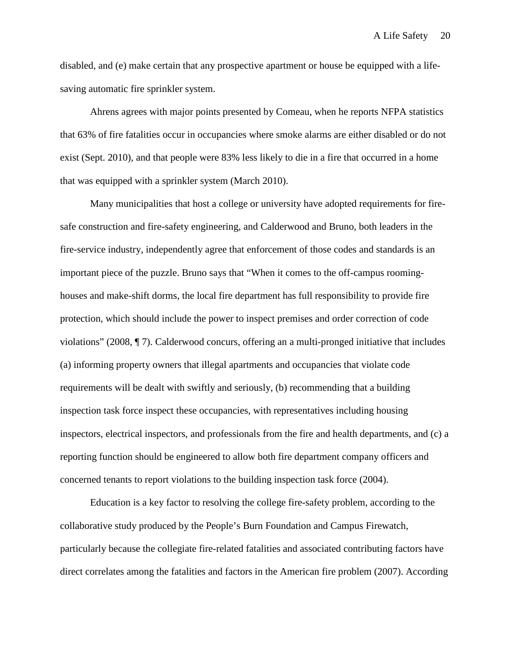disabled, and (e) make certain that any prospective apartment or house be equipped with a lifesaving automatic fire sprinkler system.

Ahrens agrees with major points presented by Comeau, when he reports NFPA statistics that 63% of fire fatalities occur in occupancies where smoke alarms are either disabled or do not exist (Sept. 2010), and that people were 83% less likely to die in a fire that occurred in a home that was equipped with a sprinkler system (March 2010).

Many municipalities that host a college or university have adopted requirements for firesafe construction and fire-safety engineering, and Calderwood and Bruno, both leaders in the fire-service industry, independently agree that enforcement of those codes and standards is an important piece of the puzzle. Bruno says that "When it comes to the off-campus roominghouses and make-shift dorms, the local fire department has full responsibility to provide fire protection, which should include the power to inspect premises and order correction of code violations" (2008, ¶ 7). Calderwood concurs, offering an a multi-pronged initiative that includes (a) informing property owners that illegal apartments and occupancies that violate code requirements will be dealt with swiftly and seriously, (b) recommending that a building inspection task force inspect these occupancies, with representatives including housing inspectors, electrical inspectors, and professionals from the fire and health departments, and (c) a reporting function should be engineered to allow both fire department company officers and concerned tenants to report violations to the building inspection task force (2004).

Education is a key factor to resolving the college fire-safety problem, according to the collaborative study produced by the People's Burn Foundation and Campus Firewatch, particularly because the collegiate fire-related fatalities and associated contributing factors have direct correlates among the fatalities and factors in the American fire problem (2007). According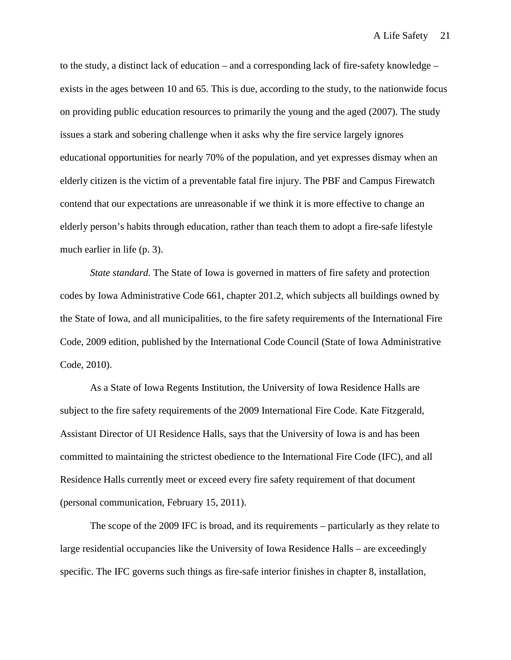to the study, a distinct lack of education – and a corresponding lack of fire-safety knowledge – exists in the ages between 10 and 65. This is due, according to the study, to the nationwide focus on providing public education resources to primarily the young and the aged (2007). The study issues a stark and sobering challenge when it asks why the fire service largely ignores educational opportunities for nearly 70% of the population, and yet expresses dismay when an elderly citizen is the victim of a preventable fatal fire injury. The PBF and Campus Firewatch contend that our expectations are unreasonable if we think it is more effective to change an elderly person's habits through education, rather than teach them to adopt a fire-safe lifestyle much earlier in life (p. 3).

*State standard.* The State of Iowa is governed in matters of fire safety and protection codes by Iowa Administrative Code 661, chapter 201.2, which subjects all buildings owned by the State of Iowa, and all municipalities, to the fire safety requirements of the International Fire Code, 2009 edition, published by the International Code Council (State of Iowa Administrative Code, 2010).

As a State of Iowa Regents Institution, the University of Iowa Residence Halls are subject to the fire safety requirements of the 2009 International Fire Code. Kate Fitzgerald, Assistant Director of UI Residence Halls, says that the University of Iowa is and has been committed to maintaining the strictest obedience to the International Fire Code (IFC), and all Residence Halls currently meet or exceed every fire safety requirement of that document (personal communication, February 15, 2011).

The scope of the 2009 IFC is broad, and its requirements – particularly as they relate to large residential occupancies like the University of Iowa Residence Halls – are exceedingly specific. The IFC governs such things as fire-safe interior finishes in chapter 8, installation,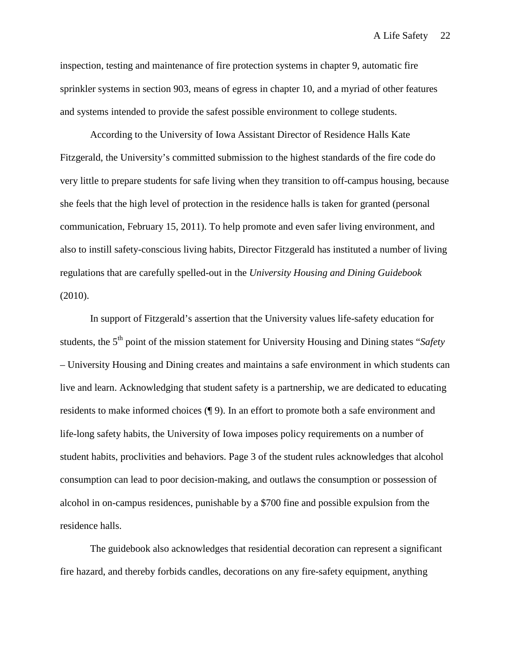inspection, testing and maintenance of fire protection systems in chapter 9, automatic fire sprinkler systems in section 903, means of egress in chapter 10, and a myriad of other features and systems intended to provide the safest possible environment to college students.

According to the University of Iowa Assistant Director of Residence Halls Kate Fitzgerald, the University's committed submission to the highest standards of the fire code do very little to prepare students for safe living when they transition to off-campus housing, because she feels that the high level of protection in the residence halls is taken for granted (personal communication, February 15, 2011). To help promote and even safer living environment, and also to instill safety-conscious living habits, Director Fitzgerald has instituted a number of living regulations that are carefully spelled-out in the *University Housing and Dining Guidebook* (2010).

In support of Fitzgerald's assertion that the University values life-safety education for students, the 5<sup>th</sup> point of the mission statement for University Housing and Dining states "*Safety –* University Housing and Dining creates and maintains a safe environment in which students can live and learn. Acknowledging that student safety is a partnership, we are dedicated to educating residents to make informed choices (¶ 9). In an effort to promote both a safe environment and life-long safety habits, the University of Iowa imposes policy requirements on a number of student habits, proclivities and behaviors. Page 3 of the student rules acknowledges that alcohol consumption can lead to poor decision-making, and outlaws the consumption or possession of alcohol in on-campus residences, punishable by a \$700 fine and possible expulsion from the residence halls.

The guidebook also acknowledges that residential decoration can represent a significant fire hazard, and thereby forbids candles, decorations on any fire-safety equipment, anything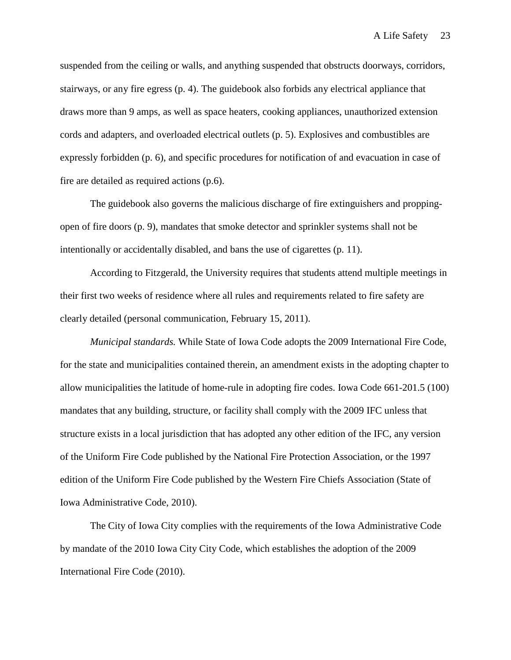suspended from the ceiling or walls, and anything suspended that obstructs doorways, corridors, stairways, or any fire egress (p. 4). The guidebook also forbids any electrical appliance that draws more than 9 amps, as well as space heaters, cooking appliances, unauthorized extension cords and adapters, and overloaded electrical outlets (p. 5). Explosives and combustibles are expressly forbidden (p. 6), and specific procedures for notification of and evacuation in case of fire are detailed as required actions (p.6).

The guidebook also governs the malicious discharge of fire extinguishers and proppingopen of fire doors (p. 9), mandates that smoke detector and sprinkler systems shall not be intentionally or accidentally disabled, and bans the use of cigarettes (p. 11).

According to Fitzgerald, the University requires that students attend multiple meetings in their first two weeks of residence where all rules and requirements related to fire safety are clearly detailed (personal communication, February 15, 2011).

*Municipal standards.* While State of Iowa Code adopts the 2009 International Fire Code, for the state and municipalities contained therein, an amendment exists in the adopting chapter to allow municipalities the latitude of home-rule in adopting fire codes. Iowa Code 661-201.5 (100) mandates that any building, structure, or facility shall comply with the 2009 IFC unless that structure exists in a local jurisdiction that has adopted any other edition of the IFC, any version of the Uniform Fire Code published by the National Fire Protection Association, or the 1997 edition of the Uniform Fire Code published by the Western Fire Chiefs Association (State of Iowa Administrative Code, 2010).

The City of Iowa City complies with the requirements of the Iowa Administrative Code by mandate of the 2010 Iowa City City Code, which establishes the adoption of the 2009 International Fire Code (2010).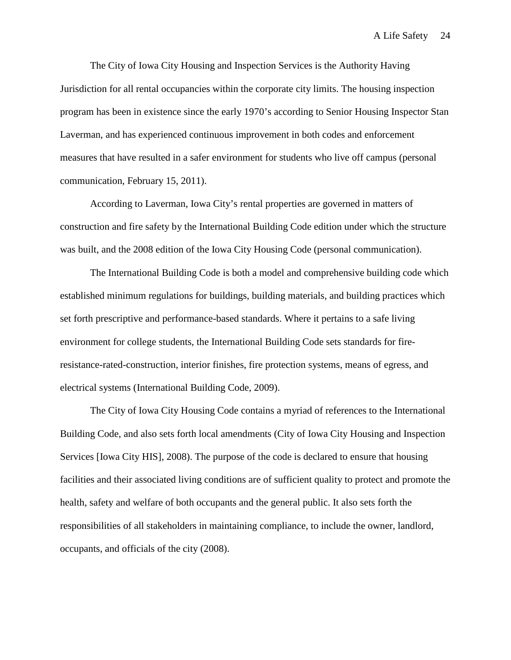The City of Iowa City Housing and Inspection Services is the Authority Having Jurisdiction for all rental occupancies within the corporate city limits. The housing inspection program has been in existence since the early 1970's according to Senior Housing Inspector Stan Laverman, and has experienced continuous improvement in both codes and enforcement measures that have resulted in a safer environment for students who live off campus (personal communication, February 15, 2011).

According to Laverman, Iowa City's rental properties are governed in matters of construction and fire safety by the International Building Code edition under which the structure was built, and the 2008 edition of the Iowa City Housing Code (personal communication).

The International Building Code is both a model and comprehensive building code which established minimum regulations for buildings, building materials, and building practices which set forth prescriptive and performance-based standards. Where it pertains to a safe living environment for college students, the International Building Code sets standards for fireresistance-rated-construction, interior finishes, fire protection systems, means of egress, and electrical systems (International Building Code, 2009).

The City of Iowa City Housing Code contains a myriad of references to the International Building Code, and also sets forth local amendments (City of Iowa City Housing and Inspection Services [Iowa City HIS], 2008). The purpose of the code is declared to ensure that housing facilities and their associated living conditions are of sufficient quality to protect and promote the health, safety and welfare of both occupants and the general public. It also sets forth the responsibilities of all stakeholders in maintaining compliance, to include the owner, landlord, occupants, and officials of the city (2008).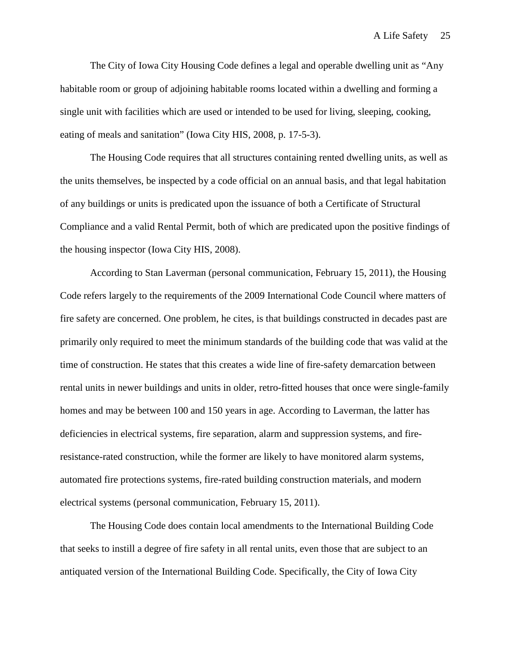The City of Iowa City Housing Code defines a legal and operable dwelling unit as "Any habitable room or group of adjoining habitable rooms located within a dwelling and forming a single unit with facilities which are used or intended to be used for living, sleeping, cooking, eating of meals and sanitation" (Iowa City HIS, 2008, p. 17-5-3).

The Housing Code requires that all structures containing rented dwelling units, as well as the units themselves, be inspected by a code official on an annual basis, and that legal habitation of any buildings or units is predicated upon the issuance of both a Certificate of Structural Compliance and a valid Rental Permit, both of which are predicated upon the positive findings of the housing inspector (Iowa City HIS, 2008).

According to Stan Laverman (personal communication, February 15, 2011), the Housing Code refers largely to the requirements of the 2009 International Code Council where matters of fire safety are concerned. One problem, he cites, is that buildings constructed in decades past are primarily only required to meet the minimum standards of the building code that was valid at the time of construction. He states that this creates a wide line of fire-safety demarcation between rental units in newer buildings and units in older, retro-fitted houses that once were single-family homes and may be between 100 and 150 years in age. According to Laverman, the latter has deficiencies in electrical systems, fire separation, alarm and suppression systems, and fireresistance-rated construction, while the former are likely to have monitored alarm systems, automated fire protections systems, fire-rated building construction materials, and modern electrical systems (personal communication, February 15, 2011).

The Housing Code does contain local amendments to the International Building Code that seeks to instill a degree of fire safety in all rental units, even those that are subject to an antiquated version of the International Building Code. Specifically, the City of Iowa City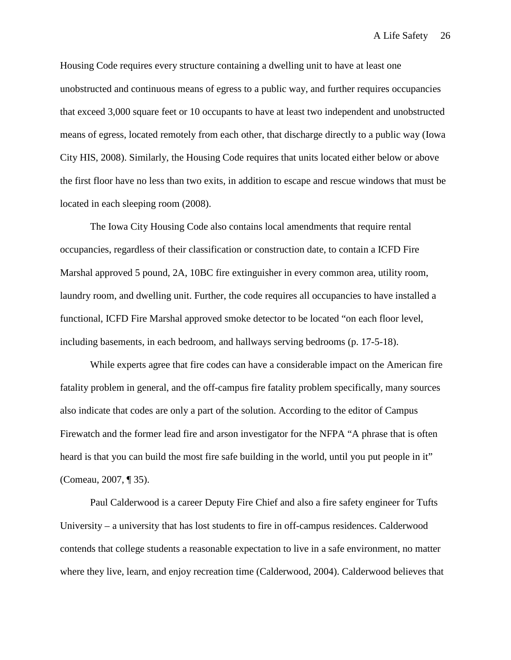Housing Code requires every structure containing a dwelling unit to have at least one unobstructed and continuous means of egress to a public way, and further requires occupancies that exceed 3,000 square feet or 10 occupants to have at least two independent and unobstructed means of egress, located remotely from each other, that discharge directly to a public way (Iowa City HIS, 2008). Similarly, the Housing Code requires that units located either below or above the first floor have no less than two exits, in addition to escape and rescue windows that must be located in each sleeping room (2008).

The Iowa City Housing Code also contains local amendments that require rental occupancies, regardless of their classification or construction date, to contain a ICFD Fire Marshal approved 5 pound, 2A, 10BC fire extinguisher in every common area, utility room, laundry room, and dwelling unit. Further, the code requires all occupancies to have installed a functional, ICFD Fire Marshal approved smoke detector to be located "on each floor level, including basements, in each bedroom, and hallways serving bedrooms (p. 17-5-18).

While experts agree that fire codes can have a considerable impact on the American fire fatality problem in general, and the off-campus fire fatality problem specifically, many sources also indicate that codes are only a part of the solution. According to the editor of Campus Firewatch and the former lead fire and arson investigator for the NFPA "A phrase that is often heard is that you can build the most fire safe building in the world, until you put people in it" (Comeau, 2007, ¶ 35).

Paul Calderwood is a career Deputy Fire Chief and also a fire safety engineer for Tufts University – a university that has lost students to fire in off-campus residences. Calderwood contends that college students a reasonable expectation to live in a safe environment, no matter where they live, learn, and enjoy recreation time (Calderwood, 2004). Calderwood believes that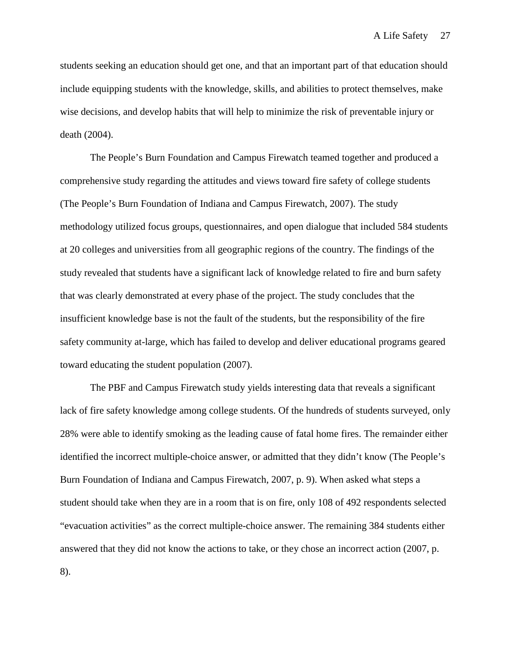students seeking an education should get one, and that an important part of that education should include equipping students with the knowledge, skills, and abilities to protect themselves, make wise decisions, and develop habits that will help to minimize the risk of preventable injury or death (2004).

The People's Burn Foundation and Campus Firewatch teamed together and produced a comprehensive study regarding the attitudes and views toward fire safety of college students (The People's Burn Foundation of Indiana and Campus Firewatch, 2007). The study methodology utilized focus groups, questionnaires, and open dialogue that included 584 students at 20 colleges and universities from all geographic regions of the country. The findings of the study revealed that students have a significant lack of knowledge related to fire and burn safety that was clearly demonstrated at every phase of the project. The study concludes that the insufficient knowledge base is not the fault of the students, but the responsibility of the fire safety community at-large, which has failed to develop and deliver educational programs geared toward educating the student population (2007).

The PBF and Campus Firewatch study yields interesting data that reveals a significant lack of fire safety knowledge among college students. Of the hundreds of students surveyed, only 28% were able to identify smoking as the leading cause of fatal home fires. The remainder either identified the incorrect multiple-choice answer, or admitted that they didn't know (The People's Burn Foundation of Indiana and Campus Firewatch, 2007, p. 9). When asked what steps a student should take when they are in a room that is on fire, only 108 of 492 respondents selected "evacuation activities" as the correct multiple-choice answer. The remaining 384 students either answered that they did not know the actions to take, or they chose an incorrect action (2007, p. 8).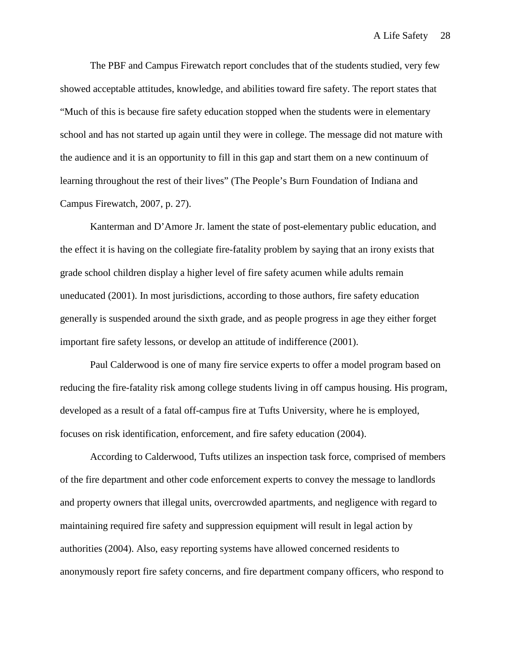The PBF and Campus Firewatch report concludes that of the students studied, very few showed acceptable attitudes, knowledge, and abilities toward fire safety. The report states that "Much of this is because fire safety education stopped when the students were in elementary school and has not started up again until they were in college. The message did not mature with the audience and it is an opportunity to fill in this gap and start them on a new continuum of learning throughout the rest of their lives" (The People's Burn Foundation of Indiana and Campus Firewatch, 2007, p. 27).

Kanterman and D'Amore Jr. lament the state of post-elementary public education, and the effect it is having on the collegiate fire-fatality problem by saying that an irony exists that grade school children display a higher level of fire safety acumen while adults remain uneducated (2001). In most jurisdictions, according to those authors, fire safety education generally is suspended around the sixth grade, and as people progress in age they either forget important fire safety lessons, or develop an attitude of indifference (2001).

Paul Calderwood is one of many fire service experts to offer a model program based on reducing the fire-fatality risk among college students living in off campus housing. His program, developed as a result of a fatal off-campus fire at Tufts University, where he is employed, focuses on risk identification, enforcement, and fire safety education (2004).

According to Calderwood, Tufts utilizes an inspection task force, comprised of members of the fire department and other code enforcement experts to convey the message to landlords and property owners that illegal units, overcrowded apartments, and negligence with regard to maintaining required fire safety and suppression equipment will result in legal action by authorities (2004). Also, easy reporting systems have allowed concerned residents to anonymously report fire safety concerns, and fire department company officers, who respond to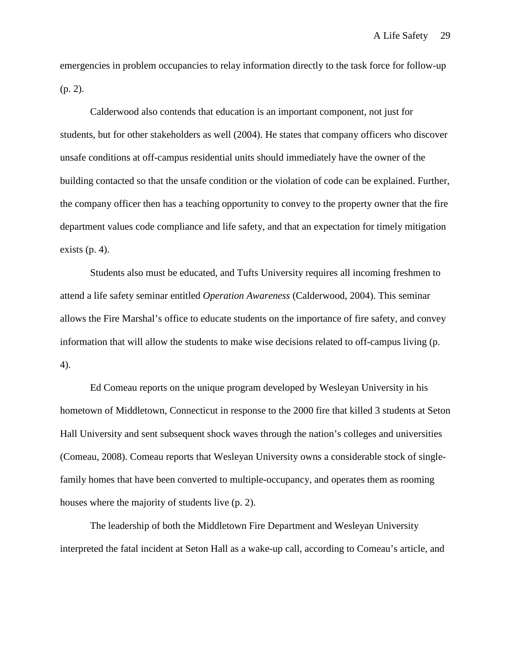emergencies in problem occupancies to relay information directly to the task force for follow-up (p. 2).

Calderwood also contends that education is an important component, not just for students, but for other stakeholders as well (2004). He states that company officers who discover unsafe conditions at off-campus residential units should immediately have the owner of the building contacted so that the unsafe condition or the violation of code can be explained. Further, the company officer then has a teaching opportunity to convey to the property owner that the fire department values code compliance and life safety, and that an expectation for timely mitigation exists  $(p. 4)$ .

Students also must be educated, and Tufts University requires all incoming freshmen to attend a life safety seminar entitled *Operation Awareness* (Calderwood, 2004). This seminar allows the Fire Marshal's office to educate students on the importance of fire safety, and convey information that will allow the students to make wise decisions related to off-campus living (p. 4).

Ed Comeau reports on the unique program developed by Wesleyan University in his hometown of Middletown, Connecticut in response to the 2000 fire that killed 3 students at Seton Hall University and sent subsequent shock waves through the nation's colleges and universities (Comeau, 2008). Comeau reports that Wesleyan University owns a considerable stock of singlefamily homes that have been converted to multiple-occupancy, and operates them as rooming houses where the majority of students live (p. 2).

The leadership of both the Middletown Fire Department and Wesleyan University interpreted the fatal incident at Seton Hall as a wake-up call, according to Comeau's article, and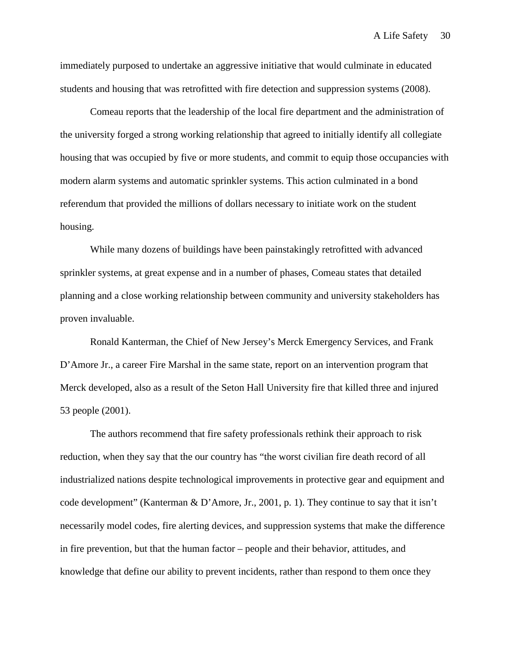immediately purposed to undertake an aggressive initiative that would culminate in educated students and housing that was retrofitted with fire detection and suppression systems (2008).

Comeau reports that the leadership of the local fire department and the administration of the university forged a strong working relationship that agreed to initially identify all collegiate housing that was occupied by five or more students, and commit to equip those occupancies with modern alarm systems and automatic sprinkler systems. This action culminated in a bond referendum that provided the millions of dollars necessary to initiate work on the student housing.

While many dozens of buildings have been painstakingly retrofitted with advanced sprinkler systems, at great expense and in a number of phases, Comeau states that detailed planning and a close working relationship between community and university stakeholders has proven invaluable.

Ronald Kanterman, the Chief of New Jersey's Merck Emergency Services, and Frank D'Amore Jr., a career Fire Marshal in the same state, report on an intervention program that Merck developed, also as a result of the Seton Hall University fire that killed three and injured 53 people (2001).

The authors recommend that fire safety professionals rethink their approach to risk reduction, when they say that the our country has "the worst civilian fire death record of all industrialized nations despite technological improvements in protective gear and equipment and code development" (Kanterman & D'Amore, Jr., 2001, p. 1). They continue to say that it isn't necessarily model codes, fire alerting devices, and suppression systems that make the difference in fire prevention, but that the human factor – people and their behavior, attitudes, and knowledge that define our ability to prevent incidents, rather than respond to them once they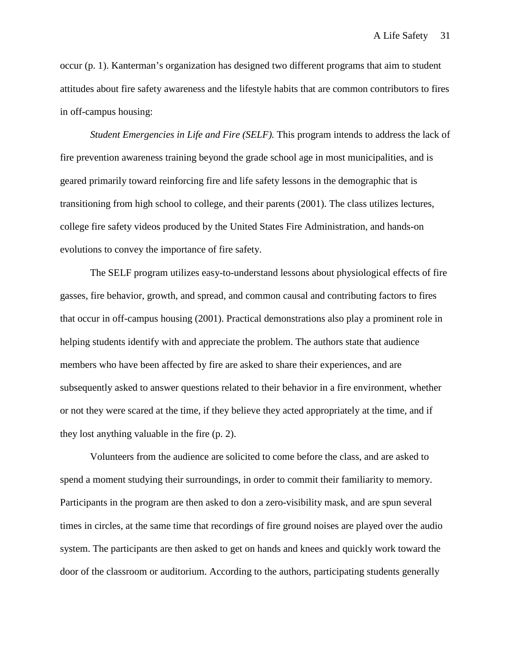occur (p. 1). Kanterman's organization has designed two different programs that aim to student attitudes about fire safety awareness and the lifestyle habits that are common contributors to fires in off-campus housing:

*Student Emergencies in Life and Fire (SELF).* This program intends to address the lack of fire prevention awareness training beyond the grade school age in most municipalities, and is geared primarily toward reinforcing fire and life safety lessons in the demographic that is transitioning from high school to college, and their parents (2001). The class utilizes lectures, college fire safety videos produced by the United States Fire Administration, and hands-on evolutions to convey the importance of fire safety.

The SELF program utilizes easy-to-understand lessons about physiological effects of fire gasses, fire behavior, growth, and spread, and common causal and contributing factors to fires that occur in off-campus housing (2001). Practical demonstrations also play a prominent role in helping students identify with and appreciate the problem. The authors state that audience members who have been affected by fire are asked to share their experiences, and are subsequently asked to answer questions related to their behavior in a fire environment, whether or not they were scared at the time, if they believe they acted appropriately at the time, and if they lost anything valuable in the fire (p. 2).

Volunteers from the audience are solicited to come before the class, and are asked to spend a moment studying their surroundings, in order to commit their familiarity to memory. Participants in the program are then asked to don a zero-visibility mask, and are spun several times in circles, at the same time that recordings of fire ground noises are played over the audio system. The participants are then asked to get on hands and knees and quickly work toward the door of the classroom or auditorium. According to the authors, participating students generally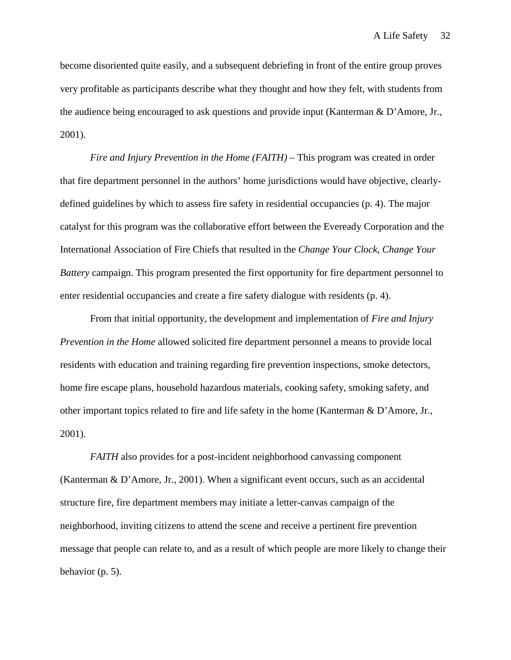become disoriented quite easily, and a subsequent debriefing in front of the entire group proves very profitable as participants describe what they thought and how they felt, with students from the audience being encouraged to ask questions and provide input (Kanterman & D'Amore, Jr., 2001).

*Fire and Injury Prevention in the Home (FAITH) –* This program was created in order that fire department personnel in the authors' home jurisdictions would have objective, clearlydefined guidelines by which to assess fire safety in residential occupancies (p. 4). The major catalyst for this program was the collaborative effort between the Eveready Corporation and the International Association of Fire Chiefs that resulted in the *Change Your Clock, Change Your Battery* campaign. This program presented the first opportunity for fire department personnel to enter residential occupancies and create a fire safety dialogue with residents (p. 4).

From that initial opportunity, the development and implementation of *Fire and Injury Prevention in the Home* allowed solicited fire department personnel a means to provide local residents with education and training regarding fire prevention inspections, smoke detectors, home fire escape plans, household hazardous materials, cooking safety, smoking safety, and other important topics related to fire and life safety in the home (Kanterman & D'Amore, Jr., 2001).

*FAITH* also provides for a post-incident neighborhood canvassing component (Kanterman & D'Amore, Jr., 2001). When a significant event occurs, such as an accidental structure fire, fire department members may initiate a letter-canvas campaign of the neighborhood, inviting citizens to attend the scene and receive a pertinent fire prevention message that people can relate to, and as a result of which people are more likely to change their behavior (p. 5).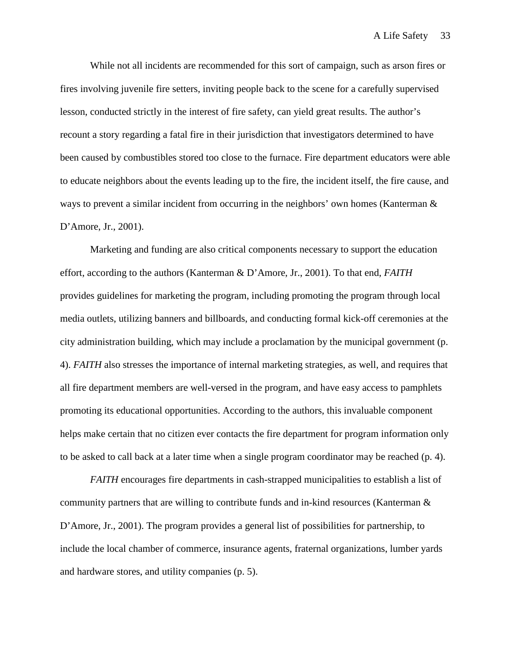While not all incidents are recommended for this sort of campaign, such as arson fires or fires involving juvenile fire setters, inviting people back to the scene for a carefully supervised lesson, conducted strictly in the interest of fire safety, can yield great results. The author's recount a story regarding a fatal fire in their jurisdiction that investigators determined to have been caused by combustibles stored too close to the furnace. Fire department educators were able to educate neighbors about the events leading up to the fire, the incident itself, the fire cause, and ways to prevent a similar incident from occurring in the neighbors' own homes (Kanterman & D'Amore, Jr., 2001).

Marketing and funding are also critical components necessary to support the education effort, according to the authors (Kanterman & D'Amore, Jr., 2001). To that end, *FAITH*  provides guidelines for marketing the program, including promoting the program through local media outlets, utilizing banners and billboards, and conducting formal kick-off ceremonies at the city administration building, which may include a proclamation by the municipal government (p. 4). *FAITH* also stresses the importance of internal marketing strategies, as well, and requires that all fire department members are well-versed in the program, and have easy access to pamphlets promoting its educational opportunities. According to the authors, this invaluable component helps make certain that no citizen ever contacts the fire department for program information only to be asked to call back at a later time when a single program coordinator may be reached (p. 4).

*FAITH* encourages fire departments in cash-strapped municipalities to establish a list of community partners that are willing to contribute funds and in-kind resources (Kanterman & D'Amore, Jr., 2001). The program provides a general list of possibilities for partnership, to include the local chamber of commerce, insurance agents, fraternal organizations, lumber yards and hardware stores, and utility companies (p. 5).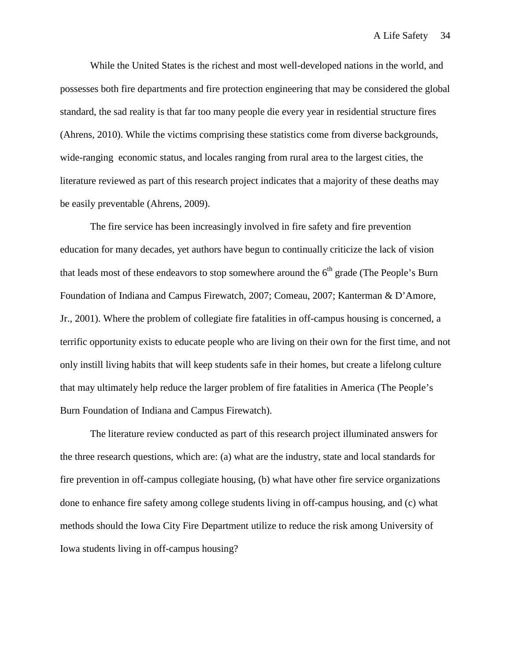While the United States is the richest and most well-developed nations in the world, and possesses both fire departments and fire protection engineering that may be considered the global standard, the sad reality is that far too many people die every year in residential structure fires (Ahrens, 2010). While the victims comprising these statistics come from diverse backgrounds, wide-ranging economic status, and locales ranging from rural area to the largest cities, the literature reviewed as part of this research project indicates that a majority of these deaths may be easily preventable (Ahrens, 2009).

The fire service has been increasingly involved in fire safety and fire prevention education for many decades, yet authors have begun to continually criticize the lack of vision that leads most of these endeavors to stop somewhere around the  $6<sup>th</sup>$  grade (The People's Burn Foundation of Indiana and Campus Firewatch, 2007; Comeau, 2007; Kanterman & D'Amore, Jr., 2001). Where the problem of collegiate fire fatalities in off-campus housing is concerned, a terrific opportunity exists to educate people who are living on their own for the first time, and not only instill living habits that will keep students safe in their homes, but create a lifelong culture that may ultimately help reduce the larger problem of fire fatalities in America (The People's Burn Foundation of Indiana and Campus Firewatch).

The literature review conducted as part of this research project illuminated answers for the three research questions, which are: (a) what are the industry, state and local standards for fire prevention in off-campus collegiate housing, (b) what have other fire service organizations done to enhance fire safety among college students living in off-campus housing, and (c) what methods should the Iowa City Fire Department utilize to reduce the risk among University of Iowa students living in off-campus housing?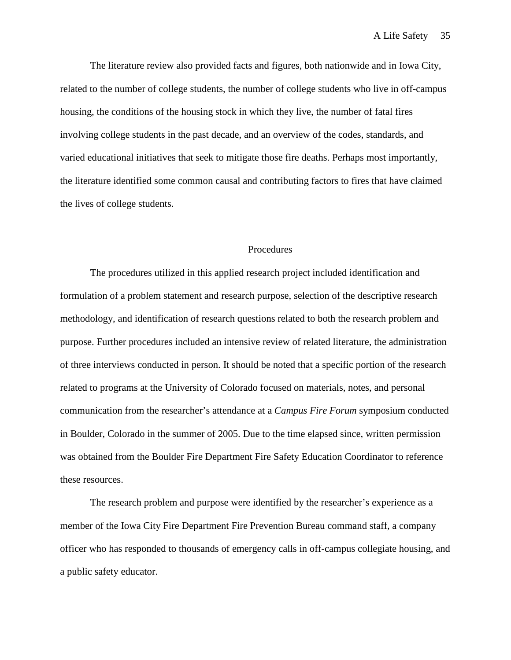The literature review also provided facts and figures, both nationwide and in Iowa City, related to the number of college students, the number of college students who live in off-campus housing, the conditions of the housing stock in which they live, the number of fatal fires involving college students in the past decade, and an overview of the codes, standards, and varied educational initiatives that seek to mitigate those fire deaths. Perhaps most importantly, the literature identified some common causal and contributing factors to fires that have claimed the lives of college students.

## Procedures

The procedures utilized in this applied research project included identification and formulation of a problem statement and research purpose, selection of the descriptive research methodology, and identification of research questions related to both the research problem and purpose. Further procedures included an intensive review of related literature, the administration of three interviews conducted in person. It should be noted that a specific portion of the research related to programs at the University of Colorado focused on materials, notes, and personal communication from the researcher's attendance at a *Campus Fire Forum* symposium conducted in Boulder, Colorado in the summer of 2005. Due to the time elapsed since, written permission was obtained from the Boulder Fire Department Fire Safety Education Coordinator to reference these resources.

The research problem and purpose were identified by the researcher's experience as a member of the Iowa City Fire Department Fire Prevention Bureau command staff, a company officer who has responded to thousands of emergency calls in off-campus collegiate housing, and a public safety educator.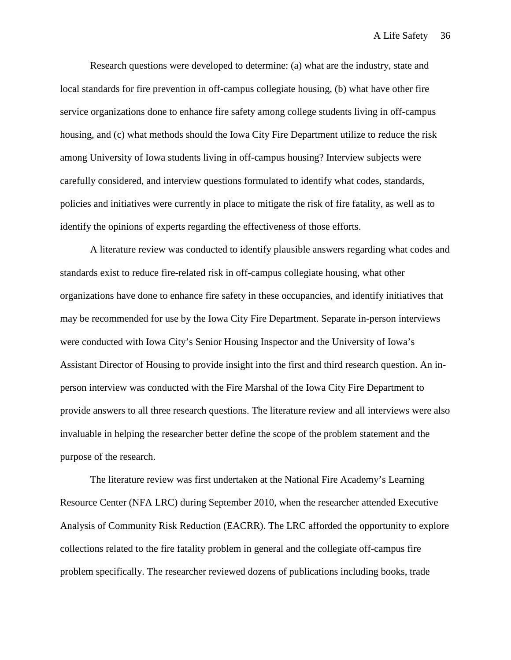Research questions were developed to determine: (a) what are the industry, state and local standards for fire prevention in off-campus collegiate housing, (b) what have other fire service organizations done to enhance fire safety among college students living in off-campus housing, and (c) what methods should the Iowa City Fire Department utilize to reduce the risk among University of Iowa students living in off-campus housing? Interview subjects were carefully considered, and interview questions formulated to identify what codes, standards, policies and initiatives were currently in place to mitigate the risk of fire fatality, as well as to identify the opinions of experts regarding the effectiveness of those efforts.

A literature review was conducted to identify plausible answers regarding what codes and standards exist to reduce fire-related risk in off-campus collegiate housing, what other organizations have done to enhance fire safety in these occupancies, and identify initiatives that may be recommended for use by the Iowa City Fire Department. Separate in-person interviews were conducted with Iowa City's Senior Housing Inspector and the University of Iowa's Assistant Director of Housing to provide insight into the first and third research question. An inperson interview was conducted with the Fire Marshal of the Iowa City Fire Department to provide answers to all three research questions. The literature review and all interviews were also invaluable in helping the researcher better define the scope of the problem statement and the purpose of the research.

The literature review was first undertaken at the National Fire Academy's Learning Resource Center (NFA LRC) during September 2010, when the researcher attended Executive Analysis of Community Risk Reduction (EACRR). The LRC afforded the opportunity to explore collections related to the fire fatality problem in general and the collegiate off-campus fire problem specifically. The researcher reviewed dozens of publications including books, trade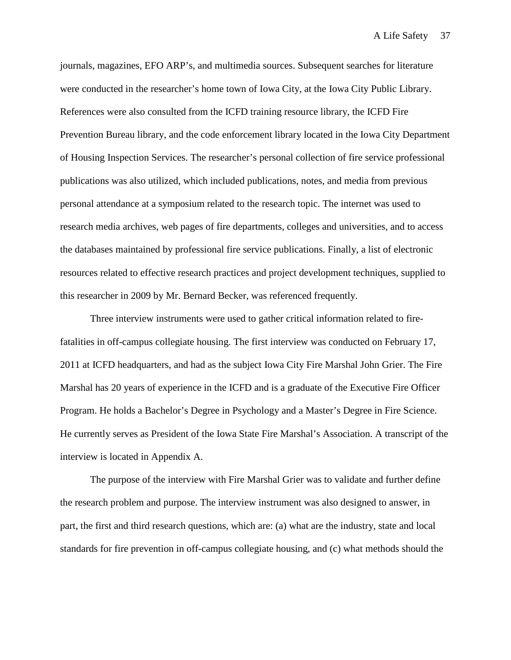journals, magazines, EFO ARP's, and multimedia sources. Subsequent searches for literature were conducted in the researcher's home town of Iowa City, at the Iowa City Public Library. References were also consulted from the ICFD training resource library, the ICFD Fire Prevention Bureau library, and the code enforcement library located in the Iowa City Department of Housing Inspection Services. The researcher's personal collection of fire service professional publications was also utilized, which included publications, notes, and media from previous personal attendance at a symposium related to the research topic. The internet was used to research media archives, web pages of fire departments, colleges and universities, and to access the databases maintained by professional fire service publications. Finally, a list of electronic resources related to effective research practices and project development techniques, supplied to this researcher in 2009 by Mr. Bernard Becker, was referenced frequently.

Three interview instruments were used to gather critical information related to firefatalities in off-campus collegiate housing. The first interview was conducted on February 17, 2011 at ICFD headquarters, and had as the subject Iowa City Fire Marshal John Grier. The Fire Marshal has 20 years of experience in the ICFD and is a graduate of the Executive Fire Officer Program. He holds a Bachelor's Degree in Psychology and a Master's Degree in Fire Science. He currently serves as President of the Iowa State Fire Marshal's Association. A transcript of the interview is located in Appendix A.

The purpose of the interview with Fire Marshal Grier was to validate and further define the research problem and purpose. The interview instrument was also designed to answer, in part, the first and third research questions, which are: (a) what are the industry, state and local standards for fire prevention in off-campus collegiate housing, and (c) what methods should the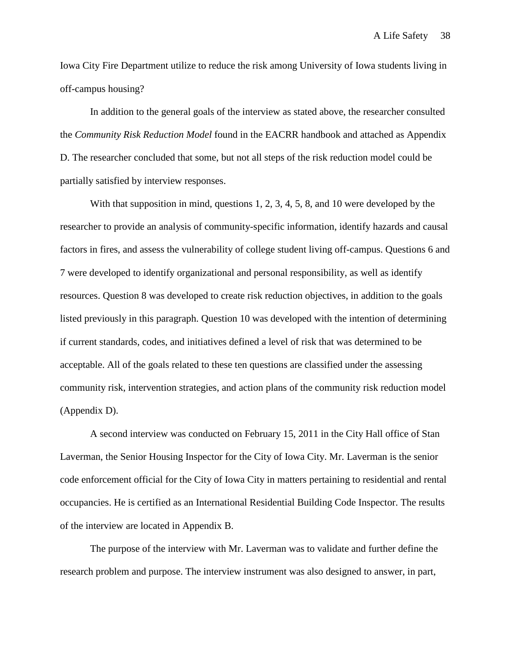Iowa City Fire Department utilize to reduce the risk among University of Iowa students living in off-campus housing?

In addition to the general goals of the interview as stated above, the researcher consulted the *Community Risk Reduction Model* found in the EACRR handbook and attached as Appendix D. The researcher concluded that some, but not all steps of the risk reduction model could be partially satisfied by interview responses.

With that supposition in mind, questions 1, 2, 3, 4, 5, 8, and 10 were developed by the researcher to provide an analysis of community-specific information, identify hazards and causal factors in fires, and assess the vulnerability of college student living off-campus. Questions 6 and 7 were developed to identify organizational and personal responsibility, as well as identify resources. Question 8 was developed to create risk reduction objectives, in addition to the goals listed previously in this paragraph. Question 10 was developed with the intention of determining if current standards, codes, and initiatives defined a level of risk that was determined to be acceptable. All of the goals related to these ten questions are classified under the assessing community risk, intervention strategies, and action plans of the community risk reduction model (Appendix D).

A second interview was conducted on February 15, 2011 in the City Hall office of Stan Laverman, the Senior Housing Inspector for the City of Iowa City. Mr. Laverman is the senior code enforcement official for the City of Iowa City in matters pertaining to residential and rental occupancies. He is certified as an International Residential Building Code Inspector. The results of the interview are located in Appendix B.

The purpose of the interview with Mr. Laverman was to validate and further define the research problem and purpose. The interview instrument was also designed to answer, in part,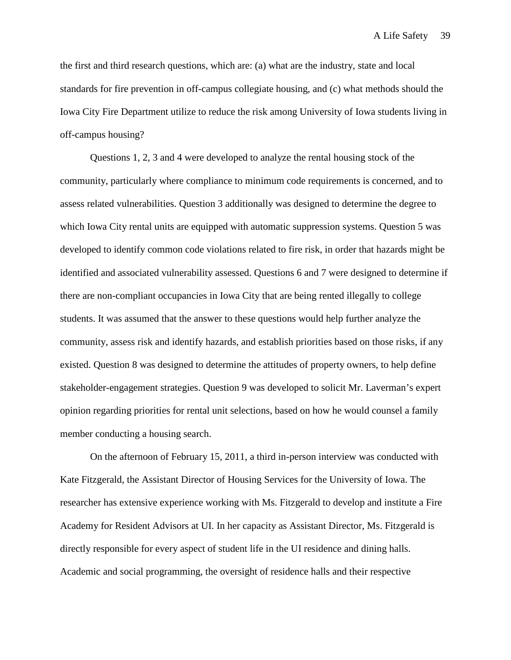the first and third research questions, which are: (a) what are the industry, state and local standards for fire prevention in off-campus collegiate housing, and (c) what methods should the Iowa City Fire Department utilize to reduce the risk among University of Iowa students living in off-campus housing?

Questions 1, 2, 3 and 4 were developed to analyze the rental housing stock of the community, particularly where compliance to minimum code requirements is concerned, and to assess related vulnerabilities. Question 3 additionally was designed to determine the degree to which Iowa City rental units are equipped with automatic suppression systems. Question 5 was developed to identify common code violations related to fire risk, in order that hazards might be identified and associated vulnerability assessed. Questions 6 and 7 were designed to determine if there are non-compliant occupancies in Iowa City that are being rented illegally to college students. It was assumed that the answer to these questions would help further analyze the community, assess risk and identify hazards, and establish priorities based on those risks, if any existed. Question 8 was designed to determine the attitudes of property owners, to help define stakeholder-engagement strategies. Question 9 was developed to solicit Mr. Laverman's expert opinion regarding priorities for rental unit selections, based on how he would counsel a family member conducting a housing search.

On the afternoon of February 15, 2011, a third in-person interview was conducted with Kate Fitzgerald, the Assistant Director of Housing Services for the University of Iowa. The researcher has extensive experience working with Ms. Fitzgerald to develop and institute a Fire Academy for Resident Advisors at UI. In her capacity as Assistant Director, Ms. Fitzgerald is directly responsible for every aspect of student life in the UI residence and dining halls. Academic and social programming, the oversight of residence halls and their respective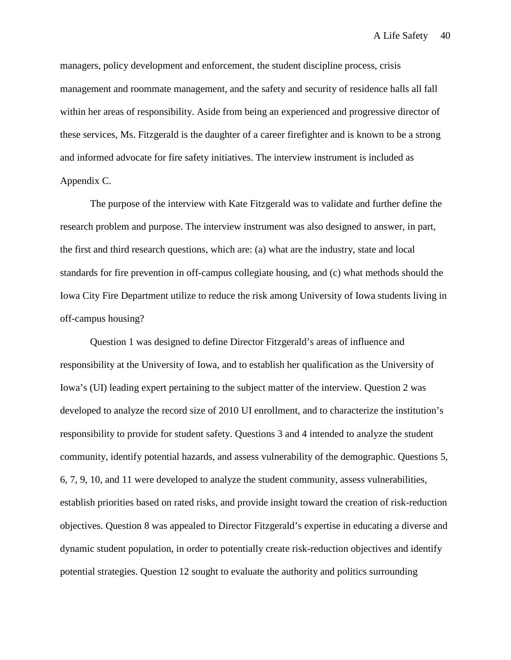managers, policy development and enforcement, the student discipline process, crisis management and roommate management, and the safety and security of residence halls all fall within her areas of responsibility. Aside from being an experienced and progressive director of these services, Ms. Fitzgerald is the daughter of a career firefighter and is known to be a strong and informed advocate for fire safety initiatives. The interview instrument is included as Appendix C.

The purpose of the interview with Kate Fitzgerald was to validate and further define the research problem and purpose. The interview instrument was also designed to answer, in part, the first and third research questions, which are: (a) what are the industry, state and local standards for fire prevention in off-campus collegiate housing, and (c) what methods should the Iowa City Fire Department utilize to reduce the risk among University of Iowa students living in off-campus housing?

Question 1 was designed to define Director Fitzgerald's areas of influence and responsibility at the University of Iowa, and to establish her qualification as the University of Iowa's (UI) leading expert pertaining to the subject matter of the interview. Question 2 was developed to analyze the record size of 2010 UI enrollment, and to characterize the institution's responsibility to provide for student safety. Questions 3 and 4 intended to analyze the student community, identify potential hazards, and assess vulnerability of the demographic. Questions 5, 6, 7, 9, 10, and 11 were developed to analyze the student community, assess vulnerabilities, establish priorities based on rated risks, and provide insight toward the creation of risk-reduction objectives. Question 8 was appealed to Director Fitzgerald's expertise in educating a diverse and dynamic student population, in order to potentially create risk-reduction objectives and identify potential strategies. Question 12 sought to evaluate the authority and politics surrounding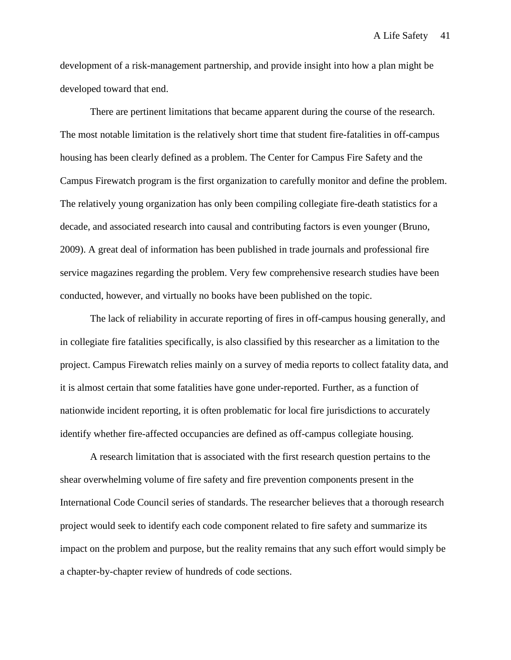development of a risk-management partnership, and provide insight into how a plan might be developed toward that end.

There are pertinent limitations that became apparent during the course of the research. The most notable limitation is the relatively short time that student fire-fatalities in off-campus housing has been clearly defined as a problem. The Center for Campus Fire Safety and the Campus Firewatch program is the first organization to carefully monitor and define the problem. The relatively young organization has only been compiling collegiate fire-death statistics for a decade, and associated research into causal and contributing factors is even younger (Bruno, 2009). A great deal of information has been published in trade journals and professional fire service magazines regarding the problem. Very few comprehensive research studies have been conducted, however, and virtually no books have been published on the topic.

The lack of reliability in accurate reporting of fires in off-campus housing generally, and in collegiate fire fatalities specifically, is also classified by this researcher as a limitation to the project. Campus Firewatch relies mainly on a survey of media reports to collect fatality data, and it is almost certain that some fatalities have gone under-reported. Further, as a function of nationwide incident reporting, it is often problematic for local fire jurisdictions to accurately identify whether fire-affected occupancies are defined as off-campus collegiate housing.

A research limitation that is associated with the first research question pertains to the shear overwhelming volume of fire safety and fire prevention components present in the International Code Council series of standards. The researcher believes that a thorough research project would seek to identify each code component related to fire safety and summarize its impact on the problem and purpose, but the reality remains that any such effort would simply be a chapter-by-chapter review of hundreds of code sections.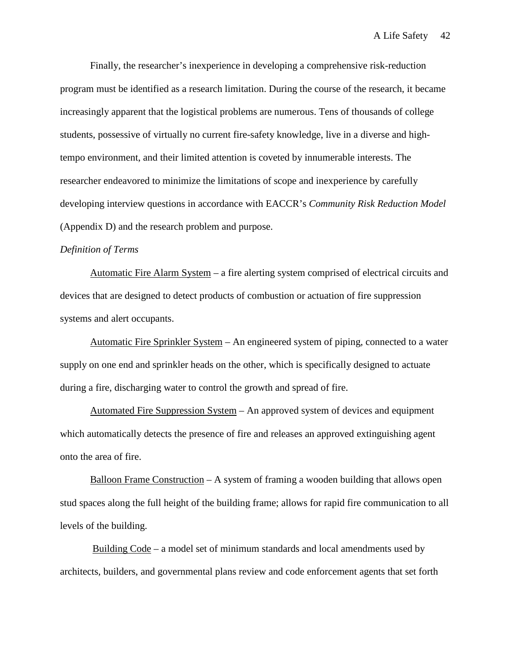Finally, the researcher's inexperience in developing a comprehensive risk-reduction program must be identified as a research limitation. During the course of the research, it became increasingly apparent that the logistical problems are numerous. Tens of thousands of college students, possessive of virtually no current fire-safety knowledge, live in a diverse and hightempo environment, and their limited attention is coveted by innumerable interests. The researcher endeavored to minimize the limitations of scope and inexperience by carefully developing interview questions in accordance with EACCR's *Community Risk Reduction Model*  (Appendix D) and the research problem and purpose.

## *Definition of Terms*

Automatic Fire Alarm System – a fire alerting system comprised of electrical circuits and devices that are designed to detect products of combustion or actuation of fire suppression systems and alert occupants.

Automatic Fire Sprinkler System – An engineered system of piping, connected to a water supply on one end and sprinkler heads on the other, which is specifically designed to actuate during a fire, discharging water to control the growth and spread of fire.

Automated Fire Suppression System – An approved system of devices and equipment which automatically detects the presence of fire and releases an approved extinguishing agent onto the area of fire.

Balloon Frame Construction  $- A$  system of framing a wooden building that allows open stud spaces along the full height of the building frame; allows for rapid fire communication to all levels of the building.

Building Code – a model set of minimum standards and local amendments used by architects, builders, and governmental plans review and code enforcement agents that set forth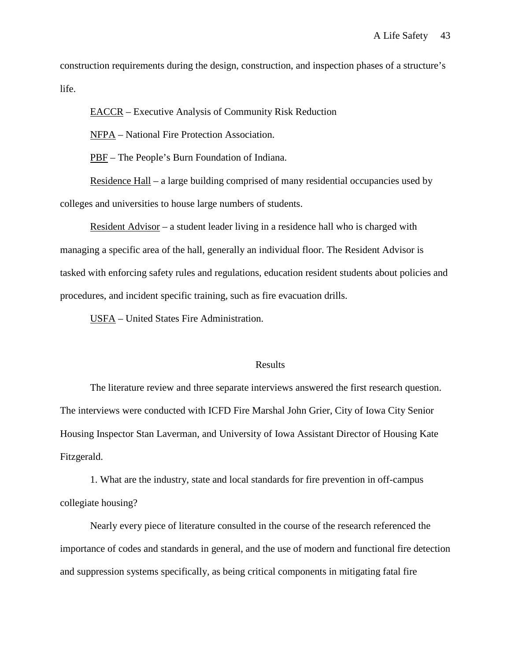construction requirements during the design, construction, and inspection phases of a structure's life.

EACCR – Executive Analysis of Community Risk Reduction

NFPA – National Fire Protection Association.

PBF – The People's Burn Foundation of Indiana.

Residence Hall – a large building comprised of many residential occupancies used by colleges and universities to house large numbers of students.

Resident Advisor – a student leader living in a residence hall who is charged with managing a specific area of the hall, generally an individual floor. The Resident Advisor is tasked with enforcing safety rules and regulations, education resident students about policies and procedures, and incident specific training, such as fire evacuation drills.

USFA – United States Fire Administration.

## Results

The literature review and three separate interviews answered the first research question. The interviews were conducted with ICFD Fire Marshal John Grier, City of Iowa City Senior Housing Inspector Stan Laverman, and University of Iowa Assistant Director of Housing Kate Fitzgerald.

1. What are the industry, state and local standards for fire prevention in off-campus collegiate housing?

Nearly every piece of literature consulted in the course of the research referenced the importance of codes and standards in general, and the use of modern and functional fire detection and suppression systems specifically, as being critical components in mitigating fatal fire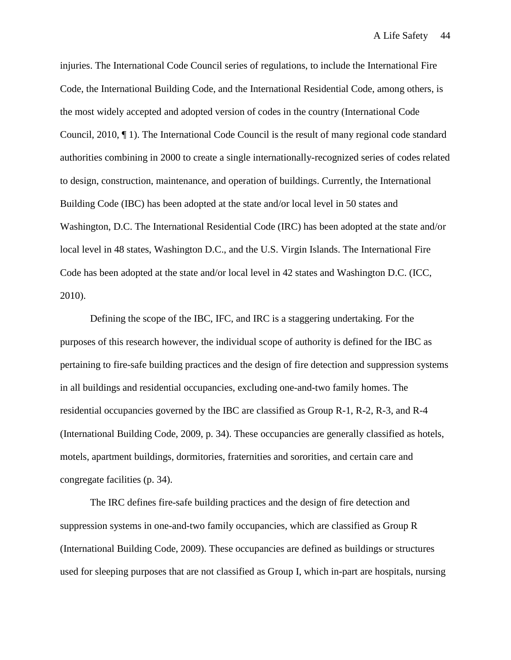injuries. The International Code Council series of regulations, to include the International Fire Code, the International Building Code, and the International Residential Code, among others, is the most widely accepted and adopted version of codes in the country (International Code Council, 2010, ¶ 1). The International Code Council is the result of many regional code standard authorities combining in 2000 to create a single internationally-recognized series of codes related to design, construction, maintenance, and operation of buildings. Currently, the International Building Code (IBC) has been adopted at the state and/or local level in 50 states and Washington, D.C. The International Residential Code (IRC) has been adopted at the state and/or local level in 48 states, Washington D.C., and the U.S. Virgin Islands. The International Fire Code has been adopted at the state and/or local level in 42 states and Washington D.C. (ICC, 2010).

Defining the scope of the IBC, IFC, and IRC is a staggering undertaking. For the purposes of this research however, the individual scope of authority is defined for the IBC as pertaining to fire-safe building practices and the design of fire detection and suppression systems in all buildings and residential occupancies, excluding one-and-two family homes. The residential occupancies governed by the IBC are classified as Group R-1, R-2, R-3, and R-4 (International Building Code, 2009, p. 34). These occupancies are generally classified as hotels, motels, apartment buildings, dormitories, fraternities and sororities, and certain care and congregate facilities (p. 34).

The IRC defines fire-safe building practices and the design of fire detection and suppression systems in one-and-two family occupancies, which are classified as Group R (International Building Code, 2009). These occupancies are defined as buildings or structures used for sleeping purposes that are not classified as Group I, which in-part are hospitals, nursing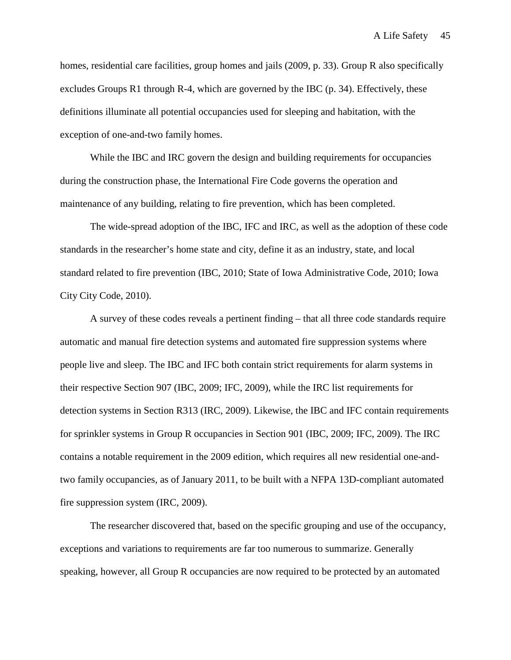homes, residential care facilities, group homes and jails (2009, p. 33). Group R also specifically excludes Groups R1 through R-4, which are governed by the IBC (p. 34). Effectively, these definitions illuminate all potential occupancies used for sleeping and habitation, with the exception of one-and-two family homes.

While the IBC and IRC govern the design and building requirements for occupancies during the construction phase, the International Fire Code governs the operation and maintenance of any building, relating to fire prevention, which has been completed.

The wide-spread adoption of the IBC, IFC and IRC, as well as the adoption of these code standards in the researcher's home state and city, define it as an industry, state, and local standard related to fire prevention (IBC, 2010; State of Iowa Administrative Code, 2010; Iowa City City Code, 2010).

A survey of these codes reveals a pertinent finding – that all three code standards require automatic and manual fire detection systems and automated fire suppression systems where people live and sleep. The IBC and IFC both contain strict requirements for alarm systems in their respective Section 907 (IBC, 2009; IFC, 2009), while the IRC list requirements for detection systems in Section R313 (IRC, 2009). Likewise, the IBC and IFC contain requirements for sprinkler systems in Group R occupancies in Section 901 (IBC, 2009; IFC, 2009). The IRC contains a notable requirement in the 2009 edition, which requires all new residential one-andtwo family occupancies, as of January 2011, to be built with a NFPA 13D-compliant automated fire suppression system (IRC, 2009).

The researcher discovered that, based on the specific grouping and use of the occupancy, exceptions and variations to requirements are far too numerous to summarize. Generally speaking, however, all Group R occupancies are now required to be protected by an automated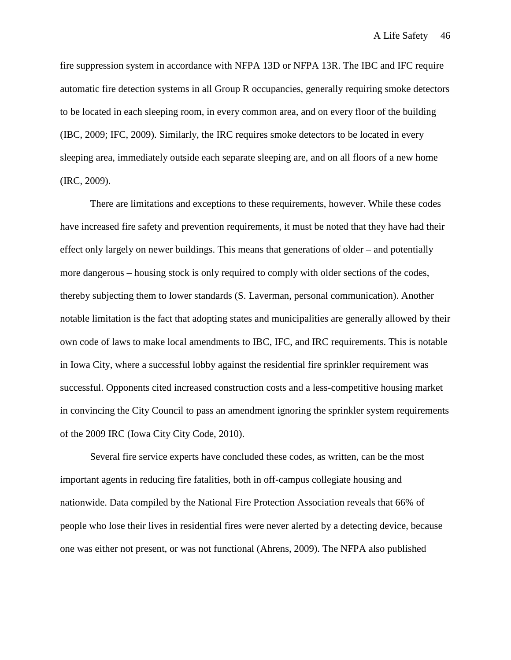fire suppression system in accordance with NFPA 13D or NFPA 13R. The IBC and IFC require automatic fire detection systems in all Group R occupancies, generally requiring smoke detectors to be located in each sleeping room, in every common area, and on every floor of the building (IBC, 2009; IFC, 2009). Similarly, the IRC requires smoke detectors to be located in every sleeping area, immediately outside each separate sleeping are, and on all floors of a new home (IRC, 2009).

There are limitations and exceptions to these requirements, however. While these codes have increased fire safety and prevention requirements, it must be noted that they have had their effect only largely on newer buildings. This means that generations of older – and potentially more dangerous – housing stock is only required to comply with older sections of the codes, thereby subjecting them to lower standards (S. Laverman, personal communication). Another notable limitation is the fact that adopting states and municipalities are generally allowed by their own code of laws to make local amendments to IBC, IFC, and IRC requirements. This is notable in Iowa City, where a successful lobby against the residential fire sprinkler requirement was successful. Opponents cited increased construction costs and a less-competitive housing market in convincing the City Council to pass an amendment ignoring the sprinkler system requirements of the 2009 IRC (Iowa City City Code, 2010).

Several fire service experts have concluded these codes, as written, can be the most important agents in reducing fire fatalities, both in off-campus collegiate housing and nationwide. Data compiled by the National Fire Protection Association reveals that 66% of people who lose their lives in residential fires were never alerted by a detecting device, because one was either not present, or was not functional (Ahrens, 2009). The NFPA also published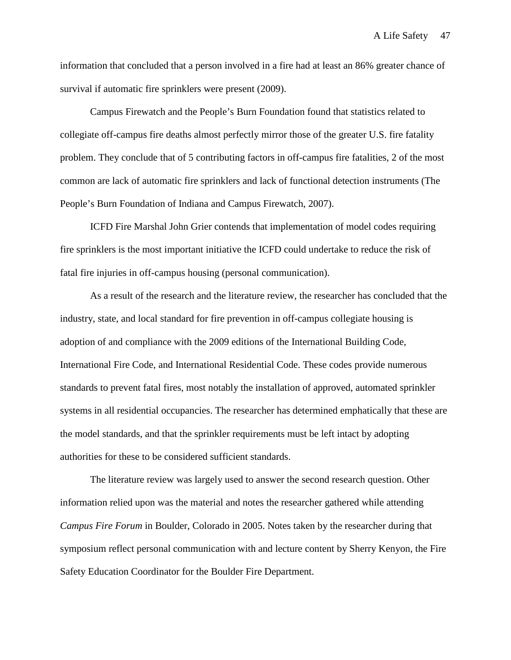information that concluded that a person involved in a fire had at least an 86% greater chance of survival if automatic fire sprinklers were present (2009).

Campus Firewatch and the People's Burn Foundation found that statistics related to collegiate off-campus fire deaths almost perfectly mirror those of the greater U.S. fire fatality problem. They conclude that of 5 contributing factors in off-campus fire fatalities, 2 of the most common are lack of automatic fire sprinklers and lack of functional detection instruments (The People's Burn Foundation of Indiana and Campus Firewatch, 2007).

ICFD Fire Marshal John Grier contends that implementation of model codes requiring fire sprinklers is the most important initiative the ICFD could undertake to reduce the risk of fatal fire injuries in off-campus housing (personal communication).

As a result of the research and the literature review, the researcher has concluded that the industry, state, and local standard for fire prevention in off-campus collegiate housing is adoption of and compliance with the 2009 editions of the International Building Code, International Fire Code, and International Residential Code. These codes provide numerous standards to prevent fatal fires, most notably the installation of approved, automated sprinkler systems in all residential occupancies. The researcher has determined emphatically that these are the model standards, and that the sprinkler requirements must be left intact by adopting authorities for these to be considered sufficient standards.

The literature review was largely used to answer the second research question. Other information relied upon was the material and notes the researcher gathered while attending *Campus Fire Forum* in Boulder, Colorado in 2005. Notes taken by the researcher during that symposium reflect personal communication with and lecture content by Sherry Kenyon, the Fire Safety Education Coordinator for the Boulder Fire Department.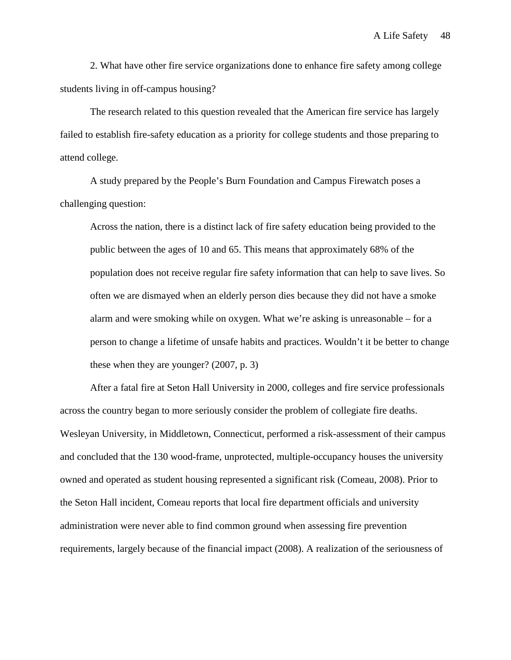2. What have other fire service organizations done to enhance fire safety among college students living in off-campus housing?

The research related to this question revealed that the American fire service has largely failed to establish fire-safety education as a priority for college students and those preparing to attend college.

A study prepared by the People's Burn Foundation and Campus Firewatch poses a challenging question:

Across the nation, there is a distinct lack of fire safety education being provided to the public between the ages of 10 and 65. This means that approximately 68% of the population does not receive regular fire safety information that can help to save lives. So often we are dismayed when an elderly person dies because they did not have a smoke alarm and were smoking while on oxygen. What we're asking is unreasonable – for a person to change a lifetime of unsafe habits and practices. Wouldn't it be better to change these when they are younger? (2007, p. 3)

After a fatal fire at Seton Hall University in 2000, colleges and fire service professionals across the country began to more seriously consider the problem of collegiate fire deaths. Wesleyan University, in Middletown, Connecticut, performed a risk-assessment of their campus and concluded that the 130 wood-frame, unprotected, multiple-occupancy houses the university owned and operated as student housing represented a significant risk (Comeau, 2008). Prior to the Seton Hall incident, Comeau reports that local fire department officials and university administration were never able to find common ground when assessing fire prevention requirements, largely because of the financial impact (2008). A realization of the seriousness of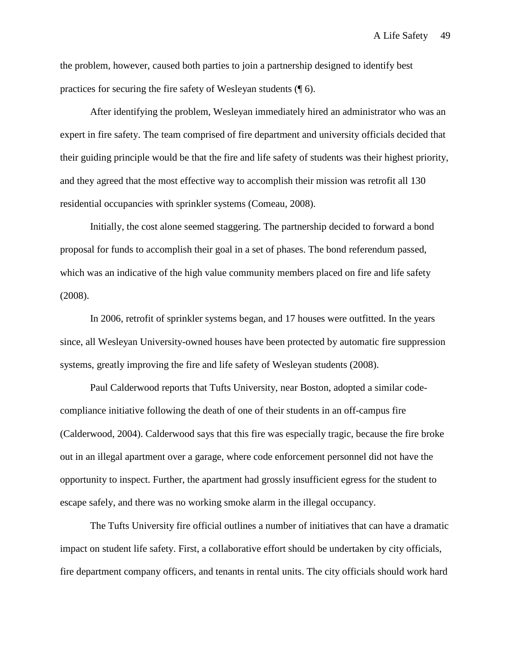the problem, however, caused both parties to join a partnership designed to identify best practices for securing the fire safety of Wesleyan students (¶ 6).

After identifying the problem, Wesleyan immediately hired an administrator who was an expert in fire safety. The team comprised of fire department and university officials decided that their guiding principle would be that the fire and life safety of students was their highest priority, and they agreed that the most effective way to accomplish their mission was retrofit all 130 residential occupancies with sprinkler systems (Comeau, 2008).

Initially, the cost alone seemed staggering. The partnership decided to forward a bond proposal for funds to accomplish their goal in a set of phases. The bond referendum passed, which was an indicative of the high value community members placed on fire and life safety (2008).

In 2006, retrofit of sprinkler systems began, and 17 houses were outfitted. In the years since, all Wesleyan University-owned houses have been protected by automatic fire suppression systems, greatly improving the fire and life safety of Wesleyan students (2008).

Paul Calderwood reports that Tufts University, near Boston, adopted a similar codecompliance initiative following the death of one of their students in an off-campus fire (Calderwood, 2004). Calderwood says that this fire was especially tragic, because the fire broke out in an illegal apartment over a garage, where code enforcement personnel did not have the opportunity to inspect. Further, the apartment had grossly insufficient egress for the student to escape safely, and there was no working smoke alarm in the illegal occupancy.

The Tufts University fire official outlines a number of initiatives that can have a dramatic impact on student life safety. First, a collaborative effort should be undertaken by city officials, fire department company officers, and tenants in rental units. The city officials should work hard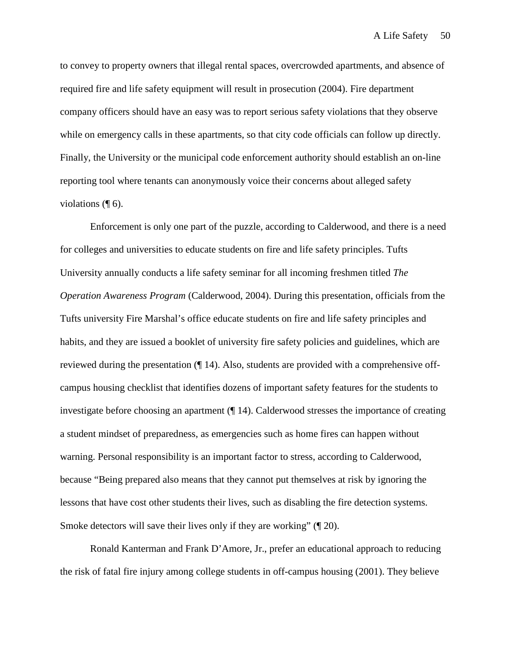to convey to property owners that illegal rental spaces, overcrowded apartments, and absence of required fire and life safety equipment will result in prosecution (2004). Fire department company officers should have an easy was to report serious safety violations that they observe while on emergency calls in these apartments, so that city code officials can follow up directly. Finally, the University or the municipal code enforcement authority should establish an on-line reporting tool where tenants can anonymously voice their concerns about alleged safety violations  $(\P 6)$ .

Enforcement is only one part of the puzzle, according to Calderwood, and there is a need for colleges and universities to educate students on fire and life safety principles. Tufts University annually conducts a life safety seminar for all incoming freshmen titled *The Operation Awareness Program* (Calderwood, 2004). During this presentation, officials from the Tufts university Fire Marshal's office educate students on fire and life safety principles and habits, and they are issued a booklet of university fire safety policies and guidelines, which are reviewed during the presentation (¶ 14). Also, students are provided with a comprehensive offcampus housing checklist that identifies dozens of important safety features for the students to investigate before choosing an apartment (¶ 14). Calderwood stresses the importance of creating a student mindset of preparedness, as emergencies such as home fires can happen without warning. Personal responsibility is an important factor to stress, according to Calderwood, because "Being prepared also means that they cannot put themselves at risk by ignoring the lessons that have cost other students their lives, such as disabling the fire detection systems. Smoke detectors will save their lives only if they are working" ( $\llbracket 20$ ).

Ronald Kanterman and Frank D'Amore, Jr., prefer an educational approach to reducing the risk of fatal fire injury among college students in off-campus housing (2001). They believe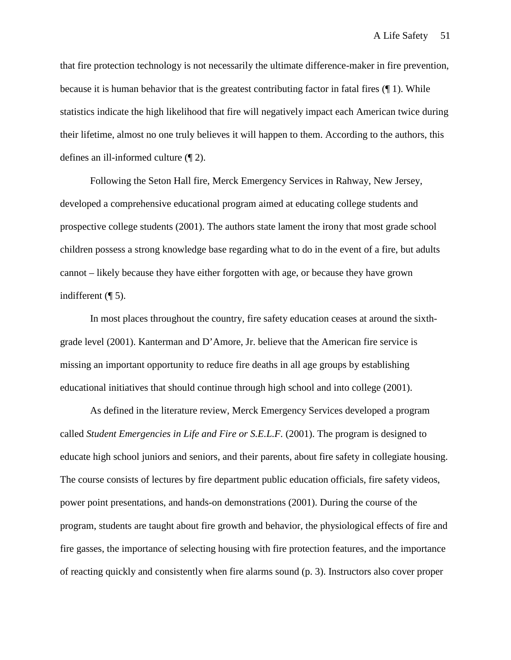that fire protection technology is not necessarily the ultimate difference-maker in fire prevention, because it is human behavior that is the greatest contributing factor in fatal fires (¶ 1). While statistics indicate the high likelihood that fire will negatively impact each American twice during their lifetime, almost no one truly believes it will happen to them. According to the authors, this defines an ill-informed culture (¶ 2).

Following the Seton Hall fire, Merck Emergency Services in Rahway, New Jersey, developed a comprehensive educational program aimed at educating college students and prospective college students (2001). The authors state lament the irony that most grade school children possess a strong knowledge base regarding what to do in the event of a fire, but adults cannot – likely because they have either forgotten with age, or because they have grown indifferent (¶ 5).

In most places throughout the country, fire safety education ceases at around the sixthgrade level (2001). Kanterman and D'Amore, Jr. believe that the American fire service is missing an important opportunity to reduce fire deaths in all age groups by establishing educational initiatives that should continue through high school and into college (2001).

As defined in the literature review, Merck Emergency Services developed a program called *Student Emergencies in Life and Fire or S.E.L.F.* (2001). The program is designed to educate high school juniors and seniors, and their parents, about fire safety in collegiate housing. The course consists of lectures by fire department public education officials, fire safety videos, power point presentations, and hands-on demonstrations (2001). During the course of the program, students are taught about fire growth and behavior, the physiological effects of fire and fire gasses, the importance of selecting housing with fire protection features, and the importance of reacting quickly and consistently when fire alarms sound (p. 3). Instructors also cover proper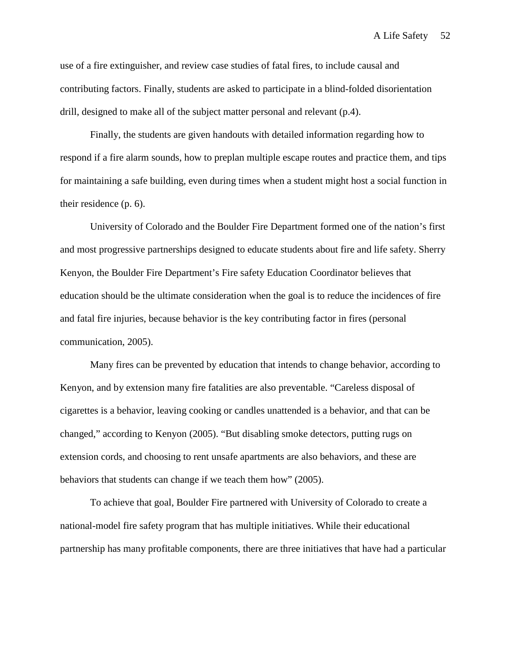use of a fire extinguisher, and review case studies of fatal fires, to include causal and contributing factors. Finally, students are asked to participate in a blind-folded disorientation drill, designed to make all of the subject matter personal and relevant (p.4).

Finally, the students are given handouts with detailed information regarding how to respond if a fire alarm sounds, how to preplan multiple escape routes and practice them, and tips for maintaining a safe building, even during times when a student might host a social function in their residence (p. 6).

University of Colorado and the Boulder Fire Department formed one of the nation's first and most progressive partnerships designed to educate students about fire and life safety. Sherry Kenyon, the Boulder Fire Department's Fire safety Education Coordinator believes that education should be the ultimate consideration when the goal is to reduce the incidences of fire and fatal fire injuries, because behavior is the key contributing factor in fires (personal communication, 2005).

Many fires can be prevented by education that intends to change behavior, according to Kenyon, and by extension many fire fatalities are also preventable. "Careless disposal of cigarettes is a behavior, leaving cooking or candles unattended is a behavior, and that can be changed," according to Kenyon (2005). "But disabling smoke detectors, putting rugs on extension cords, and choosing to rent unsafe apartments are also behaviors, and these are behaviors that students can change if we teach them how" (2005).

To achieve that goal, Boulder Fire partnered with University of Colorado to create a national-model fire safety program that has multiple initiatives. While their educational partnership has many profitable components, there are three initiatives that have had a particular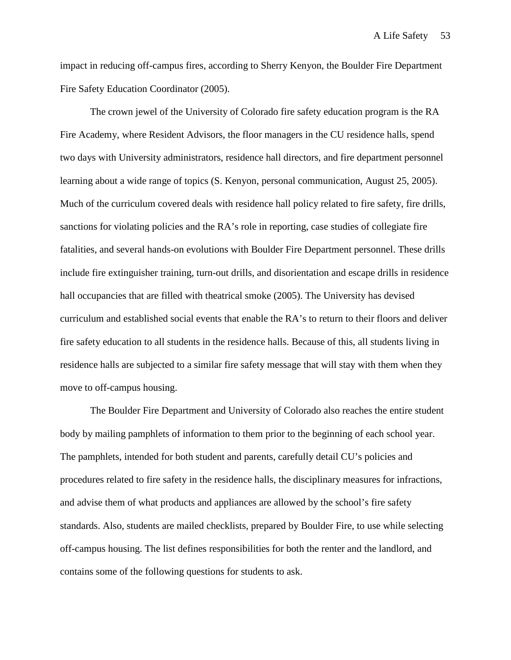impact in reducing off-campus fires, according to Sherry Kenyon, the Boulder Fire Department Fire Safety Education Coordinator (2005).

The crown jewel of the University of Colorado fire safety education program is the RA Fire Academy, where Resident Advisors, the floor managers in the CU residence halls, spend two days with University administrators, residence hall directors, and fire department personnel learning about a wide range of topics (S. Kenyon, personal communication, August 25, 2005). Much of the curriculum covered deals with residence hall policy related to fire safety, fire drills, sanctions for violating policies and the RA's role in reporting, case studies of collegiate fire fatalities, and several hands-on evolutions with Boulder Fire Department personnel. These drills include fire extinguisher training, turn-out drills, and disorientation and escape drills in residence hall occupancies that are filled with theatrical smoke (2005). The University has devised curriculum and established social events that enable the RA's to return to their floors and deliver fire safety education to all students in the residence halls. Because of this, all students living in residence halls are subjected to a similar fire safety message that will stay with them when they move to off-campus housing.

The Boulder Fire Department and University of Colorado also reaches the entire student body by mailing pamphlets of information to them prior to the beginning of each school year. The pamphlets, intended for both student and parents, carefully detail CU's policies and procedures related to fire safety in the residence halls, the disciplinary measures for infractions, and advise them of what products and appliances are allowed by the school's fire safety standards. Also, students are mailed checklists, prepared by Boulder Fire, to use while selecting off-campus housing. The list defines responsibilities for both the renter and the landlord, and contains some of the following questions for students to ask.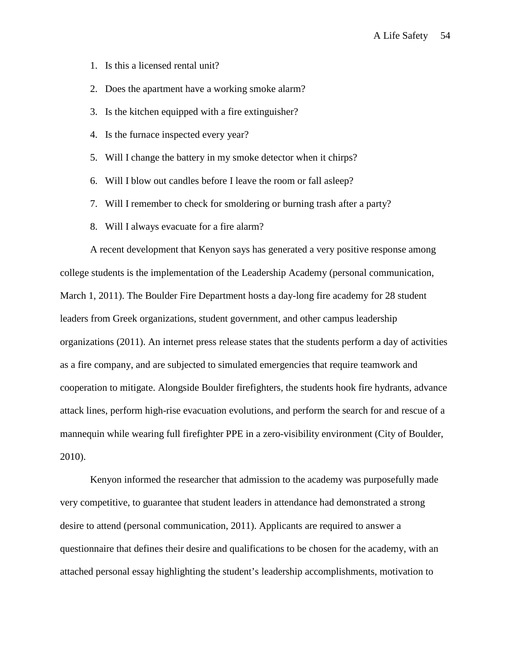- 1. Is this a licensed rental unit?
- 2. Does the apartment have a working smoke alarm?
- 3. Is the kitchen equipped with a fire extinguisher?
- 4. Is the furnace inspected every year?
- 5. Will I change the battery in my smoke detector when it chirps?
- 6. Will I blow out candles before I leave the room or fall asleep?
- 7. Will I remember to check for smoldering or burning trash after a party?
- 8. Will I always evacuate for a fire alarm?

A recent development that Kenyon says has generated a very positive response among college students is the implementation of the Leadership Academy (personal communication, March 1, 2011). The Boulder Fire Department hosts a day-long fire academy for 28 student leaders from Greek organizations, student government, and other campus leadership organizations (2011). An internet press release states that the students perform a day of activities as a fire company, and are subjected to simulated emergencies that require teamwork and cooperation to mitigate. Alongside Boulder firefighters, the students hook fire hydrants, advance attack lines, perform high-rise evacuation evolutions, and perform the search for and rescue of a mannequin while wearing full firefighter PPE in a zero-visibility environment (City of Boulder, 2010).

Kenyon informed the researcher that admission to the academy was purposefully made very competitive, to guarantee that student leaders in attendance had demonstrated a strong desire to attend (personal communication, 2011). Applicants are required to answer a questionnaire that defines their desire and qualifications to be chosen for the academy, with an attached personal essay highlighting the student's leadership accomplishments, motivation to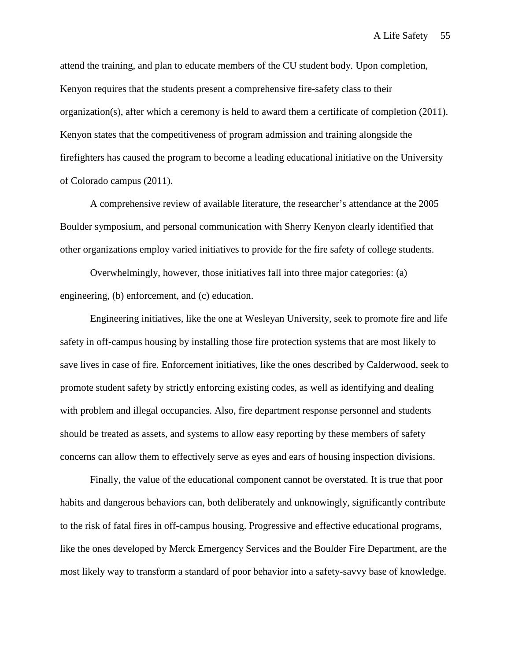attend the training, and plan to educate members of the CU student body. Upon completion, Kenyon requires that the students present a comprehensive fire-safety class to their organization(s), after which a ceremony is held to award them a certificate of completion (2011). Kenyon states that the competitiveness of program admission and training alongside the firefighters has caused the program to become a leading educational initiative on the University of Colorado campus (2011).

A comprehensive review of available literature, the researcher's attendance at the 2005 Boulder symposium, and personal communication with Sherry Kenyon clearly identified that other organizations employ varied initiatives to provide for the fire safety of college students.

Overwhelmingly, however, those initiatives fall into three major categories: (a) engineering, (b) enforcement, and (c) education.

Engineering initiatives, like the one at Wesleyan University, seek to promote fire and life safety in off-campus housing by installing those fire protection systems that are most likely to save lives in case of fire. Enforcement initiatives, like the ones described by Calderwood, seek to promote student safety by strictly enforcing existing codes, as well as identifying and dealing with problem and illegal occupancies. Also, fire department response personnel and students should be treated as assets, and systems to allow easy reporting by these members of safety concerns can allow them to effectively serve as eyes and ears of housing inspection divisions.

Finally, the value of the educational component cannot be overstated. It is true that poor habits and dangerous behaviors can, both deliberately and unknowingly, significantly contribute to the risk of fatal fires in off-campus housing. Progressive and effective educational programs, like the ones developed by Merck Emergency Services and the Boulder Fire Department, are the most likely way to transform a standard of poor behavior into a safety-savvy base of knowledge.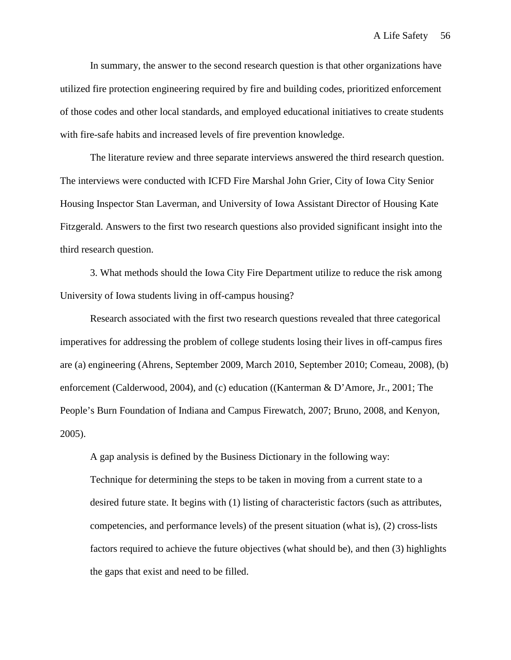In summary, the answer to the second research question is that other organizations have utilized fire protection engineering required by fire and building codes, prioritized enforcement of those codes and other local standards, and employed educational initiatives to create students with fire-safe habits and increased levels of fire prevention knowledge.

The literature review and three separate interviews answered the third research question. The interviews were conducted with ICFD Fire Marshal John Grier, City of Iowa City Senior Housing Inspector Stan Laverman, and University of Iowa Assistant Director of Housing Kate Fitzgerald. Answers to the first two research questions also provided significant insight into the third research question.

3. What methods should the Iowa City Fire Department utilize to reduce the risk among University of Iowa students living in off-campus housing?

Research associated with the first two research questions revealed that three categorical imperatives for addressing the problem of college students losing their lives in off-campus fires are (a) engineering (Ahrens, September 2009, March 2010, September 2010; Comeau, 2008), (b) enforcement (Calderwood, 2004), and (c) education ((Kanterman & D'Amore, Jr., 2001; The People's Burn Foundation of Indiana and Campus Firewatch, 2007; Bruno, 2008, and Kenyon, 2005).

A gap analysis is defined by the Business Dictionary in the following way: Technique for determining the steps to be taken in moving from a current state to a desired future state. It begins with (1) listing of characteristic factors (such as attributes, competencies, and performance levels) of the present situation (what is), (2) cross-lists factors required to achieve the future objectives (what should be), and then (3) highlights the gaps that exist and need to be filled.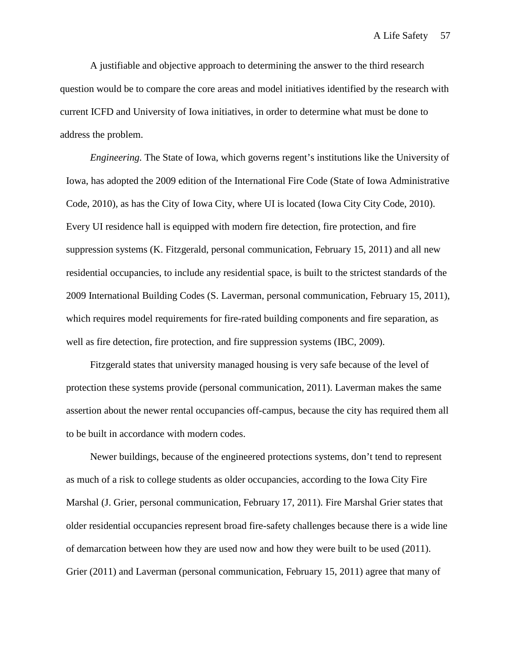A justifiable and objective approach to determining the answer to the third research question would be to compare the core areas and model initiatives identified by the research with current ICFD and University of Iowa initiatives, in order to determine what must be done to address the problem.

*Engineering.* The State of Iowa, which governs regent's institutions like the University of Iowa, has adopted the 2009 edition of the International Fire Code (State of Iowa Administrative Code, 2010), as has the City of Iowa City, where UI is located (Iowa City City Code, 2010). Every UI residence hall is equipped with modern fire detection, fire protection, and fire suppression systems (K. Fitzgerald, personal communication, February 15, 2011) and all new residential occupancies, to include any residential space, is built to the strictest standards of the 2009 International Building Codes (S. Laverman, personal communication, February 15, 2011), which requires model requirements for fire-rated building components and fire separation, as well as fire detection, fire protection, and fire suppression systems (IBC, 2009).

Fitzgerald states that university managed housing is very safe because of the level of protection these systems provide (personal communication, 2011). Laverman makes the same assertion about the newer rental occupancies off-campus, because the city has required them all to be built in accordance with modern codes.

Newer buildings, because of the engineered protections systems, don't tend to represent as much of a risk to college students as older occupancies, according to the Iowa City Fire Marshal (J. Grier, personal communication, February 17, 2011). Fire Marshal Grier states that older residential occupancies represent broad fire-safety challenges because there is a wide line of demarcation between how they are used now and how they were built to be used (2011). Grier (2011) and Laverman (personal communication, February 15, 2011) agree that many of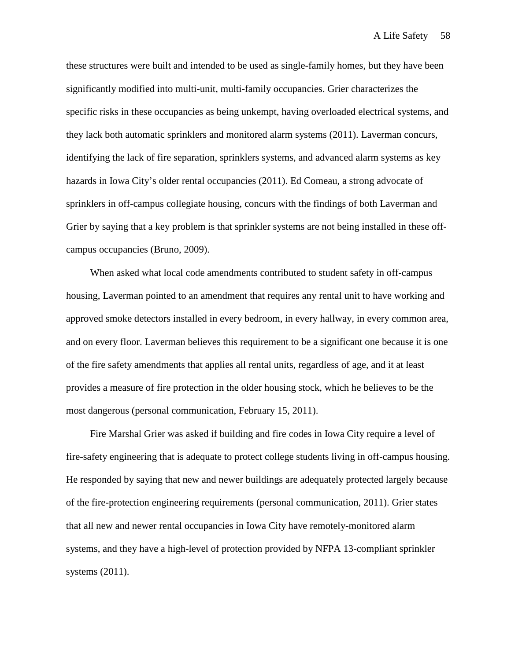these structures were built and intended to be used as single-family homes, but they have been significantly modified into multi-unit, multi-family occupancies. Grier characterizes the specific risks in these occupancies as being unkempt, having overloaded electrical systems, and they lack both automatic sprinklers and monitored alarm systems (2011). Laverman concurs, identifying the lack of fire separation, sprinklers systems, and advanced alarm systems as key hazards in Iowa City's older rental occupancies (2011). Ed Comeau, a strong advocate of sprinklers in off-campus collegiate housing, concurs with the findings of both Laverman and Grier by saying that a key problem is that sprinkler systems are not being installed in these offcampus occupancies (Bruno, 2009).

When asked what local code amendments contributed to student safety in off-campus housing, Laverman pointed to an amendment that requires any rental unit to have working and approved smoke detectors installed in every bedroom, in every hallway, in every common area, and on every floor. Laverman believes this requirement to be a significant one because it is one of the fire safety amendments that applies all rental units, regardless of age, and it at least provides a measure of fire protection in the older housing stock, which he believes to be the most dangerous (personal communication, February 15, 2011).

Fire Marshal Grier was asked if building and fire codes in Iowa City require a level of fire-safety engineering that is adequate to protect college students living in off-campus housing. He responded by saying that new and newer buildings are adequately protected largely because of the fire-protection engineering requirements (personal communication, 2011). Grier states that all new and newer rental occupancies in Iowa City have remotely-monitored alarm systems, and they have a high-level of protection provided by NFPA 13-compliant sprinkler systems (2011).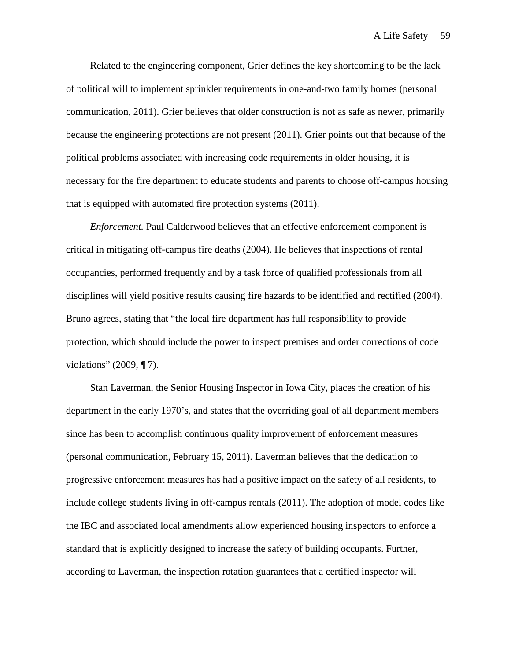Related to the engineering component, Grier defines the key shortcoming to be the lack of political will to implement sprinkler requirements in one-and-two family homes (personal communication, 2011). Grier believes that older construction is not as safe as newer, primarily because the engineering protections are not present (2011). Grier points out that because of the political problems associated with increasing code requirements in older housing, it is necessary for the fire department to educate students and parents to choose off-campus housing that is equipped with automated fire protection systems (2011).

*Enforcement.* Paul Calderwood believes that an effective enforcement component is critical in mitigating off-campus fire deaths (2004). He believes that inspections of rental occupancies, performed frequently and by a task force of qualified professionals from all disciplines will yield positive results causing fire hazards to be identified and rectified (2004). Bruno agrees, stating that "the local fire department has full responsibility to provide protection, which should include the power to inspect premises and order corrections of code violations" (2009, ¶ 7).

Stan Laverman, the Senior Housing Inspector in Iowa City, places the creation of his department in the early 1970's, and states that the overriding goal of all department members since has been to accomplish continuous quality improvement of enforcement measures (personal communication, February 15, 2011). Laverman believes that the dedication to progressive enforcement measures has had a positive impact on the safety of all residents, to include college students living in off-campus rentals (2011). The adoption of model codes like the IBC and associated local amendments allow experienced housing inspectors to enforce a standard that is explicitly designed to increase the safety of building occupants. Further, according to Laverman, the inspection rotation guarantees that a certified inspector will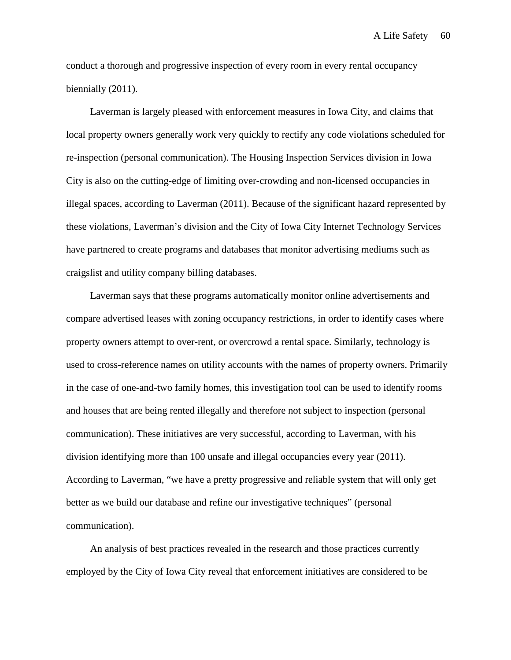conduct a thorough and progressive inspection of every room in every rental occupancy biennially (2011).

Laverman is largely pleased with enforcement measures in Iowa City, and claims that local property owners generally work very quickly to rectify any code violations scheduled for re-inspection (personal communication). The Housing Inspection Services division in Iowa City is also on the cutting-edge of limiting over-crowding and non-licensed occupancies in illegal spaces, according to Laverman (2011). Because of the significant hazard represented by these violations, Laverman's division and the City of Iowa City Internet Technology Services have partnered to create programs and databases that monitor advertising mediums such as craigslist and utility company billing databases.

Laverman says that these programs automatically monitor online advertisements and compare advertised leases with zoning occupancy restrictions, in order to identify cases where property owners attempt to over-rent, or overcrowd a rental space. Similarly, technology is used to cross-reference names on utility accounts with the names of property owners. Primarily in the case of one-and-two family homes, this investigation tool can be used to identify rooms and houses that are being rented illegally and therefore not subject to inspection (personal communication). These initiatives are very successful, according to Laverman, with his division identifying more than 100 unsafe and illegal occupancies every year (2011). According to Laverman, "we have a pretty progressive and reliable system that will only get better as we build our database and refine our investigative techniques" (personal communication).

An analysis of best practices revealed in the research and those practices currently employed by the City of Iowa City reveal that enforcement initiatives are considered to be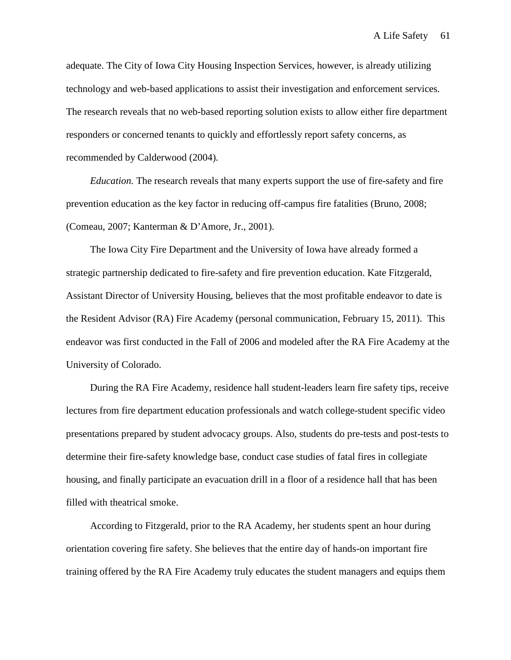adequate. The City of Iowa City Housing Inspection Services, however, is already utilizing technology and web-based applications to assist their investigation and enforcement services. The research reveals that no web-based reporting solution exists to allow either fire department responders or concerned tenants to quickly and effortlessly report safety concerns, as recommended by Calderwood (2004).

*Education.* The research reveals that many experts support the use of fire-safety and fire prevention education as the key factor in reducing off-campus fire fatalities (Bruno, 2008; (Comeau, 2007; Kanterman & D'Amore, Jr., 2001).

The Iowa City Fire Department and the University of Iowa have already formed a strategic partnership dedicated to fire-safety and fire prevention education. Kate Fitzgerald, Assistant Director of University Housing, believes that the most profitable endeavor to date is the Resident Advisor (RA) Fire Academy (personal communication, February 15, 2011). This endeavor was first conducted in the Fall of 2006 and modeled after the RA Fire Academy at the University of Colorado.

During the RA Fire Academy, residence hall student-leaders learn fire safety tips, receive lectures from fire department education professionals and watch college-student specific video presentations prepared by student advocacy groups. Also, students do pre-tests and post-tests to determine their fire-safety knowledge base, conduct case studies of fatal fires in collegiate housing, and finally participate an evacuation drill in a floor of a residence hall that has been filled with theatrical smoke.

According to Fitzgerald, prior to the RA Academy, her students spent an hour during orientation covering fire safety. She believes that the entire day of hands-on important fire training offered by the RA Fire Academy truly educates the student managers and equips them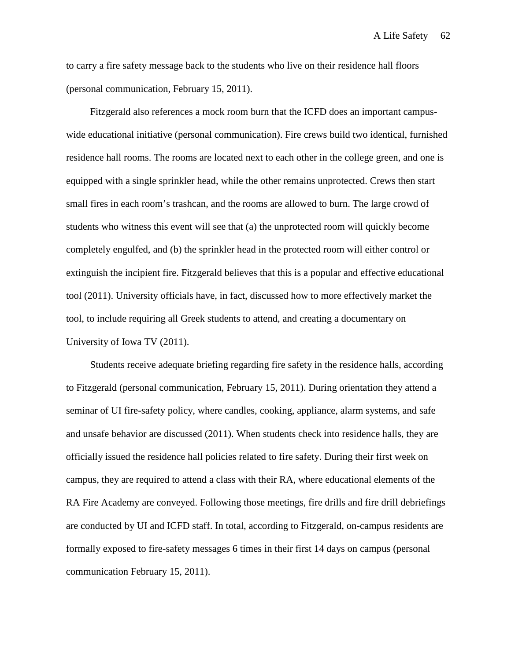to carry a fire safety message back to the students who live on their residence hall floors (personal communication, February 15, 2011).

Fitzgerald also references a mock room burn that the ICFD does an important campuswide educational initiative (personal communication). Fire crews build two identical, furnished residence hall rooms. The rooms are located next to each other in the college green, and one is equipped with a single sprinkler head, while the other remains unprotected. Crews then start small fires in each room's trashcan, and the rooms are allowed to burn. The large crowd of students who witness this event will see that (a) the unprotected room will quickly become completely engulfed, and (b) the sprinkler head in the protected room will either control or extinguish the incipient fire. Fitzgerald believes that this is a popular and effective educational tool (2011). University officials have, in fact, discussed how to more effectively market the tool, to include requiring all Greek students to attend, and creating a documentary on University of Iowa TV (2011).

Students receive adequate briefing regarding fire safety in the residence halls, according to Fitzgerald (personal communication, February 15, 2011). During orientation they attend a seminar of UI fire-safety policy, where candles, cooking, appliance, alarm systems, and safe and unsafe behavior are discussed (2011). When students check into residence halls, they are officially issued the residence hall policies related to fire safety. During their first week on campus, they are required to attend a class with their RA, where educational elements of the RA Fire Academy are conveyed. Following those meetings, fire drills and fire drill debriefings are conducted by UI and ICFD staff. In total, according to Fitzgerald, on-campus residents are formally exposed to fire-safety messages 6 times in their first 14 days on campus (personal communication February 15, 2011).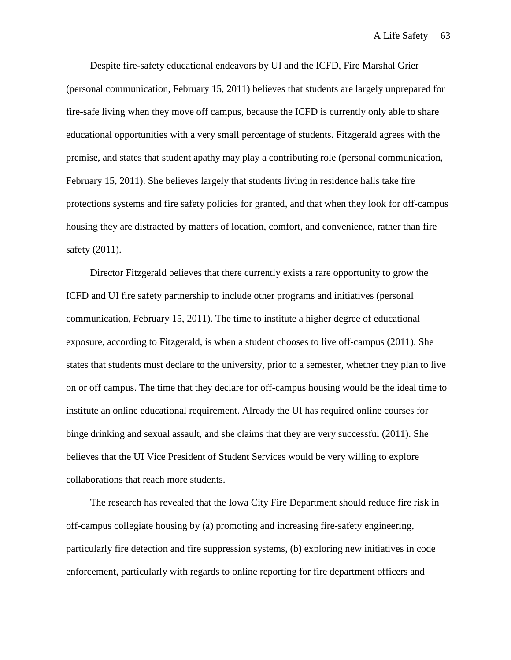Despite fire-safety educational endeavors by UI and the ICFD, Fire Marshal Grier (personal communication, February 15, 2011) believes that students are largely unprepared for fire-safe living when they move off campus, because the ICFD is currently only able to share educational opportunities with a very small percentage of students. Fitzgerald agrees with the premise, and states that student apathy may play a contributing role (personal communication, February 15, 2011). She believes largely that students living in residence halls take fire protections systems and fire safety policies for granted, and that when they look for off-campus housing they are distracted by matters of location, comfort, and convenience, rather than fire safety (2011).

Director Fitzgerald believes that there currently exists a rare opportunity to grow the ICFD and UI fire safety partnership to include other programs and initiatives (personal communication, February 15, 2011). The time to institute a higher degree of educational exposure, according to Fitzgerald, is when a student chooses to live off-campus (2011). She states that students must declare to the university, prior to a semester, whether they plan to live on or off campus. The time that they declare for off-campus housing would be the ideal time to institute an online educational requirement. Already the UI has required online courses for binge drinking and sexual assault, and she claims that they are very successful (2011). She believes that the UI Vice President of Student Services would be very willing to explore collaborations that reach more students.

The research has revealed that the Iowa City Fire Department should reduce fire risk in off-campus collegiate housing by (a) promoting and increasing fire-safety engineering, particularly fire detection and fire suppression systems, (b) exploring new initiatives in code enforcement, particularly with regards to online reporting for fire department officers and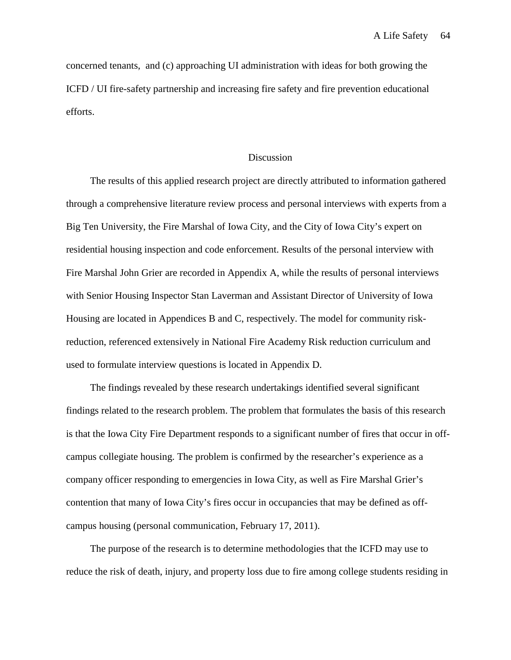concerned tenants, and (c) approaching UI administration with ideas for both growing the ICFD / UI fire-safety partnership and increasing fire safety and fire prevention educational efforts.

## Discussion

The results of this applied research project are directly attributed to information gathered through a comprehensive literature review process and personal interviews with experts from a Big Ten University, the Fire Marshal of Iowa City, and the City of Iowa City's expert on residential housing inspection and code enforcement. Results of the personal interview with Fire Marshal John Grier are recorded in Appendix A, while the results of personal interviews with Senior Housing Inspector Stan Laverman and Assistant Director of University of Iowa Housing are located in Appendices B and C, respectively. The model for community riskreduction, referenced extensively in National Fire Academy Risk reduction curriculum and used to formulate interview questions is located in Appendix D.

The findings revealed by these research undertakings identified several significant findings related to the research problem. The problem that formulates the basis of this research is that the Iowa City Fire Department responds to a significant number of fires that occur in offcampus collegiate housing. The problem is confirmed by the researcher's experience as a company officer responding to emergencies in Iowa City, as well as Fire Marshal Grier's contention that many of Iowa City's fires occur in occupancies that may be defined as offcampus housing (personal communication, February 17, 2011).

The purpose of the research is to determine methodologies that the ICFD may use to reduce the risk of death, injury, and property loss due to fire among college students residing in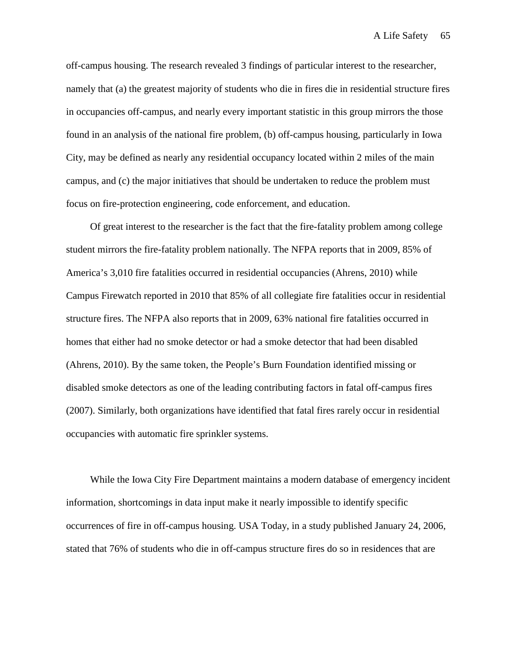off-campus housing. The research revealed 3 findings of particular interest to the researcher, namely that (a) the greatest majority of students who die in fires die in residential structure fires in occupancies off-campus, and nearly every important statistic in this group mirrors the those found in an analysis of the national fire problem, (b) off-campus housing, particularly in Iowa City, may be defined as nearly any residential occupancy located within 2 miles of the main campus, and (c) the major initiatives that should be undertaken to reduce the problem must focus on fire-protection engineering, code enforcement, and education.

Of great interest to the researcher is the fact that the fire-fatality problem among college student mirrors the fire-fatality problem nationally. The NFPA reports that in 2009, 85% of America's 3,010 fire fatalities occurred in residential occupancies (Ahrens, 2010) while Campus Firewatch reported in 2010 that 85% of all collegiate fire fatalities occur in residential structure fires. The NFPA also reports that in 2009, 63% national fire fatalities occurred in homes that either had no smoke detector or had a smoke detector that had been disabled (Ahrens, 2010). By the same token, the People's Burn Foundation identified missing or disabled smoke detectors as one of the leading contributing factors in fatal off-campus fires (2007). Similarly, both organizations have identified that fatal fires rarely occur in residential occupancies with automatic fire sprinkler systems.

While the Iowa City Fire Department maintains a modern database of emergency incident information, shortcomings in data input make it nearly impossible to identify specific occurrences of fire in off-campus housing. USA Today, in a study published January 24, 2006, stated that 76% of students who die in off-campus structure fires do so in residences that are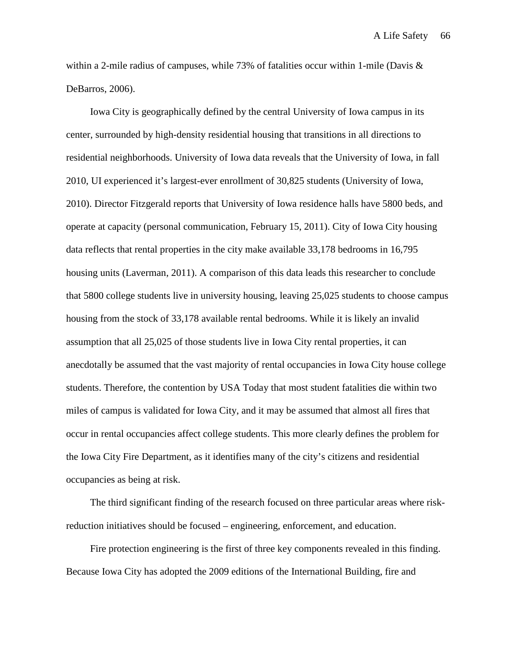within a 2-mile radius of campuses, while 73% of fatalities occur within 1-mile (Davis  $\&$ DeBarros, 2006).

Iowa City is geographically defined by the central University of Iowa campus in its center, surrounded by high-density residential housing that transitions in all directions to residential neighborhoods. University of Iowa data reveals that the University of Iowa, in fall 2010, UI experienced it's largest-ever enrollment of 30,825 students (University of Iowa, 2010). Director Fitzgerald reports that University of Iowa residence halls have 5800 beds, and operate at capacity (personal communication, February 15, 2011). City of Iowa City housing data reflects that rental properties in the city make available 33,178 bedrooms in 16,795 housing units (Laverman, 2011). A comparison of this data leads this researcher to conclude that 5800 college students live in university housing, leaving 25,025 students to choose campus housing from the stock of 33,178 available rental bedrooms. While it is likely an invalid assumption that all 25,025 of those students live in Iowa City rental properties, it can anecdotally be assumed that the vast majority of rental occupancies in Iowa City house college students. Therefore, the contention by USA Today that most student fatalities die within two miles of campus is validated for Iowa City, and it may be assumed that almost all fires that occur in rental occupancies affect college students. This more clearly defines the problem for the Iowa City Fire Department, as it identifies many of the city's citizens and residential occupancies as being at risk.

The third significant finding of the research focused on three particular areas where riskreduction initiatives should be focused – engineering, enforcement, and education.

Fire protection engineering is the first of three key components revealed in this finding. Because Iowa City has adopted the 2009 editions of the International Building, fire and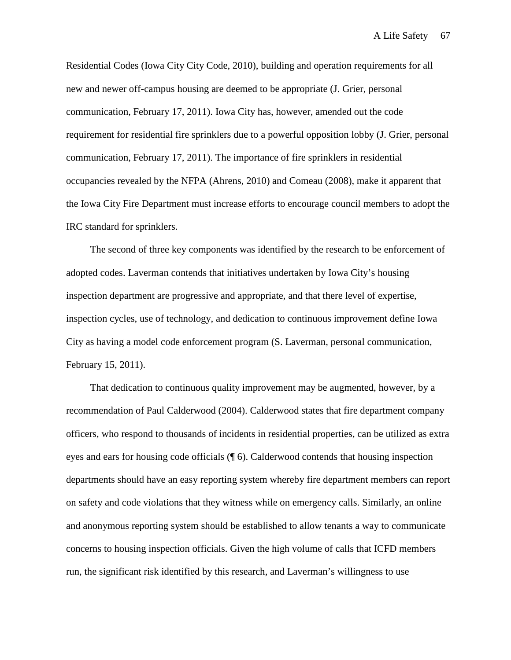Residential Codes (Iowa City City Code, 2010), building and operation requirements for all new and newer off-campus housing are deemed to be appropriate (J. Grier, personal communication, February 17, 2011). Iowa City has, however, amended out the code requirement for residential fire sprinklers due to a powerful opposition lobby (J. Grier, personal communication, February 17, 2011). The importance of fire sprinklers in residential occupancies revealed by the NFPA (Ahrens, 2010) and Comeau (2008), make it apparent that the Iowa City Fire Department must increase efforts to encourage council members to adopt the IRC standard for sprinklers.

The second of three key components was identified by the research to be enforcement of adopted codes. Laverman contends that initiatives undertaken by Iowa City's housing inspection department are progressive and appropriate, and that there level of expertise, inspection cycles, use of technology, and dedication to continuous improvement define Iowa City as having a model code enforcement program (S. Laverman, personal communication, February 15, 2011).

That dedication to continuous quality improvement may be augmented, however, by a recommendation of Paul Calderwood (2004). Calderwood states that fire department company officers, who respond to thousands of incidents in residential properties, can be utilized as extra eyes and ears for housing code officials (¶ 6). Calderwood contends that housing inspection departments should have an easy reporting system whereby fire department members can report on safety and code violations that they witness while on emergency calls. Similarly, an online and anonymous reporting system should be established to allow tenants a way to communicate concerns to housing inspection officials. Given the high volume of calls that ICFD members run, the significant risk identified by this research, and Laverman's willingness to use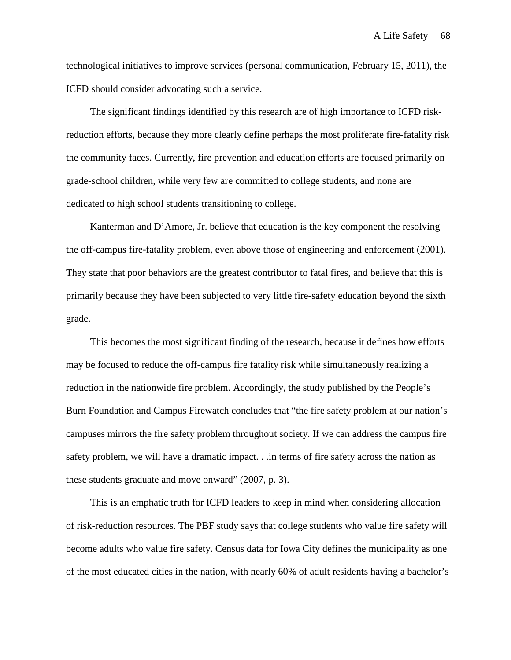technological initiatives to improve services (personal communication, February 15, 2011), the ICFD should consider advocating such a service.

The significant findings identified by this research are of high importance to ICFD riskreduction efforts, because they more clearly define perhaps the most proliferate fire-fatality risk the community faces. Currently, fire prevention and education efforts are focused primarily on grade-school children, while very few are committed to college students, and none are dedicated to high school students transitioning to college.

Kanterman and D'Amore, Jr. believe that education is the key component the resolving the off-campus fire-fatality problem, even above those of engineering and enforcement (2001). They state that poor behaviors are the greatest contributor to fatal fires, and believe that this is primarily because they have been subjected to very little fire-safety education beyond the sixth grade.

This becomes the most significant finding of the research, because it defines how efforts may be focused to reduce the off-campus fire fatality risk while simultaneously realizing a reduction in the nationwide fire problem. Accordingly, the study published by the People's Burn Foundation and Campus Firewatch concludes that "the fire safety problem at our nation's campuses mirrors the fire safety problem throughout society. If we can address the campus fire safety problem, we will have a dramatic impact. . .in terms of fire safety across the nation as these students graduate and move onward" (2007, p. 3).

This is an emphatic truth for ICFD leaders to keep in mind when considering allocation of risk-reduction resources. The PBF study says that college students who value fire safety will become adults who value fire safety. Census data for Iowa City defines the municipality as one of the most educated cities in the nation, with nearly 60% of adult residents having a bachelor's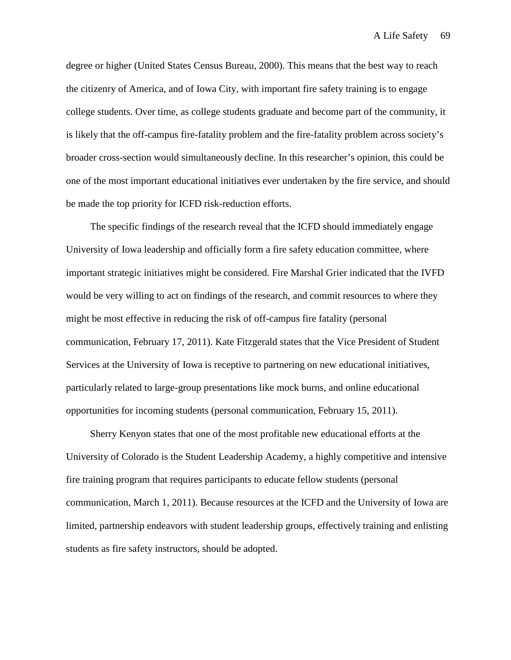degree or higher (United States Census Bureau, 2000). This means that the best way to reach the citizenry of America, and of Iowa City, with important fire safety training is to engage college students. Over time, as college students graduate and become part of the community, it is likely that the off-campus fire-fatality problem and the fire-fatality problem across society's broader cross-section would simultaneously decline. In this researcher's opinion, this could be one of the most important educational initiatives ever undertaken by the fire service, and should be made the top priority for ICFD risk-reduction efforts.

The specific findings of the research reveal that the ICFD should immediately engage University of Iowa leadership and officially form a fire safety education committee, where important strategic initiatives might be considered. Fire Marshal Grier indicated that the IVFD would be very willing to act on findings of the research, and commit resources to where they might be most effective in reducing the risk of off-campus fire fatality (personal communication, February 17, 2011). Kate Fitzgerald states that the Vice President of Student Services at the University of Iowa is receptive to partnering on new educational initiatives, particularly related to large-group presentations like mock burns, and online educational opportunities for incoming students (personal communication, February 15, 2011).

Sherry Kenyon states that one of the most profitable new educational efforts at the University of Colorado is the Student Leadership Academy, a highly competitive and intensive fire training program that requires participants to educate fellow students (personal communication, March 1, 2011). Because resources at the ICFD and the University of Iowa are limited, partnership endeavors with student leadership groups, effectively training and enlisting students as fire safety instructors, should be adopted.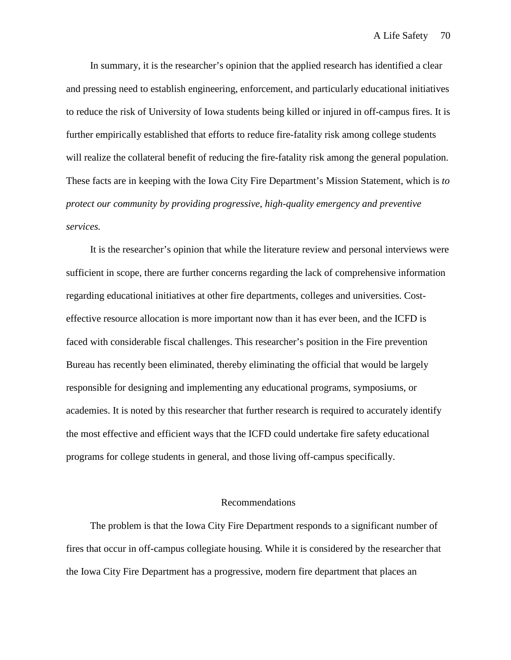In summary, it is the researcher's opinion that the applied research has identified a clear and pressing need to establish engineering, enforcement, and particularly educational initiatives to reduce the risk of University of Iowa students being killed or injured in off-campus fires. It is further empirically established that efforts to reduce fire-fatality risk among college students will realize the collateral benefit of reducing the fire-fatality risk among the general population. These facts are in keeping with the Iowa City Fire Department's Mission Statement, which is *to protect our community by providing progressive, high-quality emergency and preventive services.*

It is the researcher's opinion that while the literature review and personal interviews were sufficient in scope, there are further concerns regarding the lack of comprehensive information regarding educational initiatives at other fire departments, colleges and universities. Costeffective resource allocation is more important now than it has ever been, and the ICFD is faced with considerable fiscal challenges. This researcher's position in the Fire prevention Bureau has recently been eliminated, thereby eliminating the official that would be largely responsible for designing and implementing any educational programs, symposiums, or academies. It is noted by this researcher that further research is required to accurately identify the most effective and efficient ways that the ICFD could undertake fire safety educational programs for college students in general, and those living off-campus specifically.

## Recommendations

The problem is that the Iowa City Fire Department responds to a significant number of fires that occur in off-campus collegiate housing. While it is considered by the researcher that the Iowa City Fire Department has a progressive, modern fire department that places an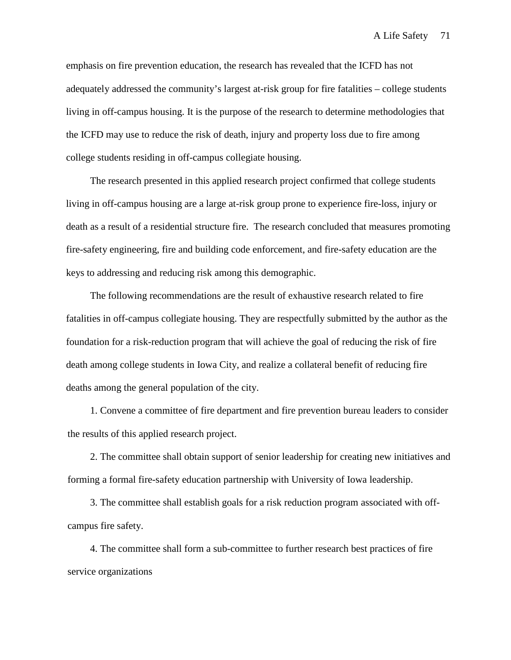emphasis on fire prevention education, the research has revealed that the ICFD has not adequately addressed the community's largest at-risk group for fire fatalities – college students living in off-campus housing. It is the purpose of the research to determine methodologies that the ICFD may use to reduce the risk of death, injury and property loss due to fire among college students residing in off-campus collegiate housing.

The research presented in this applied research project confirmed that college students living in off-campus housing are a large at-risk group prone to experience fire-loss, injury or death as a result of a residential structure fire. The research concluded that measures promoting fire-safety engineering, fire and building code enforcement, and fire-safety education are the keys to addressing and reducing risk among this demographic.

The following recommendations are the result of exhaustive research related to fire fatalities in off-campus collegiate housing. They are respectfully submitted by the author as the foundation for a risk-reduction program that will achieve the goal of reducing the risk of fire death among college students in Iowa City, and realize a collateral benefit of reducing fire deaths among the general population of the city.

1. Convene a committee of fire department and fire prevention bureau leaders to consider the results of this applied research project.

2. The committee shall obtain support of senior leadership for creating new initiatives and forming a formal fire-safety education partnership with University of Iowa leadership.

3. The committee shall establish goals for a risk reduction program associated with offcampus fire safety.

4. The committee shall form a sub-committee to further research best practices of fire service organizations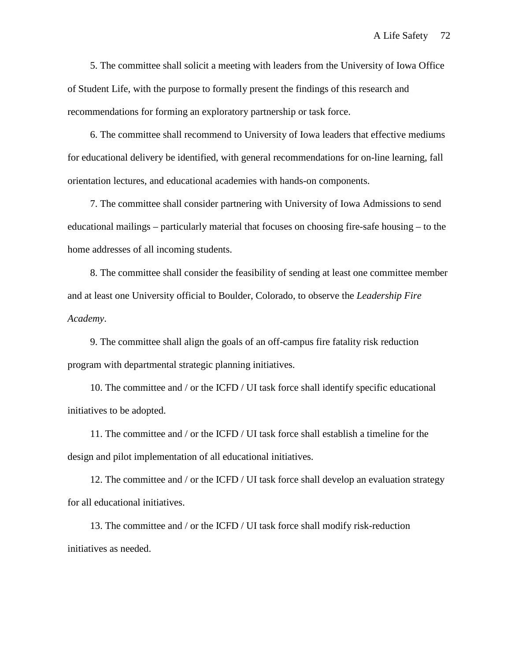5. The committee shall solicit a meeting with leaders from the University of Iowa Office of Student Life, with the purpose to formally present the findings of this research and recommendations for forming an exploratory partnership or task force.

6. The committee shall recommend to University of Iowa leaders that effective mediums for educational delivery be identified, with general recommendations for on-line learning, fall orientation lectures, and educational academies with hands-on components.

7. The committee shall consider partnering with University of Iowa Admissions to send educational mailings – particularly material that focuses on choosing fire-safe housing – to the home addresses of all incoming students.

8. The committee shall consider the feasibility of sending at least one committee member and at least one University official to Boulder, Colorado, to observe the *Leadership Fire Academy*.

9. The committee shall align the goals of an off-campus fire fatality risk reduction program with departmental strategic planning initiatives.

10. The committee and / or the ICFD / UI task force shall identify specific educational initiatives to be adopted.

11. The committee and / or the ICFD / UI task force shall establish a timeline for the design and pilot implementation of all educational initiatives.

12. The committee and / or the ICFD / UI task force shall develop an evaluation strategy for all educational initiatives.

13. The committee and / or the ICFD / UI task force shall modify risk-reduction initiatives as needed.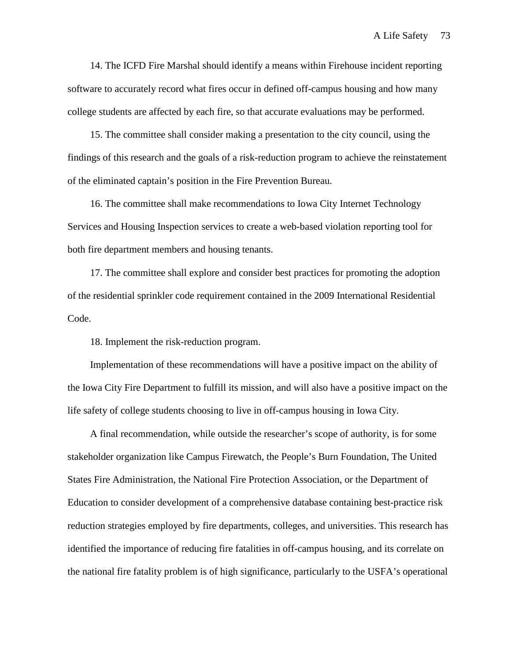14. The ICFD Fire Marshal should identify a means within Firehouse incident reporting software to accurately record what fires occur in defined off-campus housing and how many college students are affected by each fire, so that accurate evaluations may be performed.

15. The committee shall consider making a presentation to the city council, using the findings of this research and the goals of a risk-reduction program to achieve the reinstatement of the eliminated captain's position in the Fire Prevention Bureau.

16. The committee shall make recommendations to Iowa City Internet Technology Services and Housing Inspection services to create a web-based violation reporting tool for both fire department members and housing tenants.

17. The committee shall explore and consider best practices for promoting the adoption of the residential sprinkler code requirement contained in the 2009 International Residential Code.

18. Implement the risk-reduction program.

Implementation of these recommendations will have a positive impact on the ability of the Iowa City Fire Department to fulfill its mission, and will also have a positive impact on the life safety of college students choosing to live in off-campus housing in Iowa City.

A final recommendation, while outside the researcher's scope of authority, is for some stakeholder organization like Campus Firewatch, the People's Burn Foundation, The United States Fire Administration, the National Fire Protection Association, or the Department of Education to consider development of a comprehensive database containing best-practice risk reduction strategies employed by fire departments, colleges, and universities. This research has identified the importance of reducing fire fatalities in off-campus housing, and its correlate on the national fire fatality problem is of high significance, particularly to the USFA's operational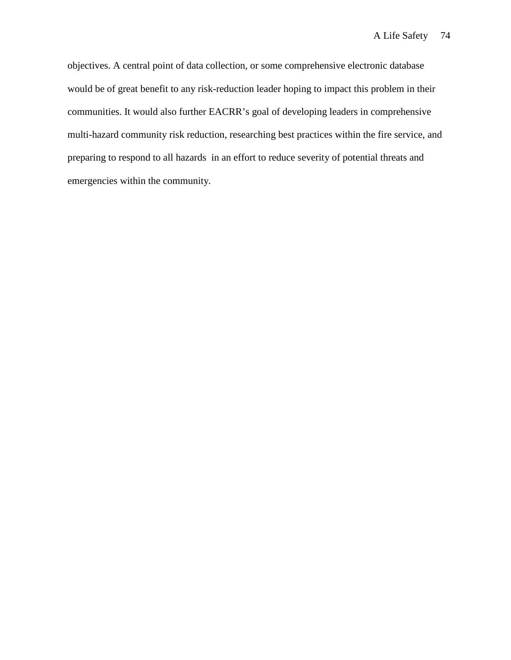objectives. A central point of data collection, or some comprehensive electronic database would be of great benefit to any risk-reduction leader hoping to impact this problem in their communities. It would also further EACRR's goal of developing leaders in comprehensive multi-hazard community risk reduction, researching best practices within the fire service, and preparing to respond to all hazards in an effort to reduce severity of potential threats and emergencies within the community.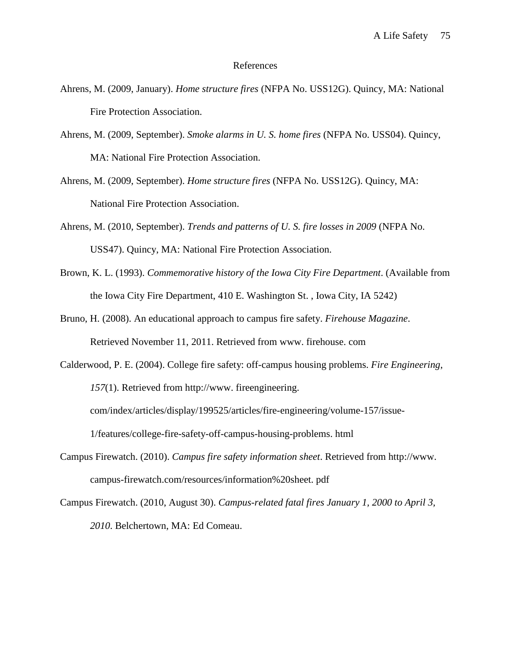## References

- Ahrens, M. (2009, January). *Home structure fires* (NFPA No. USS12G). Quincy, MA: National Fire Protection Association.
- Ahrens, M. (2009, September). *Smoke alarms in U. S. home fires* (NFPA No. USS04). Quincy, MA: National Fire Protection Association.
- Ahrens, M. (2009, September). *Home structure fires* (NFPA No. USS12G). Quincy, MA: National Fire Protection Association.
- Ahrens, M. (2010, September). *Trends and patterns of U. S. fire losses in 2009* (NFPA No. USS47). Quincy, MA: National Fire Protection Association.
- Brown, K. L. (1993). *Commemorative history of the Iowa City Fire Department*. (Available from the Iowa City Fire Department, 410 E. Washington St. , Iowa City, IA 5242)
- Bruno, H. (2008). An educational approach to campus fire safety. *Firehouse Magazine*. Retrieved November 11, 2011. Retrieved from www. firehouse. com

Calderwood, P. E. (2004). College fire safety: off-campus housing problems. *Fire Engineering*, *157*(1). Retrieved from http://www. fireengineering. com/index/articles/display/199525/articles/fire-engineering/volume-157/issue-1/features/college-fire-safety-off-campus-housing-problems. html

- Campus Firewatch. (2010). *Campus fire safety information sheet*. Retrieved from http://www. campus-firewatch.com/resources/information%20sheet. pdf
- Campus Firewatch. (2010, August 30). *Campus-related fatal fires January 1, 2000 to April 3, 2010*. Belchertown, MA: Ed Comeau.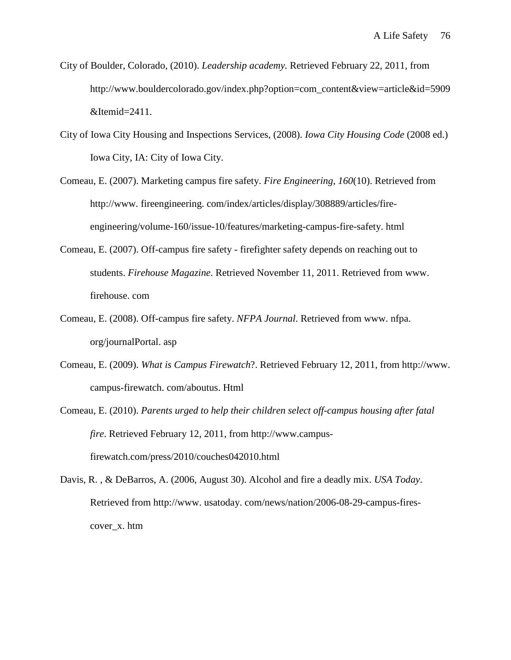- City of Boulder, Colorado, (2010). *Leadership academy.* Retrieved February 22, 2011, from http://www.bouldercolorado.gov/index.php?option=com\_content&view=article&id=5909 &Itemid=2411.
- City of Iowa City Housing and Inspections Services, (2008). *Iowa City Housing Code* (2008 ed.) Iowa City, IA: City of Iowa City.
- Comeau, E. (2007). Marketing campus fire safety. *Fire Engineering*, *160*(10). Retrieved from http://www. fireengineering. com/index/articles/display/308889/articles/fireengineering/volume-160/issue-10/features/marketing-campus-fire-safety. html
- Comeau, E. (2007). Off-campus fire safety firefighter safety depends on reaching out to students. *Firehouse Magazine*. Retrieved November 11, 2011. Retrieved from www. firehouse. com
- Comeau, E. (2008). Off-campus fire safety. *NFPA Journal*. Retrieved from www. nfpa. org/journalPortal. asp
- Comeau, E. (2009). *What is Campus Firewatch*?. Retrieved February 12, 2011, from http://www. campus-firewatch. com/aboutus. Html
- Comeau, E. (2010). *Parents urged to help their children select off-campus housing after fatal fire*. Retrieved February 12, 2011, from http://www.campusfirewatch.com/press/2010/couches042010.html
- Davis, R. , & DeBarros, A. (2006, August 30). Alcohol and fire a deadly mix. *USA Today*. Retrieved from http://www. usatoday. com/news/nation/2006-08-29-campus-firescover\_x. htm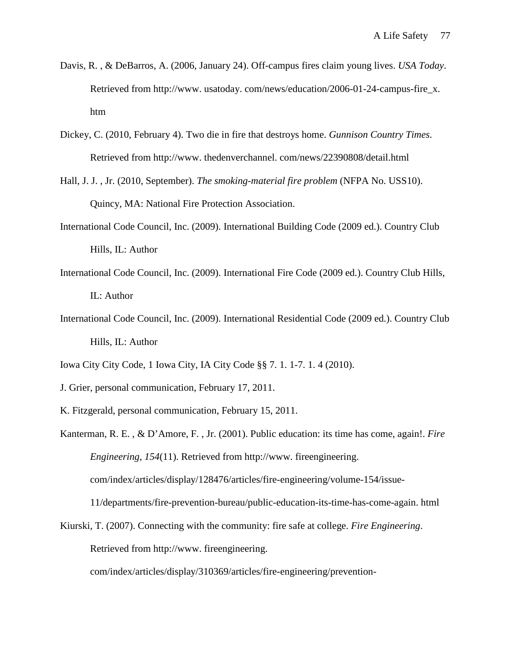- Davis, R. , & DeBarros, A. (2006, January 24). Off-campus fires claim young lives. *USA Today*. Retrieved from http://www. usatoday. com/news/education/2006-01-24-campus-fire\_x. htm
- Dickey, C. (2010, February 4). Two die in fire that destroys home. *Gunnison Country Times*. Retrieved from http://www. thedenverchannel. com/news/22390808/detail.html
- Hall, J. J. , Jr. (2010, September). *The smoking-material fire problem* (NFPA No. USS10). Quincy, MA: National Fire Protection Association.
- International Code Council, Inc. (2009). International Building Code (2009 ed.). Country Club Hills, IL: Author
- International Code Council, Inc. (2009). International Fire Code (2009 ed.). Country Club Hills, IL: Author
- International Code Council, Inc. (2009). International Residential Code (2009 ed.). Country Club Hills, IL: Author
- Iowa City City Code, 1 Iowa City, IA City Code §§ 7. 1. 1-7. 1. 4 (2010).
- J. Grier, personal communication, February 17, 2011.
- K. Fitzgerald, personal communication, February 15, 2011.
- Kanterman, R. E. , & D'Amore, F. , Jr. (2001). Public education: its time has come, again!. *Fire Engineering*, *154*(11). Retrieved from http://www. fireengineering. com/index/articles/display/128476/articles/fire-engineering/volume-154/issue-11/departments/fire-prevention-bureau/public-education-its-time-has-come-again. html
- Kiurski, T. (2007). Connecting with the community: fire safe at college. *Fire Engineering*. Retrieved from http://www. fireengineering.

com/index/articles/display/310369/articles/fire-engineering/prevention-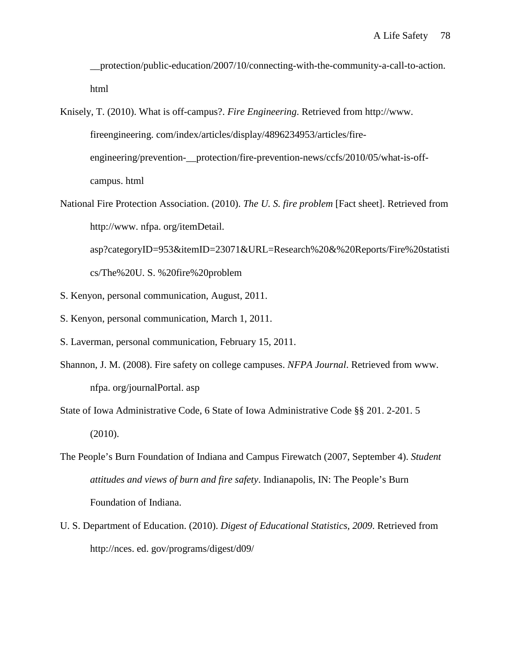\_\_protection/public-education/2007/10/connecting-with-the-community-a-call-to-action. html

- Knisely, T. (2010). What is off-campus?. *Fire Engineering*. Retrieved from http://www. fireengineering. com/index/articles/display/4896234953/articles/fireengineering/prevention-\_\_protection/fire-prevention-news/ccfs/2010/05/what-is-offcampus. html
- National Fire Protection Association. (2010). *The U. S. fire problem* [Fact sheet]. Retrieved from http://www. nfpa. org/itemDetail.

asp?categoryID=953&itemID=23071&URL=Research%20&%20Reports/Fire%20statisti cs/The%20U. S. %20fire%20problem

- S. Kenyon, personal communication, August, 2011.
- S. Kenyon, personal communication, March 1, 2011.
- S. Laverman, personal communication, February 15, 2011.
- Shannon, J. M. (2008). Fire safety on college campuses. *NFPA Journal*. Retrieved from www. nfpa. org/journalPortal. asp
- State of Iowa Administrative Code, 6 State of Iowa Administrative Code §§ 201. 2-201. 5 (2010).
- The People's Burn Foundation of Indiana and Campus Firewatch (2007, September 4). *Student attitudes and views of burn and fire safety*. Indianapolis, IN: The People's Burn Foundation of Indiana.
- U. S. Department of Education. (2010). *Digest of Educational Statistics, 2009*. Retrieved from http://nces. ed. gov/programs/digest/d09/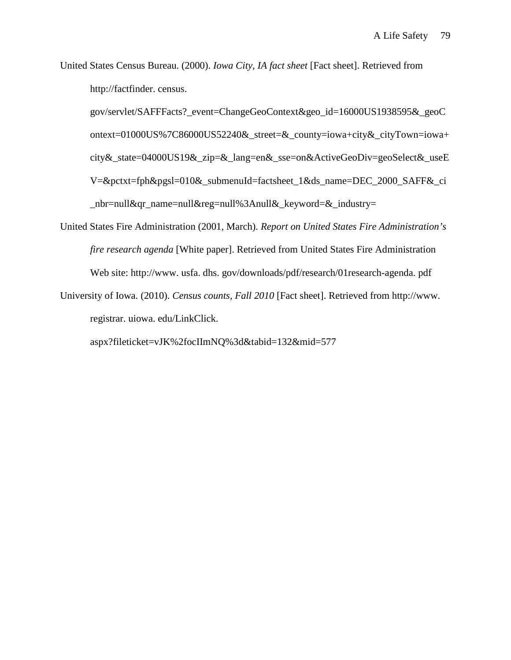United States Census Bureau. (2000). *Iowa City, IA fact sheet* [Fact sheet]. Retrieved from http://factfinder. census.

gov/servlet/SAFFFacts?\_event=ChangeGeoContext&geo\_id=16000US1938595&\_geoC ontext=01000US%7C86000US52240&\_street=&\_county=iowa+city&\_cityTown=iowa+ city&\_state=04000US19&\_zip=&\_lang=en&\_sse=on&ActiveGeoDiv=geoSelect&\_useE V=&pctxt=fph&pgsl=010&\_submenuId=factsheet\_1&ds\_name=DEC\_2000\_SAFF&\_ci \_nbr=null&qr\_name=null&reg=null%3Anull&\_keyword=&\_industry=

- United States Fire Administration (2001, March). *Report on United States Fire Administration's fire research agenda* [White paper]. Retrieved from United States Fire Administration Web site: http://www. usfa. dhs. gov/downloads/pdf/research/01research-agenda. pdf
- University of Iowa. (2010). *Census counts, Fall 2010* [Fact sheet]. Retrieved from http://www. registrar. uiowa. edu/LinkClick.

aspx?fileticket=vJK%2focIImNQ%3d&tabid=132&mid=577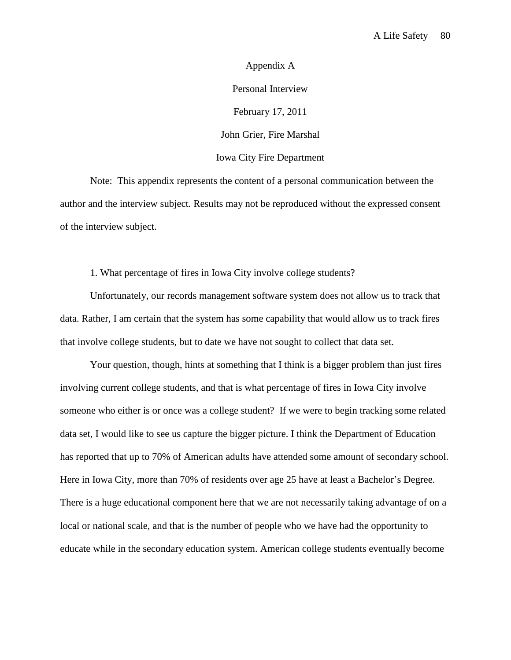Appendix A Personal Interview February 17, 2011 John Grier, Fire Marshal Iowa City Fire Department

Note: This appendix represents the content of a personal communication between the author and the interview subject. Results may not be reproduced without the expressed consent of the interview subject.

1. What percentage of fires in Iowa City involve college students?

Unfortunately, our records management software system does not allow us to track that data. Rather, I am certain that the system has some capability that would allow us to track fires that involve college students, but to date we have not sought to collect that data set.

Your question, though, hints at something that I think is a bigger problem than just fires involving current college students, and that is what percentage of fires in Iowa City involve someone who either is or once was a college student? If we were to begin tracking some related data set, I would like to see us capture the bigger picture. I think the Department of Education has reported that up to 70% of American adults have attended some amount of secondary school. Here in Iowa City, more than 70% of residents over age 25 have at least a Bachelor's Degree. There is a huge educational component here that we are not necessarily taking advantage of on a local or national scale, and that is the number of people who we have had the opportunity to educate while in the secondary education system. American college students eventually become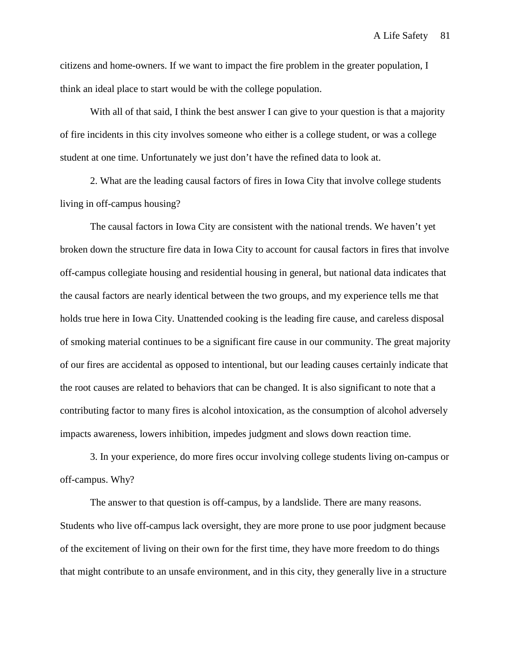A Life Safety 81

citizens and home-owners. If we want to impact the fire problem in the greater population, I think an ideal place to start would be with the college population.

With all of that said, I think the best answer I can give to your question is that a majority of fire incidents in this city involves someone who either is a college student, or was a college student at one time. Unfortunately we just don't have the refined data to look at.

2. What are the leading causal factors of fires in Iowa City that involve college students living in off-campus housing?

The causal factors in Iowa City are consistent with the national trends. We haven't yet broken down the structure fire data in Iowa City to account for causal factors in fires that involve off-campus collegiate housing and residential housing in general, but national data indicates that the causal factors are nearly identical between the two groups, and my experience tells me that holds true here in Iowa City. Unattended cooking is the leading fire cause, and careless disposal of smoking material continues to be a significant fire cause in our community. The great majority of our fires are accidental as opposed to intentional, but our leading causes certainly indicate that the root causes are related to behaviors that can be changed. It is also significant to note that a contributing factor to many fires is alcohol intoxication, as the consumption of alcohol adversely impacts awareness, lowers inhibition, impedes judgment and slows down reaction time.

3. In your experience, do more fires occur involving college students living on-campus or off-campus. Why?

The answer to that question is off-campus, by a landslide. There are many reasons. Students who live off-campus lack oversight, they are more prone to use poor judgment because of the excitement of living on their own for the first time, they have more freedom to do things that might contribute to an unsafe environment, and in this city, they generally live in a structure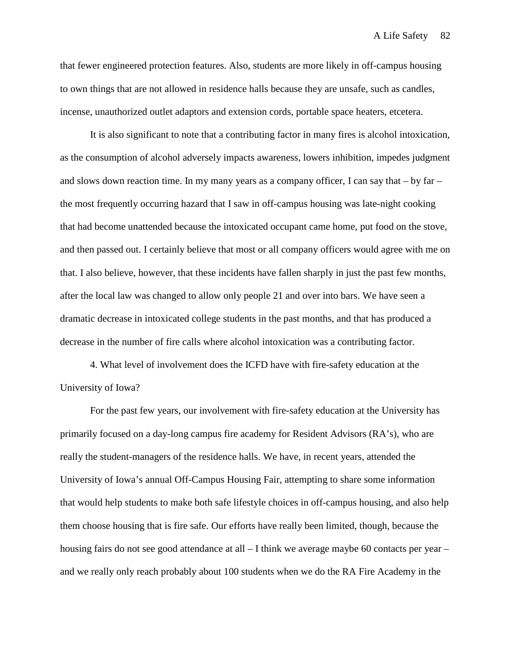that fewer engineered protection features. Also, students are more likely in off-campus housing to own things that are not allowed in residence halls because they are unsafe, such as candles, incense, unauthorized outlet adaptors and extension cords, portable space heaters, etcetera.

It is also significant to note that a contributing factor in many fires is alcohol intoxication, as the consumption of alcohol adversely impacts awareness, lowers inhibition, impedes judgment and slows down reaction time. In my many years as a company officer, I can say that  $-$  by far  $$ the most frequently occurring hazard that I saw in off-campus housing was late-night cooking that had become unattended because the intoxicated occupant came home, put food on the stove, and then passed out. I certainly believe that most or all company officers would agree with me on that. I also believe, however, that these incidents have fallen sharply in just the past few months, after the local law was changed to allow only people 21 and over into bars. We have seen a dramatic decrease in intoxicated college students in the past months, and that has produced a decrease in the number of fire calls where alcohol intoxication was a contributing factor.

4. What level of involvement does the ICFD have with fire-safety education at the University of Iowa?

For the past few years, our involvement with fire-safety education at the University has primarily focused on a day-long campus fire academy for Resident Advisors (RA's), who are really the student-managers of the residence halls. We have, in recent years, attended the University of Iowa's annual Off-Campus Housing Fair, attempting to share some information that would help students to make both safe lifestyle choices in off-campus housing, and also help them choose housing that is fire safe. Our efforts have really been limited, though, because the housing fairs do not see good attendance at all – I think we average maybe 60 contacts per year – and we really only reach probably about 100 students when we do the RA Fire Academy in the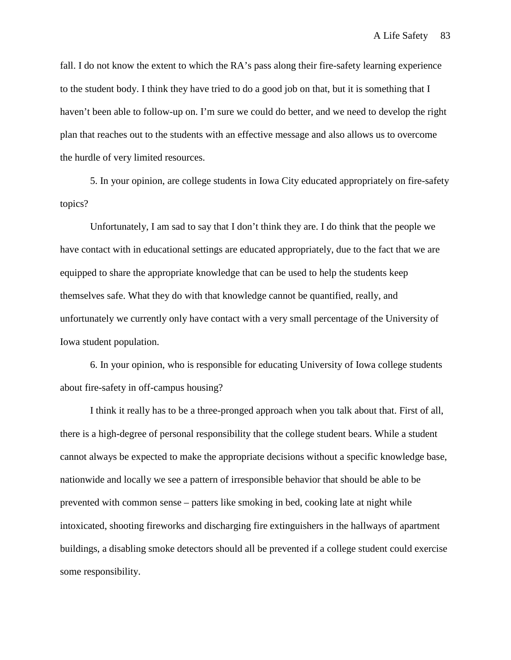fall. I do not know the extent to which the RA's pass along their fire-safety learning experience to the student body. I think they have tried to do a good job on that, but it is something that I haven't been able to follow-up on. I'm sure we could do better, and we need to develop the right plan that reaches out to the students with an effective message and also allows us to overcome the hurdle of very limited resources.

5. In your opinion, are college students in Iowa City educated appropriately on fire-safety topics?

Unfortunately, I am sad to say that I don't think they are. I do think that the people we have contact with in educational settings are educated appropriately, due to the fact that we are equipped to share the appropriate knowledge that can be used to help the students keep themselves safe. What they do with that knowledge cannot be quantified, really, and unfortunately we currently only have contact with a very small percentage of the University of Iowa student population.

6. In your opinion, who is responsible for educating University of Iowa college students about fire-safety in off-campus housing?

I think it really has to be a three-pronged approach when you talk about that. First of all, there is a high-degree of personal responsibility that the college student bears. While a student cannot always be expected to make the appropriate decisions without a specific knowledge base, nationwide and locally we see a pattern of irresponsible behavior that should be able to be prevented with common sense – patters like smoking in bed, cooking late at night while intoxicated, shooting fireworks and discharging fire extinguishers in the hallways of apartment buildings, a disabling smoke detectors should all be prevented if a college student could exercise some responsibility.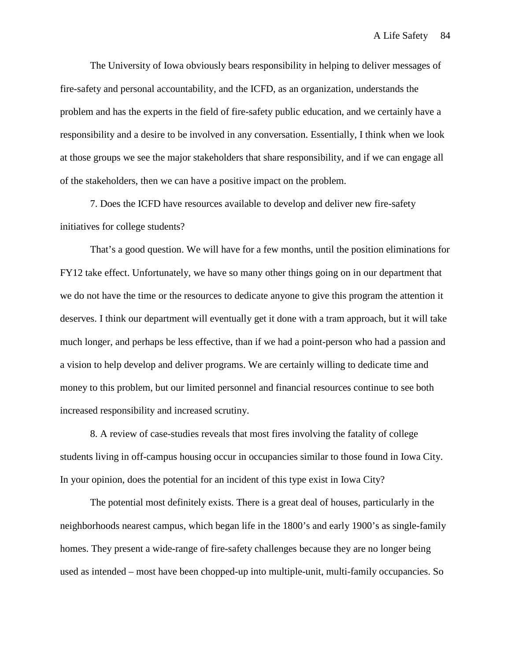The University of Iowa obviously bears responsibility in helping to deliver messages of fire-safety and personal accountability, and the ICFD, as an organization, understands the problem and has the experts in the field of fire-safety public education, and we certainly have a responsibility and a desire to be involved in any conversation. Essentially, I think when we look at those groups we see the major stakeholders that share responsibility, and if we can engage all of the stakeholders, then we can have a positive impact on the problem.

7. Does the ICFD have resources available to develop and deliver new fire-safety initiatives for college students?

That's a good question. We will have for a few months, until the position eliminations for FY12 take effect. Unfortunately, we have so many other things going on in our department that we do not have the time or the resources to dedicate anyone to give this program the attention it deserves. I think our department will eventually get it done with a tram approach, but it will take much longer, and perhaps be less effective, than if we had a point-person who had a passion and a vision to help develop and deliver programs. We are certainly willing to dedicate time and money to this problem, but our limited personnel and financial resources continue to see both increased responsibility and increased scrutiny.

8. A review of case-studies reveals that most fires involving the fatality of college students living in off-campus housing occur in occupancies similar to those found in Iowa City. In your opinion, does the potential for an incident of this type exist in Iowa City?

The potential most definitely exists. There is a great deal of houses, particularly in the neighborhoods nearest campus, which began life in the 1800's and early 1900's as single-family homes. They present a wide-range of fire-safety challenges because they are no longer being used as intended – most have been chopped-up into multiple-unit, multi-family occupancies. So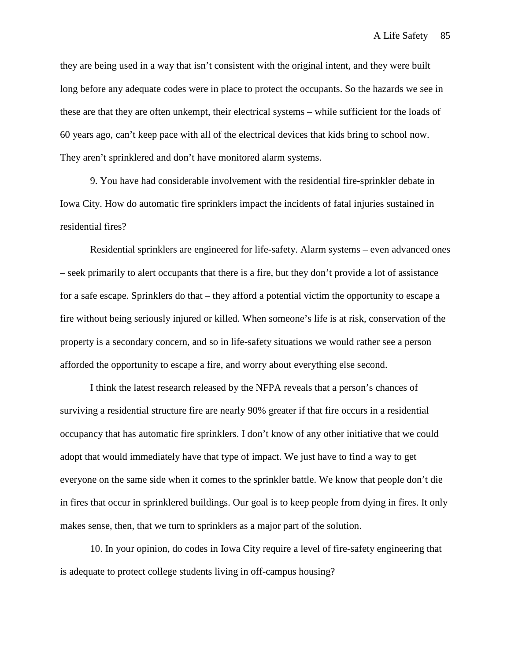A Life Safety 85

they are being used in a way that isn't consistent with the original intent, and they were built long before any adequate codes were in place to protect the occupants. So the hazards we see in these are that they are often unkempt, their electrical systems – while sufficient for the loads of 60 years ago, can't keep pace with all of the electrical devices that kids bring to school now. They aren't sprinklered and don't have monitored alarm systems.

9. You have had considerable involvement with the residential fire-sprinkler debate in Iowa City. How do automatic fire sprinklers impact the incidents of fatal injuries sustained in residential fires?

Residential sprinklers are engineered for life-safety. Alarm systems – even advanced ones – seek primarily to alert occupants that there is a fire, but they don't provide a lot of assistance for a safe escape. Sprinklers do that – they afford a potential victim the opportunity to escape a fire without being seriously injured or killed. When someone's life is at risk, conservation of the property is a secondary concern, and so in life-safety situations we would rather see a person afforded the opportunity to escape a fire, and worry about everything else second.

I think the latest research released by the NFPA reveals that a person's chances of surviving a residential structure fire are nearly 90% greater if that fire occurs in a residential occupancy that has automatic fire sprinklers. I don't know of any other initiative that we could adopt that would immediately have that type of impact. We just have to find a way to get everyone on the same side when it comes to the sprinkler battle. We know that people don't die in fires that occur in sprinklered buildings. Our goal is to keep people from dying in fires. It only makes sense, then, that we turn to sprinklers as a major part of the solution.

10. In your opinion, do codes in Iowa City require a level of fire-safety engineering that is adequate to protect college students living in off-campus housing?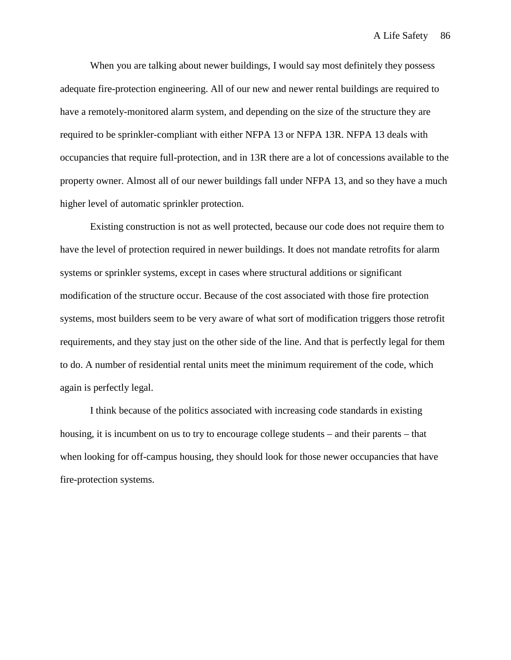A Life Safety 86

When you are talking about newer buildings, I would say most definitely they possess adequate fire-protection engineering. All of our new and newer rental buildings are required to have a remotely-monitored alarm system, and depending on the size of the structure they are required to be sprinkler-compliant with either NFPA 13 or NFPA 13R. NFPA 13 deals with occupancies that require full-protection, and in 13R there are a lot of concessions available to the property owner. Almost all of our newer buildings fall under NFPA 13, and so they have a much higher level of automatic sprinkler protection.

Existing construction is not as well protected, because our code does not require them to have the level of protection required in newer buildings. It does not mandate retrofits for alarm systems or sprinkler systems, except in cases where structural additions or significant modification of the structure occur. Because of the cost associated with those fire protection systems, most builders seem to be very aware of what sort of modification triggers those retrofit requirements, and they stay just on the other side of the line. And that is perfectly legal for them to do. A number of residential rental units meet the minimum requirement of the code, which again is perfectly legal.

I think because of the politics associated with increasing code standards in existing housing, it is incumbent on us to try to encourage college students – and their parents – that when looking for off-campus housing, they should look for those newer occupancies that have fire-protection systems.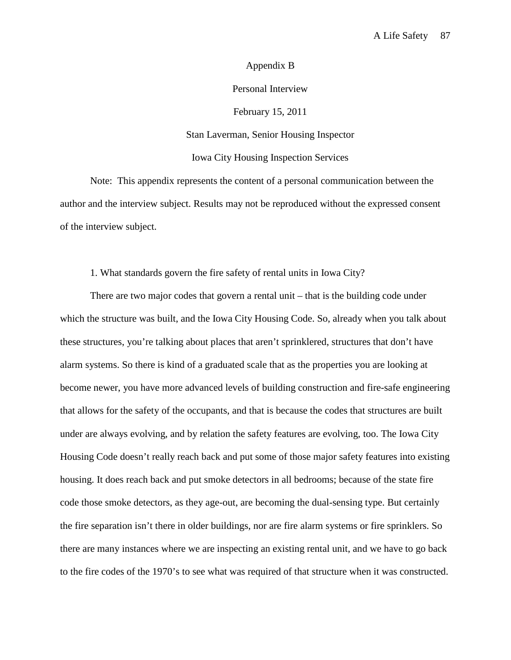Appendix B

Personal Interview

February 15, 2011

Stan Laverman, Senior Housing Inspector

Iowa City Housing Inspection Services

Note: This appendix represents the content of a personal communication between the author and the interview subject. Results may not be reproduced without the expressed consent of the interview subject.

1. What standards govern the fire safety of rental units in Iowa City?

There are two major codes that govern a rental unit – that is the building code under which the structure was built, and the Iowa City Housing Code. So, already when you talk about these structures, you're talking about places that aren't sprinklered, structures that don't have alarm systems. So there is kind of a graduated scale that as the properties you are looking at become newer, you have more advanced levels of building construction and fire-safe engineering that allows for the safety of the occupants, and that is because the codes that structures are built under are always evolving, and by relation the safety features are evolving, too. The Iowa City Housing Code doesn't really reach back and put some of those major safety features into existing housing. It does reach back and put smoke detectors in all bedrooms; because of the state fire code those smoke detectors, as they age-out, are becoming the dual-sensing type. But certainly the fire separation isn't there in older buildings, nor are fire alarm systems or fire sprinklers. So there are many instances where we are inspecting an existing rental unit, and we have to go back to the fire codes of the 1970's to see what was required of that structure when it was constructed.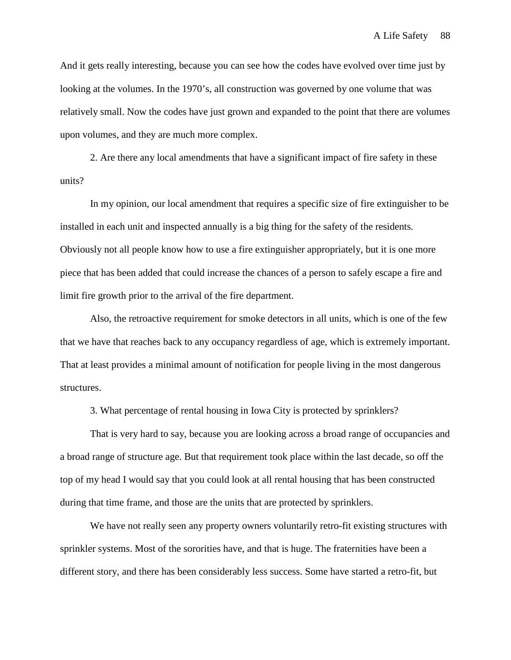And it gets really interesting, because you can see how the codes have evolved over time just by looking at the volumes. In the 1970's, all construction was governed by one volume that was relatively small. Now the codes have just grown and expanded to the point that there are volumes upon volumes, and they are much more complex.

2. Are there any local amendments that have a significant impact of fire safety in these units?

In my opinion, our local amendment that requires a specific size of fire extinguisher to be installed in each unit and inspected annually is a big thing for the safety of the residents. Obviously not all people know how to use a fire extinguisher appropriately, but it is one more piece that has been added that could increase the chances of a person to safely escape a fire and limit fire growth prior to the arrival of the fire department.

Also, the retroactive requirement for smoke detectors in all units, which is one of the few that we have that reaches back to any occupancy regardless of age, which is extremely important. That at least provides a minimal amount of notification for people living in the most dangerous structures.

3. What percentage of rental housing in Iowa City is protected by sprinklers?

That is very hard to say, because you are looking across a broad range of occupancies and a broad range of structure age. But that requirement took place within the last decade, so off the top of my head I would say that you could look at all rental housing that has been constructed during that time frame, and those are the units that are protected by sprinklers.

We have not really seen any property owners voluntarily retro-fit existing structures with sprinkler systems. Most of the sororities have, and that is huge. The fraternities have been a different story, and there has been considerably less success. Some have started a retro-fit, but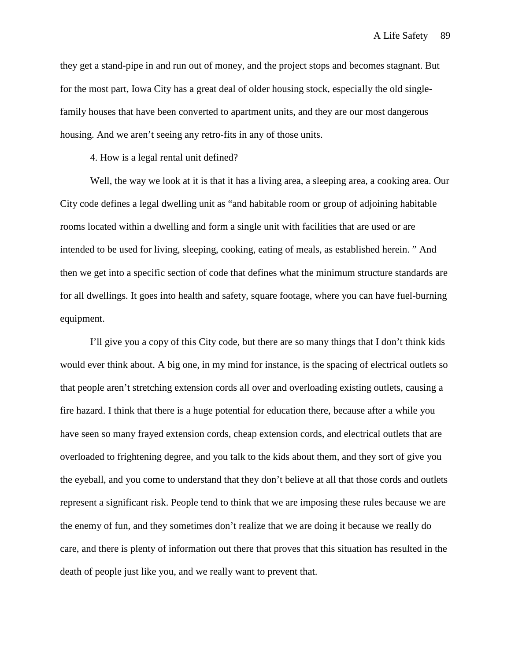they get a stand-pipe in and run out of money, and the project stops and becomes stagnant. But for the most part, Iowa City has a great deal of older housing stock, especially the old singlefamily houses that have been converted to apartment units, and they are our most dangerous housing. And we aren't seeing any retro-fits in any of those units.

4. How is a legal rental unit defined?

Well, the way we look at it is that it has a living area, a sleeping area, a cooking area. Our City code defines a legal dwelling unit as "and habitable room or group of adjoining habitable rooms located within a dwelling and form a single unit with facilities that are used or are intended to be used for living, sleeping, cooking, eating of meals, as established herein. " And then we get into a specific section of code that defines what the minimum structure standards are for all dwellings. It goes into health and safety, square footage, where you can have fuel-burning equipment.

I'll give you a copy of this City code, but there are so many things that I don't think kids would ever think about. A big one, in my mind for instance, is the spacing of electrical outlets so that people aren't stretching extension cords all over and overloading existing outlets, causing a fire hazard. I think that there is a huge potential for education there, because after a while you have seen so many frayed extension cords, cheap extension cords, and electrical outlets that are overloaded to frightening degree, and you talk to the kids about them, and they sort of give you the eyeball, and you come to understand that they don't believe at all that those cords and outlets represent a significant risk. People tend to think that we are imposing these rules because we are the enemy of fun, and they sometimes don't realize that we are doing it because we really do care, and there is plenty of information out there that proves that this situation has resulted in the death of people just like you, and we really want to prevent that.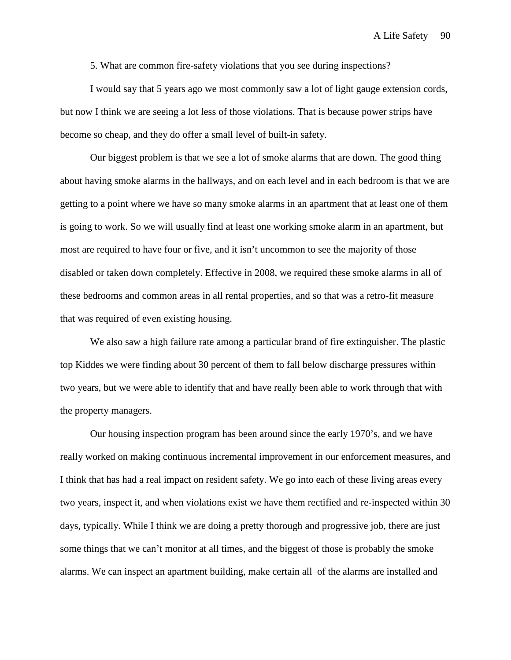5. What are common fire-safety violations that you see during inspections?

I would say that 5 years ago we most commonly saw a lot of light gauge extension cords, but now I think we are seeing a lot less of those violations. That is because power strips have become so cheap, and they do offer a small level of built-in safety.

Our biggest problem is that we see a lot of smoke alarms that are down. The good thing about having smoke alarms in the hallways, and on each level and in each bedroom is that we are getting to a point where we have so many smoke alarms in an apartment that at least one of them is going to work. So we will usually find at least one working smoke alarm in an apartment, but most are required to have four or five, and it isn't uncommon to see the majority of those disabled or taken down completely. Effective in 2008, we required these smoke alarms in all of these bedrooms and common areas in all rental properties, and so that was a retro-fit measure that was required of even existing housing.

We also saw a high failure rate among a particular brand of fire extinguisher. The plastic top Kiddes we were finding about 30 percent of them to fall below discharge pressures within two years, but we were able to identify that and have really been able to work through that with the property managers.

Our housing inspection program has been around since the early 1970's, and we have really worked on making continuous incremental improvement in our enforcement measures, and I think that has had a real impact on resident safety. We go into each of these living areas every two years, inspect it, and when violations exist we have them rectified and re-inspected within 30 days, typically. While I think we are doing a pretty thorough and progressive job, there are just some things that we can't monitor at all times, and the biggest of those is probably the smoke alarms. We can inspect an apartment building, make certain all of the alarms are installed and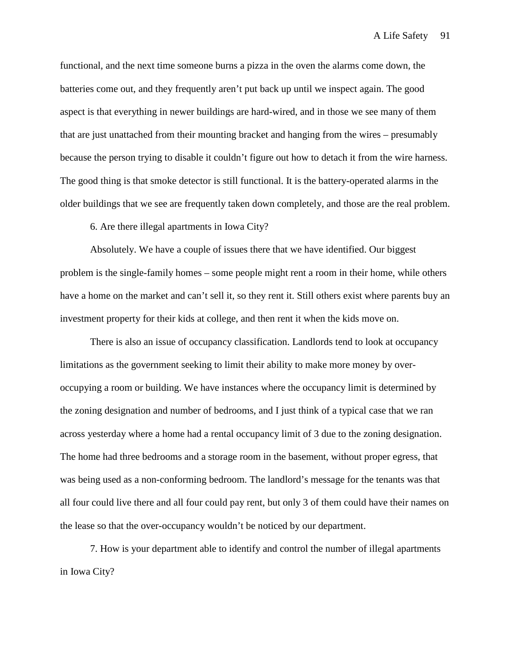functional, and the next time someone burns a pizza in the oven the alarms come down, the batteries come out, and they frequently aren't put back up until we inspect again. The good aspect is that everything in newer buildings are hard-wired, and in those we see many of them that are just unattached from their mounting bracket and hanging from the wires – presumably because the person trying to disable it couldn't figure out how to detach it from the wire harness. The good thing is that smoke detector is still functional. It is the battery-operated alarms in the older buildings that we see are frequently taken down completely, and those are the real problem.

6. Are there illegal apartments in Iowa City?

Absolutely. We have a couple of issues there that we have identified. Our biggest problem is the single-family homes – some people might rent a room in their home, while others have a home on the market and can't sell it, so they rent it. Still others exist where parents buy an investment property for their kids at college, and then rent it when the kids move on.

There is also an issue of occupancy classification. Landlords tend to look at occupancy limitations as the government seeking to limit their ability to make more money by overoccupying a room or building. We have instances where the occupancy limit is determined by the zoning designation and number of bedrooms, and I just think of a typical case that we ran across yesterday where a home had a rental occupancy limit of 3 due to the zoning designation. The home had three bedrooms and a storage room in the basement, without proper egress, that was being used as a non-conforming bedroom. The landlord's message for the tenants was that all four could live there and all four could pay rent, but only 3 of them could have their names on the lease so that the over-occupancy wouldn't be noticed by our department.

7. How is your department able to identify and control the number of illegal apartments in Iowa City?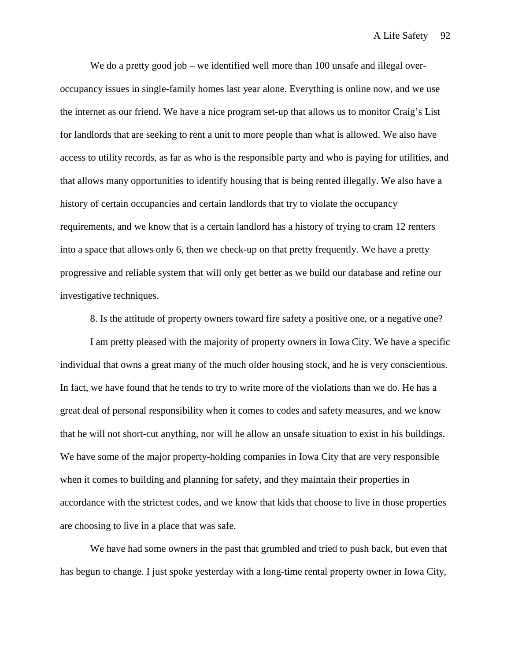We do a pretty good job – we identified well more than 100 unsafe and illegal overoccupancy issues in single-family homes last year alone. Everything is online now, and we use the internet as our friend. We have a nice program set-up that allows us to monitor Craig's List for landlords that are seeking to rent a unit to more people than what is allowed. We also have access to utility records, as far as who is the responsible party and who is paying for utilities, and that allows many opportunities to identify housing that is being rented illegally. We also have a history of certain occupancies and certain landlords that try to violate the occupancy requirements, and we know that is a certain landlord has a history of trying to cram 12 renters into a space that allows only 6, then we check-up on that pretty frequently. We have a pretty progressive and reliable system that will only get better as we build our database and refine our investigative techniques.

8. Is the attitude of property owners toward fire safety a positive one, or a negative one?

I am pretty pleased with the majority of property owners in Iowa City. We have a specific individual that owns a great many of the much older housing stock, and he is very conscientious. In fact, we have found that he tends to try to write more of the violations than we do. He has a great deal of personal responsibility when it comes to codes and safety measures, and we know that he will not short-cut anything, nor will he allow an unsafe situation to exist in his buildings. We have some of the major property-holding companies in Iowa City that are very responsible when it comes to building and planning for safety, and they maintain their properties in accordance with the strictest codes, and we know that kids that choose to live in those properties are choosing to live in a place that was safe.

We have had some owners in the past that grumbled and tried to push back, but even that has begun to change. I just spoke yesterday with a long-time rental property owner in Iowa City,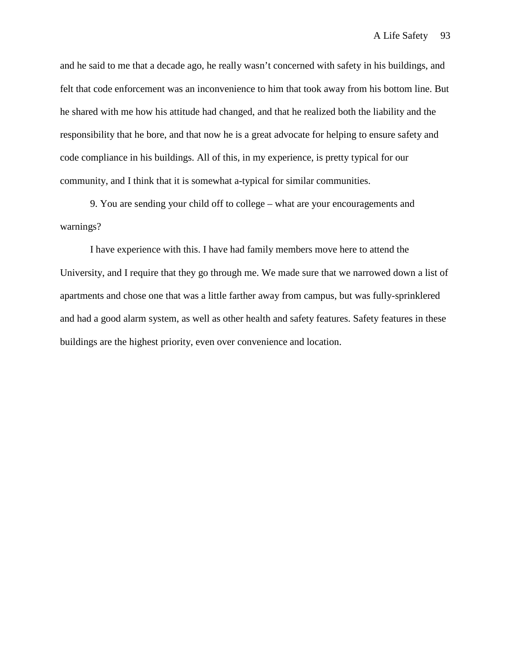and he said to me that a decade ago, he really wasn't concerned with safety in his buildings, and felt that code enforcement was an inconvenience to him that took away from his bottom line. But he shared with me how his attitude had changed, and that he realized both the liability and the responsibility that he bore, and that now he is a great advocate for helping to ensure safety and code compliance in his buildings. All of this, in my experience, is pretty typical for our community, and I think that it is somewhat a-typical for similar communities.

9. You are sending your child off to college – what are your encouragements and warnings?

I have experience with this. I have had family members move here to attend the University, and I require that they go through me. We made sure that we narrowed down a list of apartments and chose one that was a little farther away from campus, but was fully-sprinklered and had a good alarm system, as well as other health and safety features. Safety features in these buildings are the highest priority, even over convenience and location.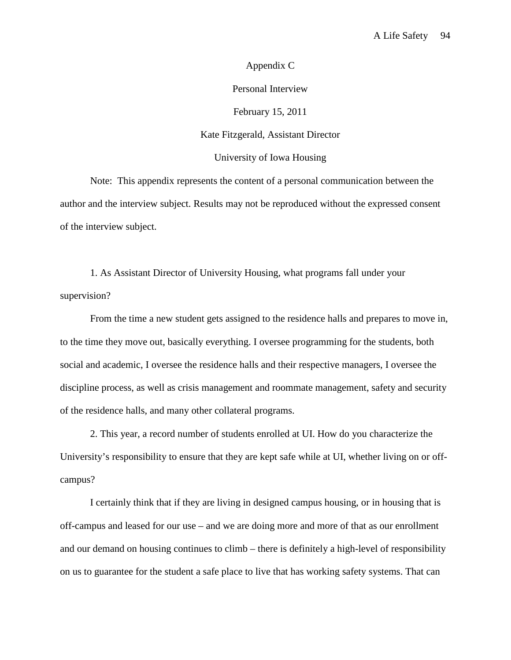Appendix C Personal Interview February 15, 2011 Kate Fitzgerald, Assistant Director University of Iowa Housing

Note: This appendix represents the content of a personal communication between the author and the interview subject. Results may not be reproduced without the expressed consent of the interview subject.

1. As Assistant Director of University Housing, what programs fall under your supervision?

From the time a new student gets assigned to the residence halls and prepares to move in, to the time they move out, basically everything. I oversee programming for the students, both social and academic, I oversee the residence halls and their respective managers, I oversee the discipline process, as well as crisis management and roommate management, safety and security of the residence halls, and many other collateral programs.

2. This year, a record number of students enrolled at UI. How do you characterize the University's responsibility to ensure that they are kept safe while at UI, whether living on or offcampus?

I certainly think that if they are living in designed campus housing, or in housing that is off-campus and leased for our use – and we are doing more and more of that as our enrollment and our demand on housing continues to climb – there is definitely a high-level of responsibility on us to guarantee for the student a safe place to live that has working safety systems. That can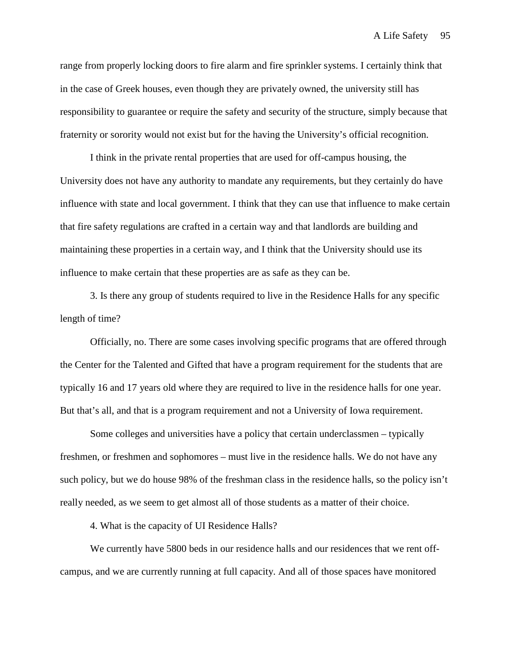range from properly locking doors to fire alarm and fire sprinkler systems. I certainly think that in the case of Greek houses, even though they are privately owned, the university still has responsibility to guarantee or require the safety and security of the structure, simply because that fraternity or sorority would not exist but for the having the University's official recognition.

I think in the private rental properties that are used for off-campus housing, the University does not have any authority to mandate any requirements, but they certainly do have influence with state and local government. I think that they can use that influence to make certain that fire safety regulations are crafted in a certain way and that landlords are building and maintaining these properties in a certain way, and I think that the University should use its influence to make certain that these properties are as safe as they can be.

3. Is there any group of students required to live in the Residence Halls for any specific length of time?

Officially, no. There are some cases involving specific programs that are offered through the Center for the Talented and Gifted that have a program requirement for the students that are typically 16 and 17 years old where they are required to live in the residence halls for one year. But that's all, and that is a program requirement and not a University of Iowa requirement.

Some colleges and universities have a policy that certain underclassmen – typically freshmen, or freshmen and sophomores – must live in the residence halls. We do not have any such policy, but we do house 98% of the freshman class in the residence halls, so the policy isn't really needed, as we seem to get almost all of those students as a matter of their choice.

4. What is the capacity of UI Residence Halls?

We currently have 5800 beds in our residence halls and our residences that we rent offcampus, and we are currently running at full capacity. And all of those spaces have monitored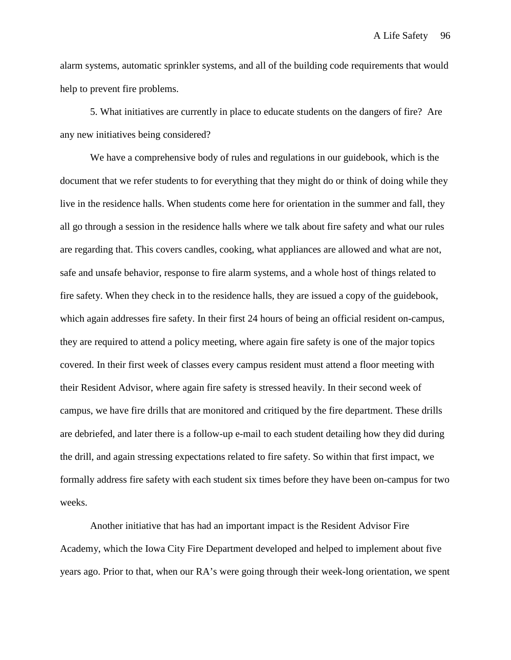alarm systems, automatic sprinkler systems, and all of the building code requirements that would help to prevent fire problems.

5. What initiatives are currently in place to educate students on the dangers of fire? Are any new initiatives being considered?

We have a comprehensive body of rules and regulations in our guidebook, which is the document that we refer students to for everything that they might do or think of doing while they live in the residence halls. When students come here for orientation in the summer and fall, they all go through a session in the residence halls where we talk about fire safety and what our rules are regarding that. This covers candles, cooking, what appliances are allowed and what are not, safe and unsafe behavior, response to fire alarm systems, and a whole host of things related to fire safety. When they check in to the residence halls, they are issued a copy of the guidebook, which again addresses fire safety. In their first 24 hours of being an official resident on-campus, they are required to attend a policy meeting, where again fire safety is one of the major topics covered. In their first week of classes every campus resident must attend a floor meeting with their Resident Advisor, where again fire safety is stressed heavily. In their second week of campus, we have fire drills that are monitored and critiqued by the fire department. These drills are debriefed, and later there is a follow-up e-mail to each student detailing how they did during the drill, and again stressing expectations related to fire safety. So within that first impact, we formally address fire safety with each student six times before they have been on-campus for two weeks.

Another initiative that has had an important impact is the Resident Advisor Fire Academy, which the Iowa City Fire Department developed and helped to implement about five years ago. Prior to that, when our RA's were going through their week-long orientation, we spent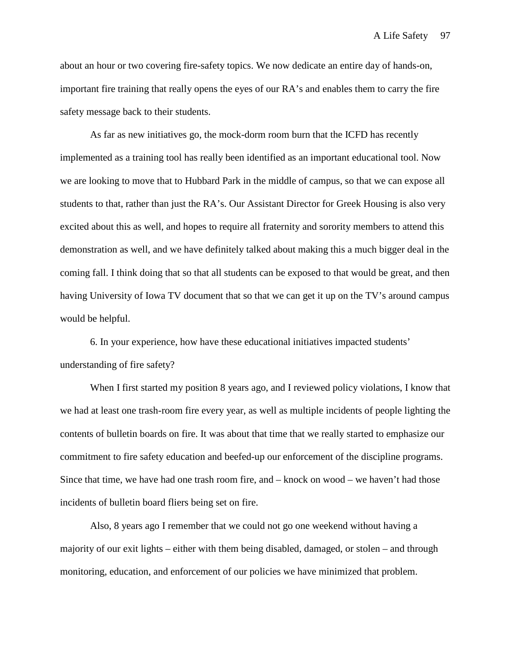A Life Safety 97

about an hour or two covering fire-safety topics. We now dedicate an entire day of hands-on, important fire training that really opens the eyes of our RA's and enables them to carry the fire safety message back to their students.

As far as new initiatives go, the mock-dorm room burn that the ICFD has recently implemented as a training tool has really been identified as an important educational tool. Now we are looking to move that to Hubbard Park in the middle of campus, so that we can expose all students to that, rather than just the RA's. Our Assistant Director for Greek Housing is also very excited about this as well, and hopes to require all fraternity and sorority members to attend this demonstration as well, and we have definitely talked about making this a much bigger deal in the coming fall. I think doing that so that all students can be exposed to that would be great, and then having University of Iowa TV document that so that we can get it up on the TV's around campus would be helpful.

6. In your experience, how have these educational initiatives impacted students' understanding of fire safety?

When I first started my position 8 years ago, and I reviewed policy violations, I know that we had at least one trash-room fire every year, as well as multiple incidents of people lighting the contents of bulletin boards on fire. It was about that time that we really started to emphasize our commitment to fire safety education and beefed-up our enforcement of the discipline programs. Since that time, we have had one trash room fire, and – knock on wood – we haven't had those incidents of bulletin board fliers being set on fire.

Also, 8 years ago I remember that we could not go one weekend without having a majority of our exit lights – either with them being disabled, damaged, or stolen – and through monitoring, education, and enforcement of our policies we have minimized that problem.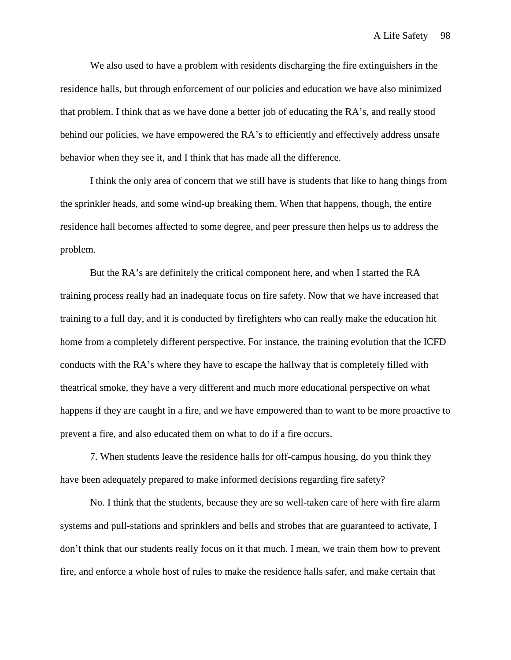A Life Safety 98

We also used to have a problem with residents discharging the fire extinguishers in the residence halls, but through enforcement of our policies and education we have also minimized that problem. I think that as we have done a better job of educating the RA's, and really stood behind our policies, we have empowered the RA's to efficiently and effectively address unsafe behavior when they see it, and I think that has made all the difference.

I think the only area of concern that we still have is students that like to hang things from the sprinkler heads, and some wind-up breaking them. When that happens, though, the entire residence hall becomes affected to some degree, and peer pressure then helps us to address the problem.

But the RA's are definitely the critical component here, and when I started the RA training process really had an inadequate focus on fire safety. Now that we have increased that training to a full day, and it is conducted by firefighters who can really make the education hit home from a completely different perspective. For instance, the training evolution that the ICFD conducts with the RA's where they have to escape the hallway that is completely filled with theatrical smoke, they have a very different and much more educational perspective on what happens if they are caught in a fire, and we have empowered than to want to be more proactive to prevent a fire, and also educated them on what to do if a fire occurs.

7. When students leave the residence halls for off-campus housing, do you think they have been adequately prepared to make informed decisions regarding fire safety?

No. I think that the students, because they are so well-taken care of here with fire alarm systems and pull-stations and sprinklers and bells and strobes that are guaranteed to activate, I don't think that our students really focus on it that much. I mean, we train them how to prevent fire, and enforce a whole host of rules to make the residence halls safer, and make certain that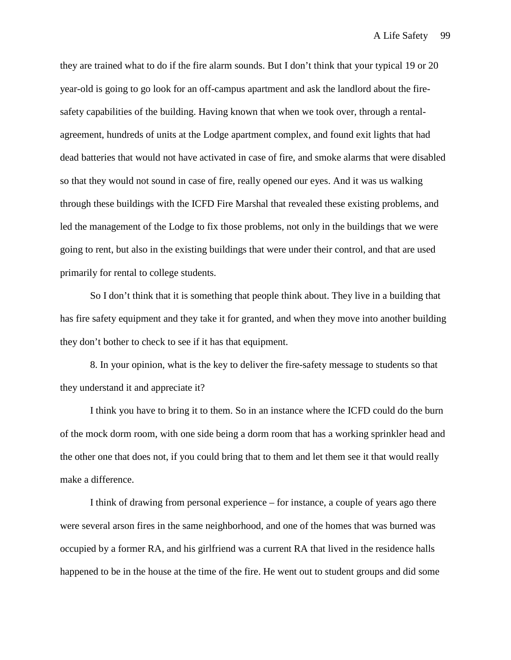they are trained what to do if the fire alarm sounds. But I don't think that your typical 19 or 20 year-old is going to go look for an off-campus apartment and ask the landlord about the firesafety capabilities of the building. Having known that when we took over, through a rentalagreement, hundreds of units at the Lodge apartment complex, and found exit lights that had dead batteries that would not have activated in case of fire, and smoke alarms that were disabled so that they would not sound in case of fire, really opened our eyes. And it was us walking through these buildings with the ICFD Fire Marshal that revealed these existing problems, and led the management of the Lodge to fix those problems, not only in the buildings that we were going to rent, but also in the existing buildings that were under their control, and that are used primarily for rental to college students.

So I don't think that it is something that people think about. They live in a building that has fire safety equipment and they take it for granted, and when they move into another building they don't bother to check to see if it has that equipment.

8. In your opinion, what is the key to deliver the fire-safety message to students so that they understand it and appreciate it?

I think you have to bring it to them. So in an instance where the ICFD could do the burn of the mock dorm room, with one side being a dorm room that has a working sprinkler head and the other one that does not, if you could bring that to them and let them see it that would really make a difference.

I think of drawing from personal experience – for instance, a couple of years ago there were several arson fires in the same neighborhood, and one of the homes that was burned was occupied by a former RA, and his girlfriend was a current RA that lived in the residence halls happened to be in the house at the time of the fire. He went out to student groups and did some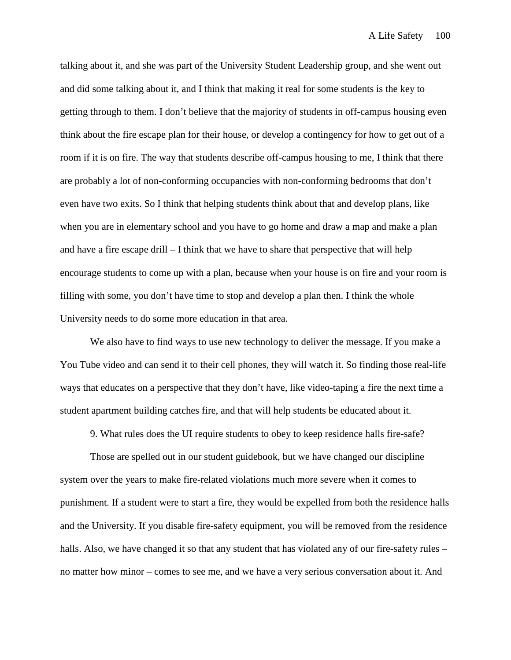talking about it, and she was part of the University Student Leadership group, and she went out and did some talking about it, and I think that making it real for some students is the key to getting through to them. I don't believe that the majority of students in off-campus housing even think about the fire escape plan for their house, or develop a contingency for how to get out of a room if it is on fire. The way that students describe off-campus housing to me, I think that there are probably a lot of non-conforming occupancies with non-conforming bedrooms that don't even have two exits. So I think that helping students think about that and develop plans, like when you are in elementary school and you have to go home and draw a map and make a plan and have a fire escape drill  $-1$  think that we have to share that perspective that will help encourage students to come up with a plan, because when your house is on fire and your room is filling with some, you don't have time to stop and develop a plan then. I think the whole University needs to do some more education in that area.

We also have to find ways to use new technology to deliver the message. If you make a You Tube video and can send it to their cell phones, they will watch it. So finding those real-life ways that educates on a perspective that they don't have, like video-taping a fire the next time a student apartment building catches fire, and that will help students be educated about it.

9. What rules does the UI require students to obey to keep residence halls fire-safe?

Those are spelled out in our student guidebook, but we have changed our discipline system over the years to make fire-related violations much more severe when it comes to punishment. If a student were to start a fire, they would be expelled from both the residence halls and the University. If you disable fire-safety equipment, you will be removed from the residence halls. Also, we have changed it so that any student that has violated any of our fire-safety rules – no matter how minor – comes to see me, and we have a very serious conversation about it. And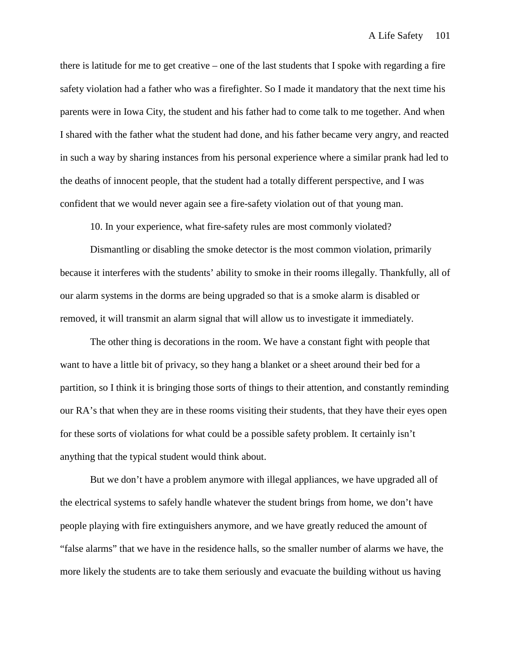there is latitude for me to get creative – one of the last students that I spoke with regarding a fire safety violation had a father who was a firefighter. So I made it mandatory that the next time his parents were in Iowa City, the student and his father had to come talk to me together. And when I shared with the father what the student had done, and his father became very angry, and reacted in such a way by sharing instances from his personal experience where a similar prank had led to the deaths of innocent people, that the student had a totally different perspective, and I was confident that we would never again see a fire-safety violation out of that young man.

10. In your experience, what fire-safety rules are most commonly violated?

Dismantling or disabling the smoke detector is the most common violation, primarily because it interferes with the students' ability to smoke in their rooms illegally. Thankfully, all of our alarm systems in the dorms are being upgraded so that is a smoke alarm is disabled or removed, it will transmit an alarm signal that will allow us to investigate it immediately.

The other thing is decorations in the room. We have a constant fight with people that want to have a little bit of privacy, so they hang a blanket or a sheet around their bed for a partition, so I think it is bringing those sorts of things to their attention, and constantly reminding our RA's that when they are in these rooms visiting their students, that they have their eyes open for these sorts of violations for what could be a possible safety problem. It certainly isn't anything that the typical student would think about.

But we don't have a problem anymore with illegal appliances, we have upgraded all of the electrical systems to safely handle whatever the student brings from home, we don't have people playing with fire extinguishers anymore, and we have greatly reduced the amount of "false alarms" that we have in the residence halls, so the smaller number of alarms we have, the more likely the students are to take them seriously and evacuate the building without us having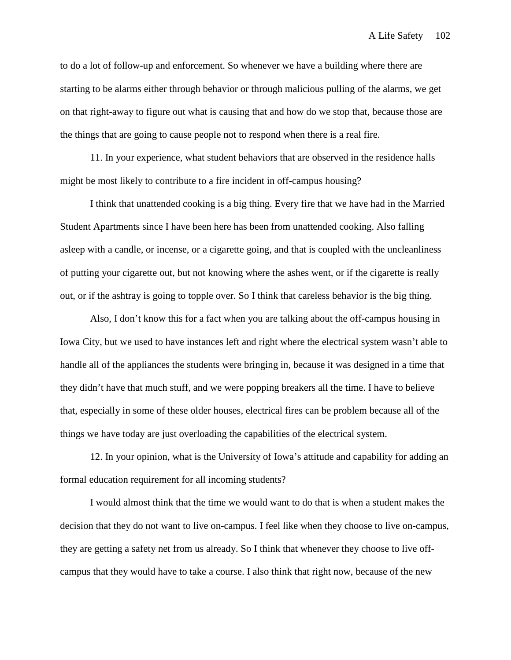to do a lot of follow-up and enforcement. So whenever we have a building where there are starting to be alarms either through behavior or through malicious pulling of the alarms, we get on that right-away to figure out what is causing that and how do we stop that, because those are the things that are going to cause people not to respond when there is a real fire.

11. In your experience, what student behaviors that are observed in the residence halls might be most likely to contribute to a fire incident in off-campus housing?

I think that unattended cooking is a big thing. Every fire that we have had in the Married Student Apartments since I have been here has been from unattended cooking. Also falling asleep with a candle, or incense, or a cigarette going, and that is coupled with the uncleanliness of putting your cigarette out, but not knowing where the ashes went, or if the cigarette is really out, or if the ashtray is going to topple over. So I think that careless behavior is the big thing.

Also, I don't know this for a fact when you are talking about the off-campus housing in Iowa City, but we used to have instances left and right where the electrical system wasn't able to handle all of the appliances the students were bringing in, because it was designed in a time that they didn't have that much stuff, and we were popping breakers all the time. I have to believe that, especially in some of these older houses, electrical fires can be problem because all of the things we have today are just overloading the capabilities of the electrical system.

12. In your opinion, what is the University of Iowa's attitude and capability for adding an formal education requirement for all incoming students?

I would almost think that the time we would want to do that is when a student makes the decision that they do not want to live on-campus. I feel like when they choose to live on-campus, they are getting a safety net from us already. So I think that whenever they choose to live offcampus that they would have to take a course. I also think that right now, because of the new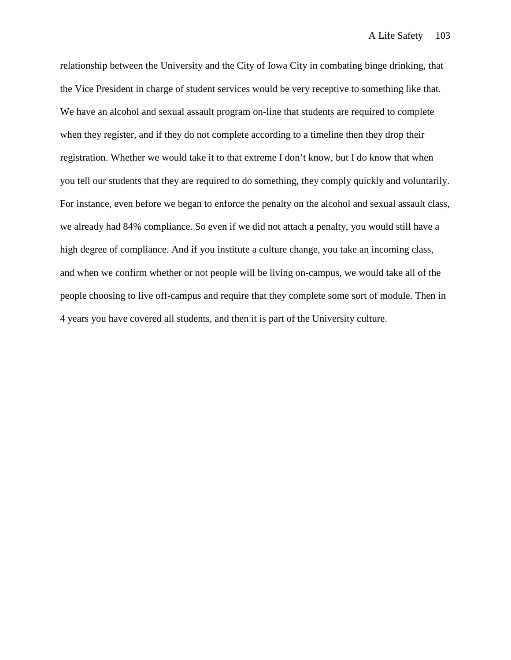relationship between the University and the City of Iowa City in combating binge drinking, that the Vice President in charge of student services would be very receptive to something like that. We have an alcohol and sexual assault program on-line that students are required to complete when they register, and if they do not complete according to a timeline then they drop their registration. Whether we would take it to that extreme I don't know, but I do know that when you tell our students that they are required to do something, they comply quickly and voluntarily. For instance, even before we began to enforce the penalty on the alcohol and sexual assault class, we already had 84% compliance. So even if we did not attach a penalty, you would still have a high degree of compliance. And if you institute a culture change, you take an incoming class, and when we confirm whether or not people will be living on-campus, we would take all of the people choosing to live off-campus and require that they complete some sort of module. Then in 4 years you have covered all students, and then it is part of the University culture.